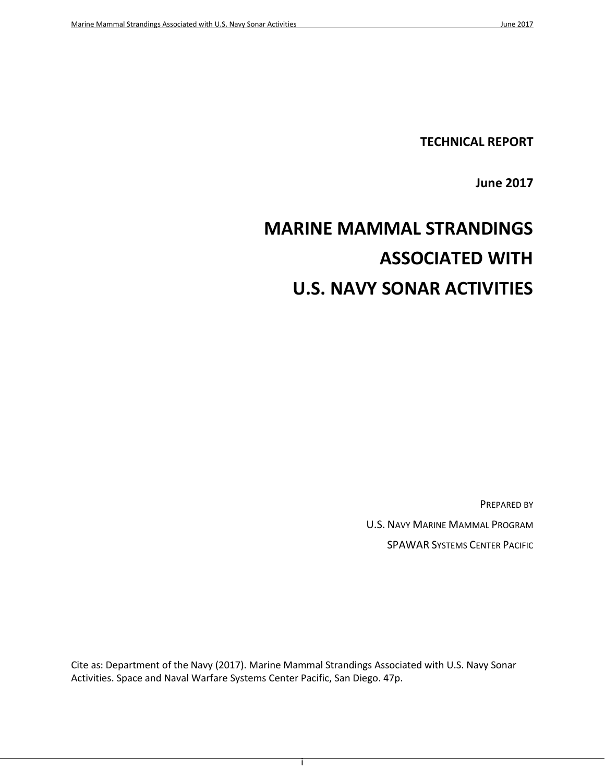**TECHNICAL REPORT**

**June 2017**

# **MARINE MAMMAL STRANDINGS ASSOCIATED WITH U.S. NAVY SONAR ACTIVITIES**

PREPARED BY

U.S. NAVY MARINE MAMMAL PROGRAM

SPAWAR SYSTEMS CENTER PACIFIC

Cite as: Department of the Navy (2017). Marine Mammal Strandings Associated with U.S. Navy Sonar Activities. Space and Naval Warfare Systems Center Pacific, San Diego. 47p.

i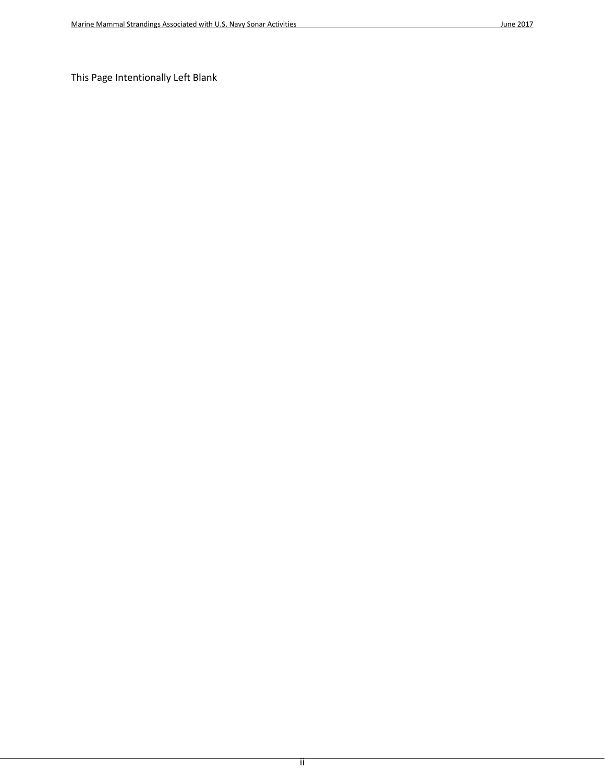This Page Intentionally Left Blank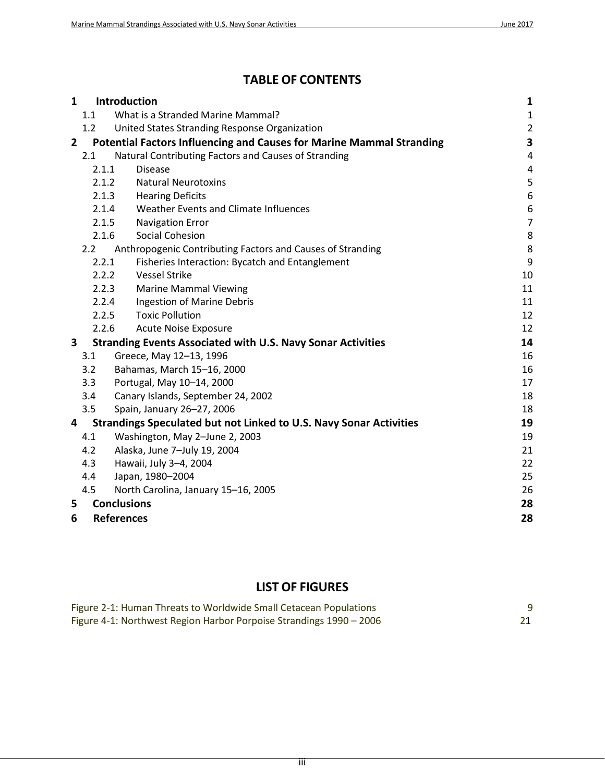## **TABLE OF CONTENTS**

| $\mathbf{1}$   |       | Introduction                                                                | 1                |
|----------------|-------|-----------------------------------------------------------------------------|------------------|
|                | 1.1   | What is a Stranded Marine Mammal?                                           | $\mathbf{1}$     |
|                | 1.2   | United States Stranding Response Organization                               | $\overline{2}$   |
| $\overline{2}$ |       | <b>Potential Factors Influencing and Causes for Marine Mammal Stranding</b> | 3                |
|                | 2.1   | Natural Contributing Factors and Causes of Stranding                        | $\overline{4}$   |
|                | 2.1.1 | <b>Disease</b>                                                              | 4                |
|                | 2.1.2 | <b>Natural Neurotoxins</b>                                                  | 5                |
|                | 2.1.3 | <b>Hearing Deficits</b>                                                     | $\boldsymbol{6}$ |
|                | 2.1.4 | Weather Events and Climate Influences                                       | 6                |
|                | 2.1.5 | <b>Navigation Error</b>                                                     | $\overline{7}$   |
|                | 2.1.6 | Social Cohesion                                                             | 8                |
|                | 2.2   | Anthropogenic Contributing Factors and Causes of Stranding                  | 8                |
|                | 2.2.1 | Fisheries Interaction: Bycatch and Entanglement                             | 9                |
|                | 2.2.2 | <b>Vessel Strike</b>                                                        | 10               |
|                | 2.2.3 | <b>Marine Mammal Viewing</b>                                                | 11               |
|                | 2.2.4 | Ingestion of Marine Debris                                                  | 11               |
|                | 2.2.5 | <b>Toxic Pollution</b>                                                      | 12               |
|                | 2.2.6 | <b>Acute Noise Exposure</b>                                                 | 12               |
| 3              |       | <b>Stranding Events Associated with U.S. Navy Sonar Activities</b>          | 14               |
|                | 3.1   | Greece, May 12-13, 1996                                                     | 16               |
|                | 3.2   | Bahamas, March 15-16, 2000                                                  | 16               |
|                | 3.3   | Portugal, May 10-14, 2000                                                   | 17               |
|                | 3.4   | Canary Islands, September 24, 2002                                          | 18               |
|                | 3.5   | Spain, January 26-27, 2006                                                  | 18               |
| 4              |       | Strandings Speculated but not Linked to U.S. Navy Sonar Activities          | 19               |
|                | 4.1   | Washington, May 2-June 2, 2003                                              | 19               |
|                | 4.2   | Alaska, June 7-July 19, 2004                                                | 21               |
|                | 4.3   | Hawaii, July 3-4, 2004                                                      | 22               |
|                | 4.4   | Japan, 1980-2004                                                            | 25               |
|                | 4.5   | North Carolina, January 15-16, 2005                                         | 26               |
| 5              |       | <b>Conclusions</b>                                                          | 28               |
| 6              |       | <b>References</b>                                                           | 28               |

## **LIST OF FIGURES**

| Figure 2-1: Human Threats to Worldwide Small Cetacean Populations   |  |
|---------------------------------------------------------------------|--|
| Figure 4-1: Northwest Region Harbor Porpoise Strandings 1990 - 2006 |  |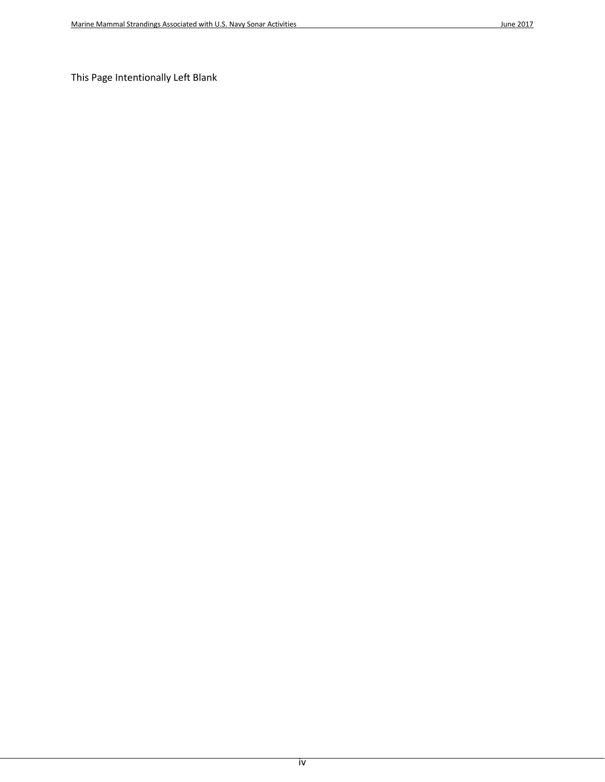This Page Intentionally Left Blank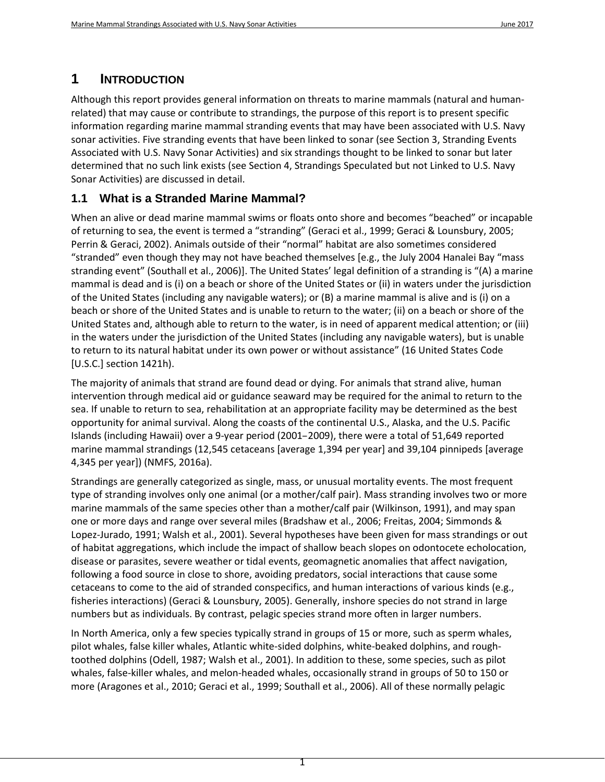## <span id="page-4-0"></span>**1 1INTRODUCTION**

Although this report provides general information on threats to marine mammals (natural and humanrelated) that may cause or contribute to strandings, the purpose of this report is to present specific information regarding marine mammal stranding events that may have been associated with U.S. Navy sonar activities. Five stranding events that have been linked to sonar (see Section [3,](#page-17-0) Stranding Events Associated with U.S. Navy Sonar Activities) and six strandings thought to be linked to sonar but later determined that no such link exists (see Sectio[n 4,](#page-22-0) Strandings Speculated but not Linked to U.S. Navy Sonar Activities) are discussed in detail.

## <span id="page-4-1"></span>**1.1 What is a Stranded Marine Mammal?**

When an alive or dead marine mammal swims or floats onto shore and becomes "beached" or incapable of returning to sea, the event is termed a "stranding" [\(Geraci et al., 1999;](#page-36-0) [Geraci & Lounsbury, 2005;](#page-36-1) [Perrin & Geraci, 2002\)](#page-43-0). Animals outside of their "normal" habitat are also sometimes considered "stranded" even though they may not have beached themselves [e.g., the July 2004 Hanalei Bay "mass stranding event" [\(Southall et al., 2006\)](#page-31-2)]. The United States' legal definition of a stranding is "(A) a marine mammal is dead and is (i) on a beach or shore of the United States or (ii) in waters under the jurisdiction of the United States (including any navigable waters); or (B) a marine mammal is alive and is (i) on a beach or shore of the United States and is unable to return to the water; (ii) on a beach or shore of the United States and, although able to return to the water, is in need of apparent medical attention; or (iii) in the waters under the jurisdiction of the United States (including any navigable waters), but is unable to return to its natural habitat under its own power or without assistance" (16 United States Code [U.S.C.] section 1421h).

The majority of animals that strand are found dead or dying. For animals that strand alive, human intervention through medical aid or guidance seaward may be required for the animal to return to the sea. If unable to return to sea, rehabilitation at an appropriate facility may be determined as the best opportunity for animal survival. Along the coasts of the continental U.S., Alaska, and the U.S. Pacific Islands (including Hawaii) over a 9-year period (2001–2009), there were a total of 51,649 reported marine mammal strandings (12,545 cetaceans [average 1,394 per year] and 39,104 pinnipeds [average 4,345 per year]) [\(NMFS, 2016a\)](#page-42-0).

Strandings are generally categorized as single, mass, or unusual mortality events. The most frequent type of stranding involves only one animal (or a mother/calf pair). Mass stranding involves two or more marine mammals of the same species other than a mother/calf pair [\(Wilkinson, 1991\)](#page-46-0), and may span one or more days and range over several miles [\(Bradshaw et al., 2006;](#page-33-0) [Freitas, 2004;](#page-36-2) [Simmonds &](#page-44-0)  [Lopez-Jurado, 1991;](#page-44-0) [Walsh et al., 2001\)](#page-46-1). Several hypotheses have been given for mass strandings or out of habitat aggregations, which include the impact of shallow beach slopes on odontocete echolocation, disease or parasites, severe weather or tidal events, geomagnetic anomalies that affect navigation, following a food source in close to shore, avoiding predators, social interactions that cause some cetaceans to come to the aid of stranded conspecifics, and human interactions of various kinds (e.g., fisheries interactions) [\(Geraci & Lounsbury, 2005\)](#page-36-1). Generally, inshore species do not strand in large numbers but as individuals. By contrast, pelagic species strand more often in larger numbers.

In North America, only a few species typically strand in groups of 15 or more, such as sperm whales, pilot whales, false killer whales, Atlantic white-sided dolphins, white-beaked dolphins, and roughtoothed dolphins [\(Odell, 1987;](#page-42-1) [Walsh et al., 2001\)](#page-46-1). In addition to these, some species, such as pilot whales, false-killer whales, and melon-headed whales, occasionally strand in groups of 50 to 150 or more [\(Aragones et al., 2010;](#page-31-3) [Geraci et al., 1999;](#page-36-0) [Southall et al., 2006\)](#page-44-1). All of these normally pelagic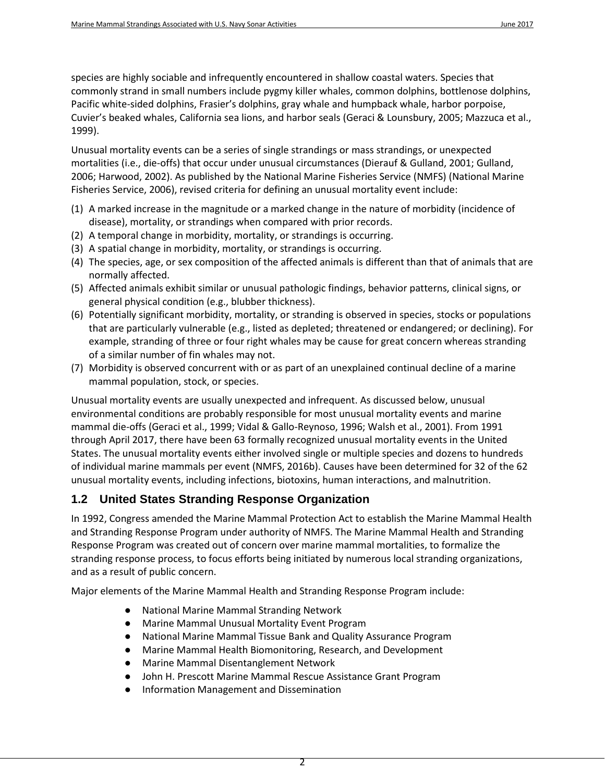species are highly sociable and infrequently encountered in shallow coastal waters. Species that commonly strand in small numbers include pygmy killer whales, common dolphins, bottlenose dolphins, Pacific white-sided dolphins, Frasier's dolphins, gray whale and humpback whale, harbor porpoise, Cuvier's beaked whales, California sea lions, and harbor seals [\(Geraci & Lounsbury, 2005;](#page-36-1) [Mazzuca et al.,](#page-40-0)  [1999\)](#page-40-0).

Unusual mortality events can be a series of single strandings or mass strandings, or unexpected mortalities (i.e., die-offs) that occur under unusual circumstances [\(Dierauf & Gulland, 2001;](#page-35-0) [Gulland,](#page-37-0)  [2006;](#page-37-0) [Harwood, 2002\)](#page-37-1). As published by the National Marine Fisheries Service (NMFS) [\(National Marine](#page-41-0)  [Fisheries Service, 2006\)](#page-41-0), revised criteria for defining an unusual mortality event include:

- (1) A marked increase in the magnitude or a marked change in the nature of morbidity (incidence of disease), mortality, or strandings when compared with prior records.
- (2) A temporal change in morbidity, mortality, or strandings is occurring.
- (3) A spatial change in morbidity, mortality, or strandings is occurring.
- (4) The species, age, or sex composition of the affected animals is different than that of animals that are normally affected.
- (5) Affected animals exhibit similar or unusual pathologic findings, behavior patterns, clinical signs, or general physical condition (e.g., blubber thickness).
- (6) Potentially significant morbidity, mortality, or stranding is observed in species, stocks or populations that are particularly vulnerable (e.g., listed as depleted; threatened or endangered; or declining). For example, stranding of three or four right whales may be cause for great concern whereas stranding of a similar number of fin whales may not.
- (7) Morbidity is observed concurrent with or as part of an unexplained continual decline of a marine mammal population, stock, or species.

Unusual mortality events are usually unexpected and infrequent. As discussed below, unusual environmental conditions are probably responsible for most unusual mortality events and marine mammal die-offs [\(Geraci et al., 1999;](#page-36-0) [Vidal & Gallo-Reynoso, 1996;](#page-45-0) [Walsh et al., 2001\)](#page-46-1). From 1991 through April 2017, there have been 63 formally recognized unusual mortality events in the United States. The unusual mortality events either involved single or multiple species and dozens to hundreds of individual marine mammals per event [\(NMFS, 2016b\)](#page-42-2). Causes have been determined for 32 of the 62 unusual mortality events, including infections, biotoxins, human interactions, and malnutrition.

#### <span id="page-5-0"></span>**1.2 United States Stranding Response Organization**

In 1992, Congress amended the Marine Mammal Protection Act to establish the Marine Mammal Health and Stranding Response Program under authority of NMFS. The Marine Mammal Health and Stranding Response Program was created out of concern over marine mammal mortalities, to formalize the stranding response process, to focus efforts being initiated by numerous local stranding organizations, and as a result of public concern.

Major elements of the Marine Mammal Health and Stranding Response Program include:

- National Marine Mammal Stranding Network
- Marine Mammal Unusual Mortality Event Program
- National Marine Mammal Tissue Bank and Quality Assurance Program
- Marine Mammal Health Biomonitoring, Research, and Development
- Marine Mammal Disentanglement Network
- John H. Prescott Marine Mammal Rescue Assistance Grant Program
- Information Management and Dissemination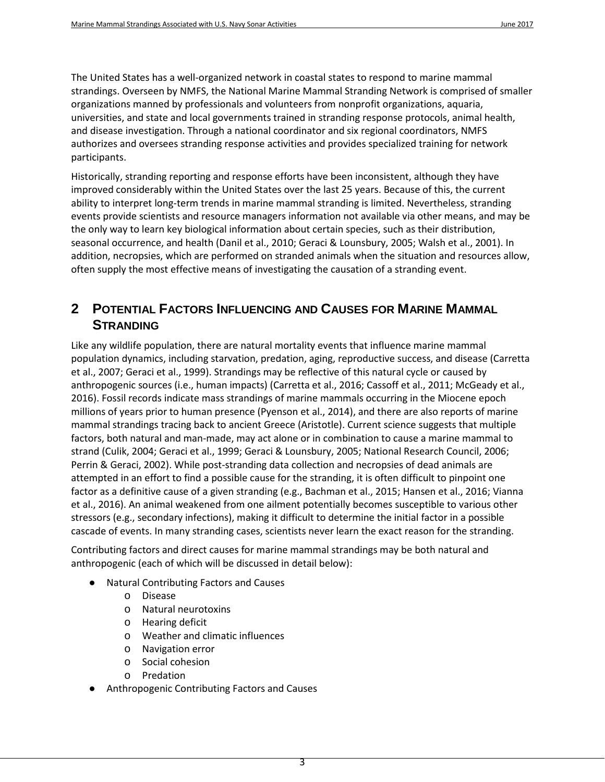The United States has a well-organized network in coastal states to respond to marine mammal strandings. Overseen by NMFS, the National Marine Mammal Stranding Network is comprised of smaller organizations manned by professionals and volunteers from nonprofit organizations, aquaria, universities, and state and local governments trained in stranding response protocols, animal health, and disease investigation. Through a national coordinator and six regional coordinators, NMFS authorizes and oversees stranding response activities and provides specialized training for network participants.

Historically, stranding reporting and response efforts have been inconsistent, although they have improved considerably within the United States over the last 25 years. Because of this, the current ability to interpret long-term trends in marine mammal stranding is limited. Nevertheless, stranding events provide scientists and resource managers information not available via other means, and may be the only way to learn key biological information about certain species, such as their distribution, seasonal occurrence, and health [\(Danil et al., 2010;](#page-34-0) [Geraci & Lounsbury, 2005;](#page-36-1) [Walsh et al., 2001\)](#page-46-1). In addition, necropsies, which are performed on stranded animals when the situation and resources allow, often supply the most effective means of investigating the causation of a stranding event.

## <span id="page-6-0"></span>**2 POTENTIAL FACTORS INFLUENCING AND CAUSES FOR MARINE MAMMAL STRANDING**

Like any wildlife population, there are natural mortality events that influence marine mammal population dynamics, including starvation, predation, aging, reproductive success, and disease [\(Carretta](#page-33-1)  [et al., 2007;](#page-33-1) [Geraci et al., 1999\)](#page-36-0). Strandings may be reflective of this natural cycle or caused by anthropogenic sources (i.e., human impacts) [\(Carretta et al., 2016;](#page-33-2) [Cassoff et al., 2011;](#page-33-3) [McGeady et al.,](#page-41-1)  [2016\)](#page-41-1). Fossil records indicate mass strandings of marine mammals occurring in the Miocene epoch millions of years prior to human presence [\(Pyenson et al., 2014\)](#page-43-1), and there are also reports of marine mammal strandings tracing back to ancient Greece [\(Aristotle\)](#page-31-4). Current science suggests that multiple factors, both natural and man-made, may act alone or in combination to cause a marine mammal to strand [\(Culik, 2004;](#page-34-1) [Geraci et al., 1999;](#page-36-0) [Geraci & Lounsbury, 2005;](#page-36-1) [National Research Council, 2006;](#page-42-3) [Perrin & Geraci, 2002\)](#page-43-0). While post-stranding data collection and necropsies of dead animals are attempted in an effort to find a possible cause for the stranding, it is often difficult to pinpoint one factor as a definitive cause of a given stranding (e.g.[, Bachman et al., 2015;](#page-31-5) [Hansen et al., 2016;](#page-37-2) [Vianna](#page-45-1)  [et al., 2016\)](#page-45-1). An animal weakened from one ailment potentially becomes susceptible to various other stressors (e.g., secondary infections), making it difficult to determine the initial factor in a possible cascade of events. In many stranding cases, scientists never learn the exact reason for the stranding.

Contributing factors and direct causes for marine mammal strandings may be both natural and anthropogenic (each of which will be discussed in detail below):

- Natural Contributing Factors and Causes
	- o Disease
	- o Natural neurotoxins
	- o Hearing deficit
	- o Weather and climatic influences
	- o Navigation error
	- o Social cohesion
	- o Predation
- Anthropogenic Contributing Factors and Causes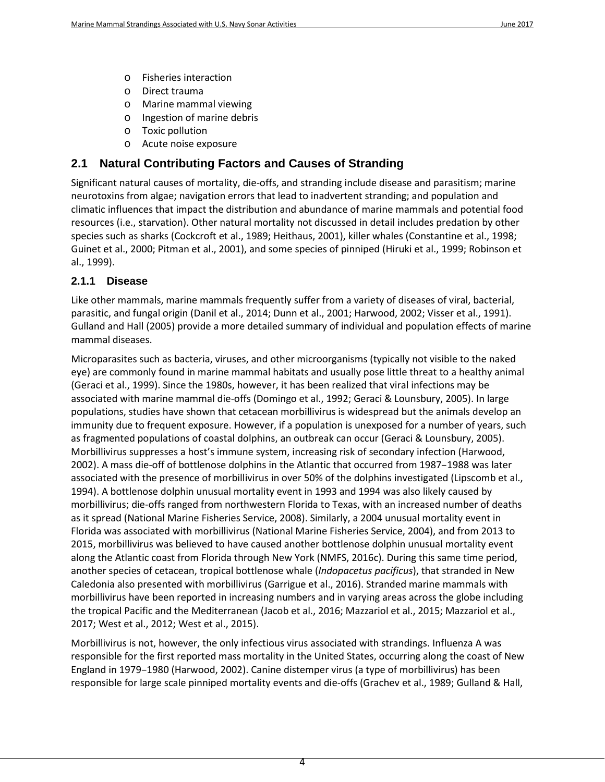- o Fisheries interaction
- o Direct trauma
- o Marine mammal viewing
- o Ingestion of marine debris
- o Toxic pollution
- o Acute noise exposure

#### <span id="page-7-0"></span>**2.1 Natural Contributing Factors and Causes of Stranding**

Significant natural causes of mortality, die-offs, and stranding include disease and parasitism; marine neurotoxins from algae; navigation errors that lead to inadvertent stranding; and population and climatic influences that impact the distribution and abundance of marine mammals and potential food resources (i.e., starvation). Other natural mortality not discussed in detail includes predation by other species such as sharks [\(Cockcroft et al., 1989;](#page-33-4) [Heithaus, 2001\)](#page-37-3), killer whales [\(Constantine et al., 1998;](#page-33-5) [Guinet et al., 2000;](#page-36-3) [Pitman et al., 2001\)](#page-43-2), and some species of pinniped [\(Hiruki et al., 1999;](#page-37-4) [Robinson et](#page-43-3)  [al., 1999\)](#page-43-3).

#### <span id="page-7-1"></span>**2.1.1 Disease**

Like other mammals, marine mammals frequently suffer from a variety of diseases of viral, bacterial, parasitic, and fungal origin [\(Danil et al., 2014;](#page-34-2) [Dunn et al., 2001;](#page-35-1) [Harwood, 2002;](#page-37-1) [Visser et al., 1991\)](#page-45-2). Gulland and Hall [\(2005\)](#page-37-5) provide a more detailed summary of individual and population effects of marine mammal diseases.

Microparasites such as bacteria, viruses, and other microorganisms (typically not visible to the naked eye) are commonly found in marine mammal habitats and usually pose little threat to a healthy animal [\(Geraci et al., 1999\)](#page-36-0). Since the 1980s, however, it has been realized that viral infections may be associated with marine mammal die-offs [\(Domingo et al., 1992;](#page-35-2) [Geraci & Lounsbury, 2005\)](#page-36-1). In large populations, studies have shown that cetacean morbillivirus is widespread but the animals develop an immunity due to frequent exposure. However, if a population is unexposed for a number of years, such as fragmented populations of coastal dolphins, an outbreak can occur [\(Geraci & Lounsbury, 2005\)](#page-36-1). Morbillivirus suppresses a host's immune system, increasing risk of secondary infection [\(Harwood,](#page-37-1)  [2002\)](#page-37-1). A mass die-off of bottlenose dolphins in the Atlantic that occurred from 1987–1988 was later associated with the presence of morbillivirus in over 50% of the dolphins investigated [\(Lipscomb et al.,](#page-39-0)  [1994\)](#page-39-0). A bottlenose dolphin unusual mortality event in 1993 and 1994 was also likely caused by morbillivirus; die-offs ranged from northwestern Florida to Texas, with an increased number of deaths as it spread [\(National Marine Fisheries Service, 2008\)](#page-41-2). Similarly, a 2004 unusual mortality event in Florida was associated with morbillivirus [\(National Marine Fisheries Service, 2004\)](#page-41-3), and from 2013 to 2015, morbillivirus was believed to have caused another bottlenose dolphin unusual mortality event along the Atlantic coast from Florida through New York [\(NMFS, 2016c\)](#page-42-4). During this same time period, another species of cetacean, tropical bottlenose whale (*Indopacetus pacificus*), that stranded in New Caledonia also presented with morbillivirus [\(Garrigue et al., 2016\)](#page-36-4). Stranded marine mammals with morbillivirus have been reported in increasing numbers and in varying areas across the globe including the tropical Pacific and the Mediterranean [\(Jacob et al., 2016;](#page-38-0) [Mazzariol et al., 2015;](#page-40-1) [Mazzariol et](#page-40-2) al., [2017;](#page-40-2) [West et al., 2012;](#page-46-2) [West et al., 2015\)](#page-46-3).

Morbillivirus is not, however, the only infectious virus associated with strandings. Influenza A was responsible for the first reported mass mortality in the United States, occurring along the coast of New England in 1979–1980 [\(Harwood, 2002\)](#page-37-1). Canine distemper virus (a type of morbillivirus) has been responsible for large scale pinniped mortality events and die-offs [\(Grachev et al., 1989;](#page-36-5) [Gulland & Hall,](#page-37-5)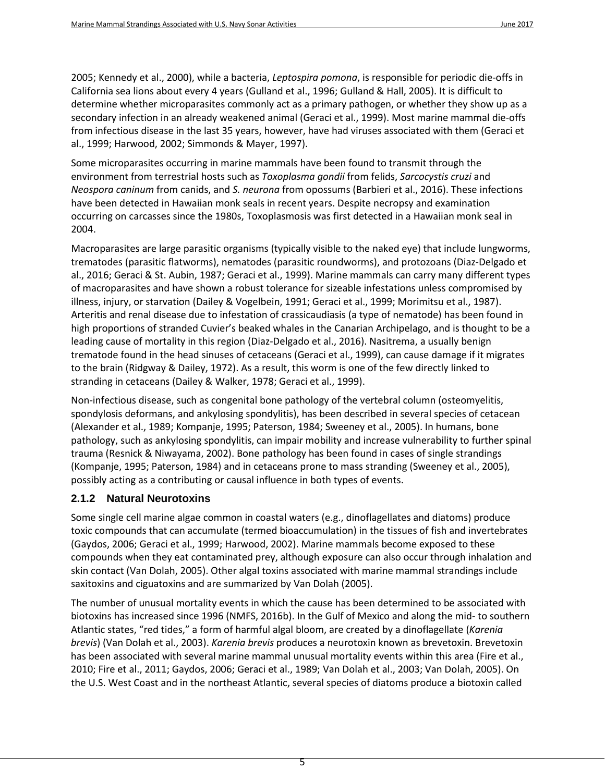[2005;](#page-37-5) [Kennedy et al., 2000\)](#page-38-1), while a bacteria, *Leptospira pomona*, is responsible for periodic die-offs in California sea lions about every 4 years [\(Gulland et al., 1996;](#page-36-6) [Gulland & Hall, 2005\)](#page-37-5). It is difficult to determine whether microparasites commonly act as a primary pathogen, or whether they show up as a secondary infection in an already weakened animal [\(Geraci et al., 1999\)](#page-36-0). Most marine mammal die-offs from infectious disease in the last 35 years, however, have had viruses associated with them [\(Geraci et](#page-36-0)  [al., 1999;](#page-36-0) [Harwood, 2002;](#page-37-1) [Simmonds & Mayer, 1997\)](#page-44-2).

Some microparasites occurring in marine mammals have been found to transmit through the environment from terrestrial hosts such as *Toxoplasma gondii* from felids, *Sarcocystis cruzi* and *Neospora caninum* from canids, and *S. neurona* from opossums [\(Barbieri et al., 2016\)](#page-32-0). These infections have been detected in Hawaiian monk seals in recent years. Despite necropsy and examination occurring on carcasses since the 1980s, Toxoplasmosis was first detected in a Hawaiian monk seal in 2004.

Macroparasites are large parasitic organisms (typically visible to the naked eye) that include lungworms, trematodes (parasitic flatworms), nematodes (parasitic roundworms), and protozoans [\(Diaz-Delgado et](#page-35-3)  [al., 2016;](#page-35-3) [Geraci & St. Aubin, 1987;](#page-36-7) [Geraci et al., 1999\)](#page-36-0). Marine mammals can carry many different types of macroparasites and have shown a robust tolerance for sizeable infestations unless compromised by illness, injury, or starvation [\(Dailey & Vogelbein, 1991;](#page-34-3) [Geraci et al., 1999;](#page-36-0) [Morimitsu et al., 1987\)](#page-41-4). Arteritis and renal disease due to infestation of crassicaudiasis (a type of nematode) has been found in high proportions of stranded Cuvier's beaked whales in the Canarian Archipelago, and is thought to be a leading cause of mortality in this region [\(Diaz-Delgado et al., 2016\)](#page-35-3). Nasitrema, a usually benign trematode found in the head sinuses of cetaceans [\(Geraci et al., 1999\)](#page-36-0), can cause damage if it migrates to the brain [\(Ridgway & Dailey, 1972\)](#page-43-4). As a result, this worm is one of the few directly linked to stranding in cetaceans [\(Dailey & Walker, 1978;](#page-34-4) [Geraci et al., 1999\)](#page-36-0).

Non-infectious disease, such as congenital bone pathology of the vertebral column (osteomyelitis, spondylosis deformans, and ankylosing spondylitis), has been described in several species of cetacean [\(Alexander et al., 1989;](#page-31-6) [Kompanje, 1995;](#page-39-1) [Paterson, 1984;](#page-43-5) [Sweeney et al., 2005\)](#page-44-3). In humans, bone pathology, such as ankylosing spondylitis, can impair mobility and increase vulnerability to further spinal trauma [\(Resnick & Niwayama, 2002\)](#page-43-6). Bone pathology has been found in cases of single strandings [\(Kompanje, 1995;](#page-39-1) [Paterson, 1984\)](#page-43-5) and in cetaceans prone to mass stranding [\(Sweeney et al., 2005\)](#page-44-3), possibly acting as a contributing or causal influence in both types of events.

#### <span id="page-8-0"></span>**2.1.2 Natural Neurotoxins**

Some single cell marine algae common in coastal waters (e.g., dinoflagellates and diatoms) produce toxic compounds that can accumulate (termed bioaccumulation) in the tissues of fish and invertebrates [\(Gaydos, 2006;](#page-36-8) [Geraci et al., 1999;](#page-36-0) [Harwood, 2002\)](#page-37-1). Marine mammals become exposed to these compounds when they eat contaminated prey, although exposure can also occur through inhalation and skin contact [\(Van Dolah, 2005\)](#page-45-3). Other algal toxins associated with marine mammal strandings include saxitoxins and ciguatoxins and are summarized by Van Dolah [\(2005\)](#page-45-3).

The number of unusual mortality events in which the cause has been determined to be associated with biotoxins has increased since 1996 [\(NMFS, 2016b\)](#page-42-2). In the Gulf of Mexico and along the mid- to southern Atlantic states, "red tides," a form of harmful algal bloom, are created by a dinoflagellate (*Karenia brevis*) [\(Van Dolah et al., 2003\)](#page-45-4). *Karenia brevis* produces a neurotoxin known as brevetoxin. Brevetoxin has been associated with several marine mammal unusual mortality events within this area [\(Fire et al.,](#page-35-4)  [2010;](#page-35-4) [Fire et al., 2011;](#page-36-9) [Gaydos, 2006;](#page-36-8) [Geraci et al., 1989;](#page-36-10) [Van Dolah et al., 2003;](#page-45-4) [Van Dolah, 2005\)](#page-45-3). On the U.S. West Coast and in the northeast Atlantic, several species of diatoms produce a biotoxin called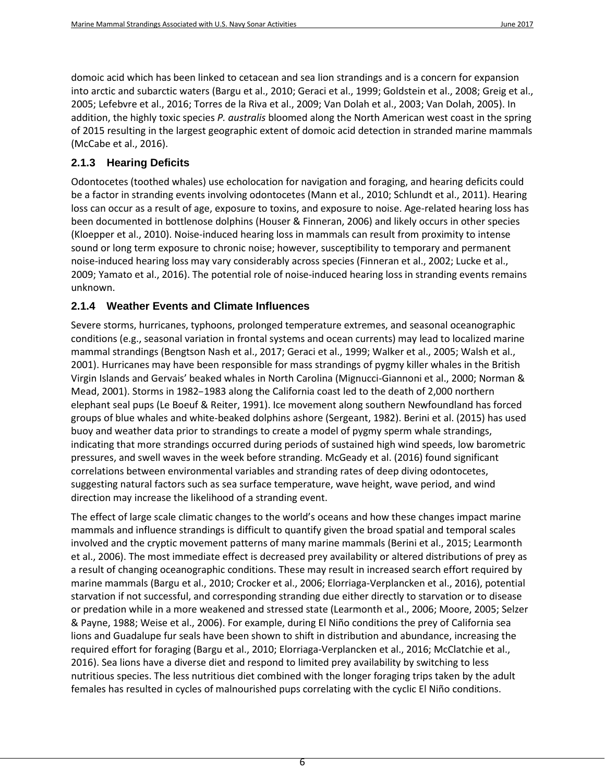domoic acid which has been linked to cetacean and sea lion strandings and is a concern for expansion into arctic and subarctic waters [\(Bargu et al., 2010;](#page-32-1) [Geraci et al., 1999;](#page-36-0) [Goldstein et al., 2008;](#page-36-11) [Greig et al.,](#page-36-12)  [2005;](#page-36-12) [Lefebvre et al., 2016;](#page-39-2) [Torres de la Riva et al., 2009;](#page-44-4) [Van Dolah et al., 2003;](#page-45-4) [Van Dolah, 2005\)](#page-45-3). In addition, the highly toxic species *P. australis* bloomed along the North American west coast in the spring of 2015 resulting in the largest geographic extent of domoic acid detection in stranded marine mammals [\(McCabe et al., 2016\)](#page-40-3).

#### <span id="page-9-0"></span>**2.1.3 Hearing Deficits**

Odontocetes (toothed whales) use echolocation for navigation and foraging, and hearing deficits could be a factor in stranding events involving odontocetes [\(Mann et al., 2010;](#page-40-4) [Schlundt et al., 2011\)](#page-43-7). Hearing loss can occur as a result of age, exposure to toxins, and exposure to noise. Age-related hearing loss has been documented in bottlenose dolphins [\(Houser & Finneran, 2006\)](#page-38-2) and likely occurs in other species [\(Kloepper et al., 2010\)](#page-39-3). Noise-induced hearing loss in mammals can result from proximity to intense sound or long term exposure to chronic noise; however, susceptibility to temporary and permanent noise-induced hearing loss may vary considerably across species [\(Finneran et al., 2002;](#page-35-5) [Lucke et al.,](#page-39-4)  [2009;](#page-39-4) [Yamato et al., 2016\)](#page-46-4). The potential role of noise-induced hearing loss in stranding events remains unknown.

#### <span id="page-9-1"></span>**2.1.4 Weather Events and Climate Influences**

Severe storms, hurricanes, typhoons, prolonged temperature extremes, and seasonal oceanographic conditions (e.g., seasonal variation in frontal systems and ocean currents) may lead to localized marine mammal strandings [\(Bengtson Nash et al., 2017;](#page-32-2) [Geraci et al., 1999;](#page-36-0) [Walker et al., 2005;](#page-46-5) [Walsh et al.,](#page-46-1)  [2001\)](#page-46-1). Hurricanes may have been responsible for mass strandings of pygmy killer whales in the British Virgin Islands and Gervais' beaked whales in North Carolina [\(Mignucci-Giannoni et al., 2000;](#page-41-5) [Norman &](#page-42-5)  [Mead, 2001\)](#page-42-5). Storms in 1982–1983 along the California coast led to the death of 2,000 northern elephant seal pups (Le [Boeuf & Reiter, 1991\)](#page-39-5). Ice movement along southern Newfoundland has forced groups of blue whales and white-beaked dolphins ashore [\(Sergeant, 1982\)](#page-44-5). Berini et al. [\(2015\)](#page-32-3) has used buoy and weather data prior to strandings to create a model of pygmy sperm whale strandings, indicating that more strandings occurred during periods of sustained high wind speeds, low barometric pressures, and swell waves in the week before stranding. McGeady et al. [\(2016\)](#page-41-1) found significant correlations between environmental variables and stranding rates of deep diving odontocetes, suggesting natural factors such as sea surface temperature, wave height, wave period, and wind direction may increase the likelihood of a stranding event.

The effect of large scale climatic changes to the world's oceans and how these changes impact marine mammals and influence strandings is difficult to quantify given the broad spatial and temporal scales involved and the cryptic movement patterns of many marine mammals [\(Berini et al., 2015;](#page-32-3) [Learmonth](#page-39-6)  [et al., 2006\)](#page-39-6). The most immediate effect is decreased prey availability or altered distributions of prey as a result of changing oceanographic conditions. These may result in increased search effort required by marine mammals [\(Bargu et al., 2010;](#page-32-1) [Crocker et al., 2006;](#page-34-5) [Elorriaga-Verplancken et al., 2016\)](#page-35-6), potential starvation if not successful, and corresponding stranding due either directly to starvation or to disease or predation while in a more weakened and stressed state [\(Learmonth et al., 2006;](#page-39-6) [Moore, 2005;](#page-41-6) [Selzer](#page-44-6)  [& Payne, 1988;](#page-44-6) [Weise et al., 2006\)](#page-46-6). For example, during El Niño conditions the prey of California sea lions and Guadalupe fur seals have been shown to shift in distribution and abundance, increasing the required effort for foraging [\(Bargu et al., 2010;](#page-32-1) [Elorriaga-Verplancken et al., 2016;](#page-35-6) [McClatchie et al.,](#page-40-5)  [2016\)](#page-40-5). Sea lions have a diverse diet and respond to limited prey availability by switching to less nutritious species. The less nutritious diet combined with the longer foraging trips taken by the adult females has resulted in cycles of malnourished pups correlating with the cyclic El Niño conditions.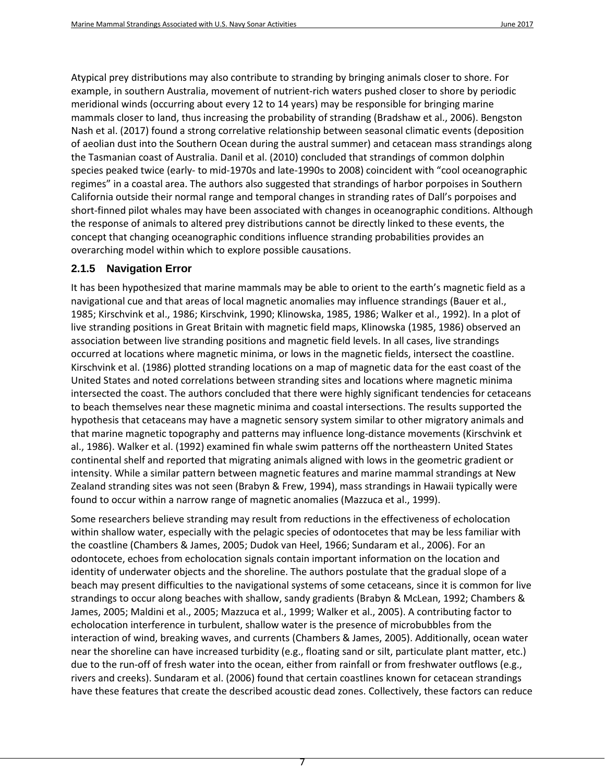Atypical prey distributions may also contribute to stranding by bringing animals closer to shore. For example, in southern Australia, movement of nutrient-rich waters pushed closer to shore by periodic meridional winds (occurring about every 12 to 14 years) may be responsible for bringing marine mammals closer to land, thus increasing the probability of stranding [\(Bradshaw et al., 2006\)](#page-33-0). Bengston Nash et al. [\(2017\)](#page-32-2) found a strong correlative relationship between seasonal climatic events (deposition of aeolian dust into the Southern Ocean during the austral summer) and cetacean mass strandings along the Tasmanian coast of Australia. Danil et al. [\(2010\)](#page-34-0) concluded that strandings of common dolphin species peaked twice (early- to mid-1970s and late-1990s to 2008) coincident with "cool oceanographic regimes" in a coastal area. The authors also suggested that strandings of harbor porpoises in Southern California outside their normal range and temporal changes in stranding rates of Dall's porpoises and short-finned pilot whales may have been associated with changes in oceanographic conditions. Although the response of animals to altered prey distributions cannot be directly linked to these events, the concept that changing oceanographic conditions influence stranding probabilities provides an overarching model within which to explore possible causations.

#### <span id="page-10-0"></span>**2.1.5 Navigation Error**

It has been hypothesized that marine mammals may be able to orient to the earth's magnetic field as a navigational cue and that areas of local magnetic anomalies may influence strandings [\(Bauer et al.,](#page-32-4)  [1985;](#page-32-4) [Kirschvink et al., 1986;](#page-39-7) [Kirschvink, 1990;](#page-39-8) [Klinowska, 1985,](#page-39-9) [1986;](#page-39-10) [Walker et al., 1992\)](#page-45-5). In a plot of live stranding positions in Great Britain with magnetic field maps, Klinowska [\(1985,](#page-39-9) [1986\)](#page-39-10) observed an association between live stranding positions and magnetic field levels. In all cases, live strandings occurred at locations where magnetic minima, or lows in the magnetic fields, intersect the coastline. Kirschvink et al. [\(1986\)](#page-39-10) plotted stranding locations on a map of magnetic data for the east coast of the United States and noted correlations between stranding sites and locations where magnetic minima intersected the coast. The authors concluded that there were highly significant tendencies for cetaceans to beach themselves near these magnetic minima and coastal intersections. The results supported the hypothesis that cetaceans may have a magnetic sensory system similar to other migratory animals and that marine magnetic topography and patterns may influence long-distance movements [\(Kirschvink et](#page-39-7)  [al., 1986\)](#page-39-7). Walker et al. [\(1992\)](#page-45-5) examined fin whale swim patterns off the northeastern United States continental shelf and reported that migrating animals aligned with lows in the geometric gradient or intensity. While a similar pattern between magnetic features and marine mammal strandings at New Zealand stranding sites was not seen [\(Brabyn & Frew, 1994\)](#page-32-5), mass strandings in Hawaii typically were found to occur within a narrow range of magnetic anomalies [\(Mazzuca et al., 1999\)](#page-40-0).

Some researchers believe stranding may result from reductions in the effectiveness of echolocation within shallow water, especially with the pelagic species of odontocetes that may be less familiar with the coastline [\(Chambers & James, 2005;](#page-33-6) [Dudok van Heel, 1966;](#page-35-7) [Sundaram et al., 2006\)](#page-44-7). For an odontocete, echoes from echolocation signals contain important information on the location and identity of underwater objects and the shoreline. The authors postulate that the gradual slope of a beach may present difficulties to the navigational systems of some cetaceans, since it is common for live strandings to occur along beaches with shallow, sandy gradients [\(Brabyn & McLean, 1992;](#page-32-6) [Chambers &](#page-33-6)  [James, 2005;](#page-33-6) [Maldini et al., 2005;](#page-40-6) [Mazzuca et al., 1999;](#page-40-0) [Walker et al., 2005\)](#page-46-5). A contributing factor to echolocation interference in turbulent, shallow water is the presence of microbubbles from the interaction of wind, breaking waves, and currents [\(Chambers & James, 2005\)](#page-33-6). Additionally, ocean water near the shoreline can have increased turbidity (e.g., floating sand or silt, particulate plant matter, etc.) due to the run-off of fresh water into the ocean, either from rainfall or from freshwater outflows (e.g., rivers and creeks). Sundaram et al. [\(2006\)](#page-44-7) found that certain coastlines known for cetacean strandings have these features that create the described acoustic dead zones. Collectively, these factors can reduce

7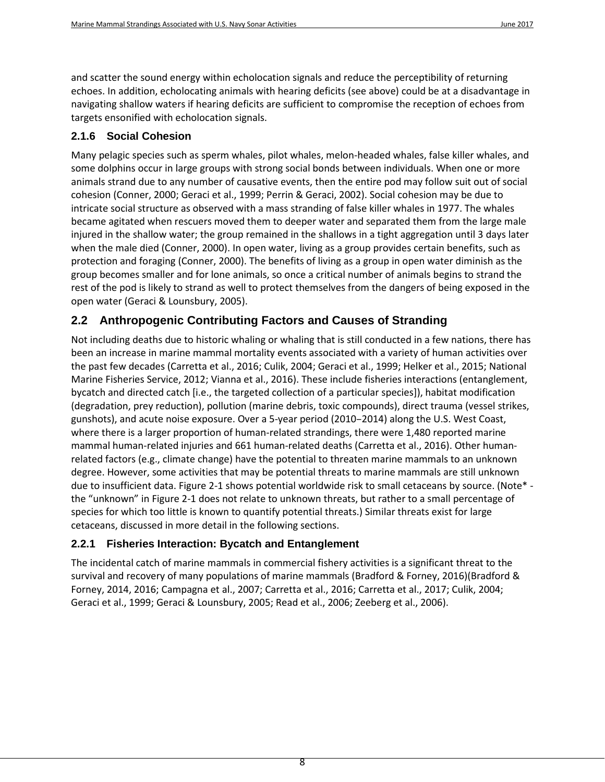and scatter the sound energy within echolocation signals and reduce the perceptibility of returning echoes. In addition, echolocating animals with hearing deficits (see above) could be at a disadvantage in navigating shallow waters if hearing deficits are sufficient to compromise the reception of echoes from targets ensonified with echolocation signals.

#### <span id="page-11-0"></span>**2.1.6 Social Cohesion**

Many pelagic species such as sperm whales, pilot whales, melon-headed whales, false killer whales, and some dolphins occur in large groups with strong social bonds between individuals. When one or more animals strand due to any number of causative events, then the entire pod may follow suit out of social cohesion [\(Conner, 2000;](#page-33-7) [Geraci et al., 1999;](#page-36-0) [Perrin & Geraci, 2002\)](#page-43-0). Social cohesion may be due to intricate social structure as observed with a mass stranding of false killer whales in 1977. The whales became agitated when rescuers moved them to deeper water and separated them from the large male injured in the shallow water; the group remained in the shallows in a tight aggregation until 3 days later when the male died [\(Conner, 2000\)](#page-33-7). In open water, living as a group provides certain benefits, such as protection and foraging [\(Conner, 2000\)](#page-33-7). The benefits of living as a group in open water diminish as the group becomes smaller and for lone animals, so once a critical number of animals begins to strand the rest of the pod is likely to strand as well to protect themselves from the dangers of being exposed in the open water [\(Geraci & Lounsbury, 2005\)](#page-36-1).

## <span id="page-11-1"></span>**2.2 Anthropogenic Contributing Factors and Causes of Stranding**

Not including deaths due to historic whaling or whaling that is still conducted in a few nations, there has been an increase in marine mammal mortality events associated with a variety of human activities over the past few decades [\(Carretta et al., 2016;](#page-33-2) [Culik, 2004;](#page-34-1) [Geraci et al., 1999;](#page-36-0) [Helker et al., 2015;](#page-37-6) [National](#page-41-7)  [Marine Fisheries Service, 2012;](#page-41-7) [Vianna et al., 2016\)](#page-45-1). These include fisheries interactions (entanglement, bycatch and directed catch [i.e., the targeted collection of a particular species]), habitat modification (degradation, prey reduction), pollution (marine debris, toxic compounds), direct trauma (vessel strikes, gunshots), and acute noise exposure. Over a 5-year period (2010–2014) along the U.S. West Coast, where there is a larger proportion of human-related strandings, there were 1,480 reported marine mammal human-related injuries and 661 human-related deaths [\(Carretta et al., 2016\)](#page-31-2). Other humanrelated factors (e.g., climate change) have the potential to threaten marine mammals to an unknown degree. However, some activities that may be potential threats to marine mammals are still unknown due to insufficient data. Figure 2-1 shows potential worldwide risk to small cetaceans by source. (Note\* the "unknown" i[n Figure 2-1](#page-12-2) does not relate to unknown threats, but rather to a small percentage of species for which too little is known to quantify potential threats.) Similar threats exist for large cetaceans, discussed in more detail in the following sections.

#### **2.2.1 Fisheries Interaction: Bycatch and Entanglement**

The incidental catch of marine mammals in commercial fishery activities is a significant threat to the survival and recovery of many populations of marine mammals [\(Bradford & Forney, 2016\)](#page-33-8)[\(Bradford &](#page-32-7)  [Forney, 2014,](#page-32-7) [2016;](#page-33-8) [Campagna et al., 2007;](#page-33-9) [Carretta et al., 2016;](#page-33-2) [Carretta et al., 2017;](#page-33-10) [Culik, 2004;](#page-34-1) [Geraci et al., 1999;](#page-36-0) [Geraci & Lounsbury, 2005;](#page-36-1) [Read et al., 2006;](#page-43-8) [Zeeberg et al., 2006\)](#page-46-7).

8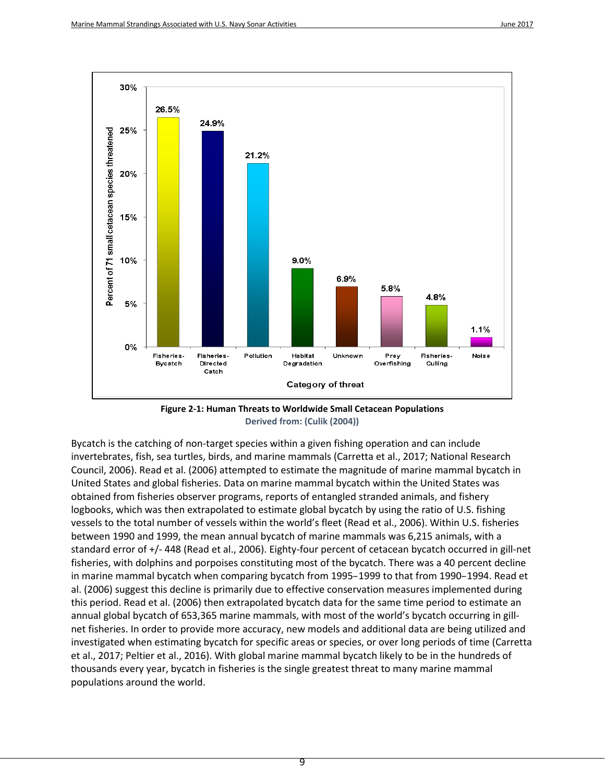<span id="page-12-0"></span>

<span id="page-12-1"></span>**Figure 2-1: Human Threats to Worldwide Small Cetacean Populations Derived from: [\(Culik \(2004\)\)](#page-34-1)**

<span id="page-12-2"></span>Bycatch is the catching of non-target species within a given fishing operation and can include invertebrates, fish, sea turtles, birds, and marine mammals [\(Carretta et al., 2017;](#page-33-10) [National Research](#page-42-3)  [Council, 2006\)](#page-42-3). Read et al. [\(2006\)](#page-43-8) attempted to estimate the magnitude of marine mammal bycatch in United States and global fisheries. Data on marine mammal bycatch within the United States was obtained from fisheries observer programs, reports of entangled stranded animals, and fishery logbooks, which was then extrapolated to estimate global bycatch by using the ratio of U.S. fishing vessels to the total number of vessels within the world's fleet [\(Read et al., 2006\)](#page-43-8). Within U.S. fisheries between 1990 and 1999, the mean annual bycatch of marine mammals was 6,215 animals, with a standard error of +/- 448 [\(Read et al., 2006\)](#page-43-8). Eighty-four percent of cetacean bycatch occurred in gill-net fisheries, with dolphins and porpoises constituting most of the bycatch. There was a 40 percent decline in marine mammal bycatch when comparing bycatch from 1995–1999 to that from 1990–1994. Read et al. [\(2006\)](#page-43-8) suggest this decline is primarily due to effective conservation measures implemented during this period. Read et al. [\(2006\)](#page-43-8) then extrapolated bycatch data for the same time period to estimate an annual global bycatch of 653,365 marine mammals, with most of the world's bycatch occurring in gillnet fisheries. In order to provide more accuracy, new models and additional data are being utilized and investigated when estimating bycatch for specific areas or species, or over long periods of time [\(Carretta](#page-33-10)  [et al., 2017;](#page-33-10) [Peltier et al., 2016\)](#page-43-9). With global marine mammal bycatch likely to be in the hundreds of thousands every year, bycatch in fisheries is the single greatest threat to many marine mammal populations around the world.

9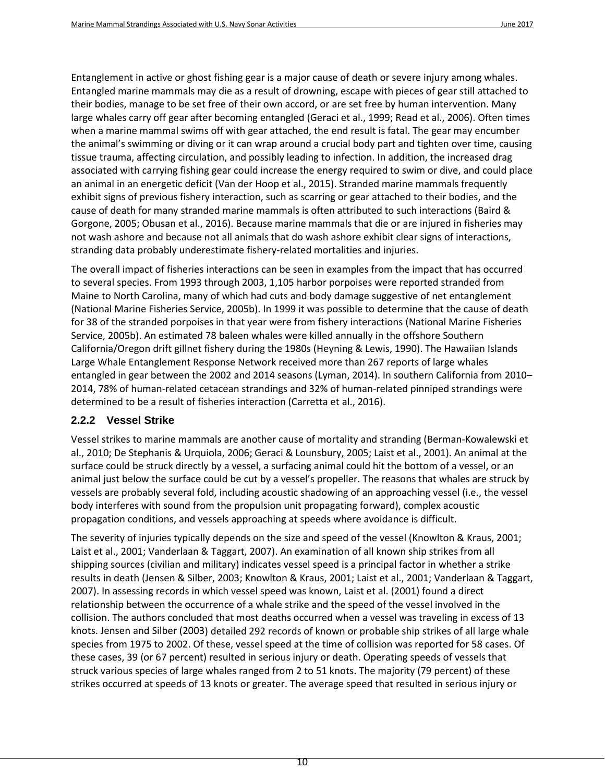Entanglement in active or ghost fishing gear is a major cause of death or severe injury among whales. Entangled marine mammals may die as a result of drowning, escape with pieces of gear still attached to their bodies, manage to be set free of their own accord, or are set free by human intervention. Many large whales carry off gear after becoming entangled [\(Geraci et al., 1999;](#page-36-0) [Read et al., 2006\)](#page-43-8). Often times when a marine mammal swims off with gear attached, the end result is fatal. The gear may encumber the animal's swimming or diving or it can wrap around a crucial body part and tighten over time, causing tissue trauma, affecting circulation, and possibly leading to infection. In addition, the increased drag associated with carrying fishing gear could increase the energy required to swim or dive, and could place an animal in an energetic deficit [\(Van der Hoop et al., 2015\)](#page-45-6). Stranded marine mammals frequently exhibit signs of previous fishery interaction, such as scarring or gear attached to their bodies, and the cause of death for many stranded marine mammals is often attributed to such interactions [\(Baird &](#page-32-8)  [Gorgone, 2005;](#page-32-8) [Obusan et al., 2016\)](#page-42-6). Because marine mammals that die or are injured in fisheries may not wash ashore and because not all animals that do wash ashore exhibit clear signs of interactions, stranding data probably underestimate fishery-related mortalities and injuries.

The overall impact of fisheries interactions can be seen in examples from the impact that has occurred to several species. From 1993 through 2003, 1,105 harbor porpoises were reported stranded from Maine to North Carolina, many of which had cuts and body damage suggestive of net entanglement [\(National Marine Fisheries Service, 2005b\)](#page-41-8). In 1999 it was possible to determine that the cause of death for 38 of the stranded porpoises in that year were from fishery interactions [\(National Marine Fisheries](#page-41-8)  [Service, 2005b\)](#page-41-8). An estimated 78 baleen whales were killed annually in the offshore Southern California/Oregon drift gillnet fishery during the 1980s [\(Heyning & Lewis, 1990\)](#page-37-7). The Hawaiian Islands Large Whale Entanglement Response Network received more than 267 reports of large whales entangled in gear between the 2002 and 2014 seasons [\(Lyman, 2014\)](#page-40-7). In southern California from 2010– 2014, 78% of human-related cetacean strandings and 32% of human-related pinniped strandings were determined to be a result of fisheries interaction [\(Carretta et al., 2016\)](#page-33-2).

#### <span id="page-13-0"></span>**2.2.2 Vessel Strike**

Vessel strikes to marine mammals are another cause of mortality and stranding [\(Berman-Kowalewski et](#page-32-9)  [al., 2010;](#page-32-9) [De Stephanis & Urquiola, 2006;](#page-34-6) [Geraci & Lounsbury, 2005;](#page-36-1) [Laist et al., 2001\)](#page-39-11). An animal at the surface could be struck directly by a vessel, a surfacing animal could hit the bottom of a vessel, or an animal just below the surface could be cut by a vessel's propeller. The reasons that whales are struck by vessels are probably several fold, including acoustic shadowing of an approaching vessel (i.e., the vessel body interferes with sound from the propulsion unit propagating forward), complex acoustic propagation conditions, and vessels approaching at speeds where avoidance is difficult.

The severity of injuries typically depends on the size and speed of the vessel [\(Knowlton & Kraus, 2001;](#page-39-12) [Laist et al., 2001;](#page-39-11) [Vanderlaan & Taggart, 2007\)](#page-45-7). An examination of all known ship strikes from all shipping sources (civilian and military) indicates vessel speed is a principal factor in whether a strike results in death [\(Jensen & Silber, 2003;](#page-38-3) [Knowlton & Kraus, 2001;](#page-39-12) [Laist et al., 2001;](#page-39-11) [Vanderlaan & Taggart,](#page-45-7)  [2007\)](#page-45-7). In assessing records in which vessel speed was known, Laist et al. [\(2001\)](#page-39-11) found a direct relationship between the occurrence of a whale strike and the speed of the vessel involved in the collision. The authors concluded that most deaths occurred when a vessel was traveling in excess of 13 knots. Jensen and Silber [\(2003\)](#page-38-3) detailed 292 records of known or probable ship strikes of all large whale species from 1975 to 2002. Of these, vessel speed at the time of collision was reported for 58 cases. Of these cases, 39 (or 67 percent) resulted in serious injury or death. Operating speeds of vessels that struck various species of large whales ranged from 2 to 51 knots. The majority (79 percent) of these strikes occurred at speeds of 13 knots or greater. The average speed that resulted in serious injury or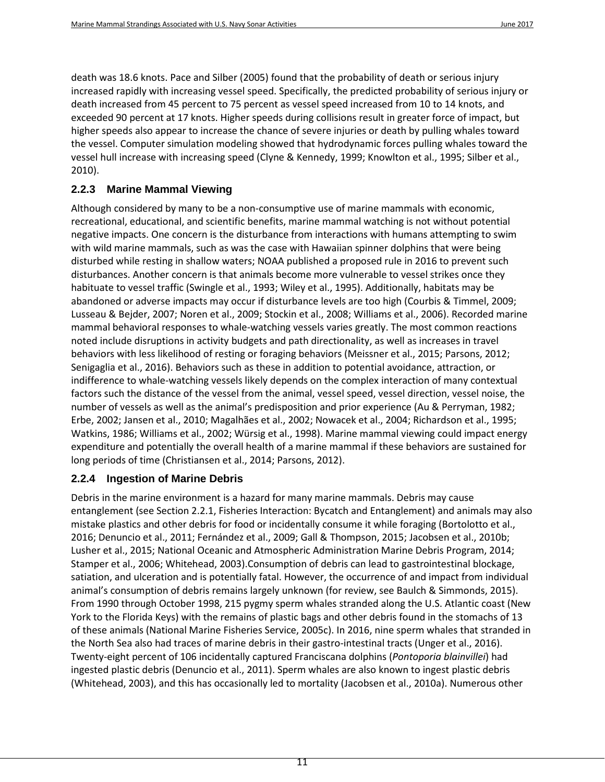death was 18.6 knots. Pace and Silber [\(2005\)](#page-43-10) found that the probability of death or serious injury increased rapidly with increasing vessel speed. Specifically, the predicted probability of serious injury or death increased from 45 percent to 75 percent as vessel speed increased from 10 to 14 knots, and exceeded 90 percent at 17 knots. Higher speeds during collisions result in greater force of impact, but higher speeds also appear to increase the chance of severe injuries or death by pulling whales toward the vessel. Computer simulation modeling showed that hydrodynamic forces pulling whales toward the vessel hull increase with increasing speed [\(Clyne & Kennedy, 1999;](#page-33-11) [Knowlton et al., 1995;](#page-39-13) [Silber et al.,](#page-44-8)  [2010\)](#page-44-8).

#### <span id="page-14-0"></span>**2.2.3 Marine Mammal Viewing**

Although considered by many to be a non-consumptive use of marine mammals with economic, recreational, educational, and scientific benefits, marine mammal watching is not without potential negative impacts. One concern is the disturbance from interactions with humans attempting to swim with wild marine mammals, such as was the case with Hawaiian spinner dolphins that were being disturbed while resting in shallow waters; NOAA published a proposed rule in 2016 to prevent such disturbances. Another concern is that animals become more vulnerable to vessel strikes once they habituate to vessel traffic [\(Swingle et al., 1993;](#page-44-9) [Wiley et al., 1995\)](#page-46-8). Additionally, habitats may be abandoned or adverse impacts may occur if disturbance levels are too high [\(Courbis & Timmel, 2009;](#page-33-12) [Lusseau & Bejder, 2007;](#page-40-8) [Noren et al., 2009;](#page-42-7) [Stockin et al., 2008;](#page-44-10) [Williams et al., 2006\)](#page-46-9). Recorded marine mammal behavioral responses to whale-watching vessels varies greatly. The most common reactions noted include disruptions in activity budgets and path directionality, as well as increases in travel behaviors with less likelihood of resting or foraging behaviors [\(Meissner et al., 2015;](#page-41-9) [Parsons, 2012;](#page-43-11) [Senigaglia et al., 2016\)](#page-44-11). Behaviors such as these in addition to potential avoidance, attraction, or indifference to whale-watching vessels likely depends on the complex interaction of many contextual factors such the distance of the vessel from the animal, vessel speed, vessel direction, vessel noise, the number of vessels as well as the animal's predisposition and prior experience [\(Au & Perryman, 1982;](#page-31-7) [Erbe, 2002;](#page-35-8) [Jansen et al., 2010;](#page-38-4) [Magalhães et al., 2002;](#page-40-9) [Nowacek et al., 2004;](#page-42-8) [Richardson et al., 1995;](#page-43-12) [Watkins, 1986;](#page-46-10) [Williams et al., 2002;](#page-46-11) [Würsig et al., 1998\)](#page-46-12). Marine mammal viewing could impact energy expenditure and potentially the overall health of a marine mammal if these behaviors are sustained for long periods of time [\(Christiansen et al., 2014;](#page-33-13) [Parsons, 2012\)](#page-43-11).

#### <span id="page-14-1"></span>**2.2.4 Ingestion of Marine Debris**

Debris in the marine environment is a hazard for many marine mammals. Debris may cause entanglement (see Section [2.2.1,](#page-12-0) Fisheries Interaction: Bycatch and Entanglement) and animals may also mistake plastics and other debris for food or incidentally consume it while foraging [\(Bortolotto et al.,](#page-32-10)  [2016;](#page-32-10) [Denuncio et al., 2011;](#page-34-7) [Fernández et al., 2009;](#page-35-9) [Gall & Thompson, 2015;](#page-36-13) [Jacobsen et al., 2010b;](#page-38-5) [Lusher et al., 2015;](#page-40-10) [National Oceanic and Atmospheric Administration Marine Debris Program, 2014;](#page-42-9) [Stamper et al., 2006;](#page-44-12) [Whitehead, 2003\)](#page-46-13).Consumption of debris can lead to gastrointestinal blockage, satiation, and ulceration and is potentially fatal. However, the occurrence of and impact from individual animal's consumption of debris remains largely unknown [\(for review, see Baulch & Simmonds, 2015\)](#page-32-11). From 1990 through October 1998, 215 pygmy sperm whales stranded along the U.S. Atlantic coast (New York to the Florida Keys) with the remains of plastic bags and other debris found in the stomachs of 13 of these animals [\(National Marine Fisheries Service, 2005c\)](#page-41-10). In 2016, nine sperm whales that stranded in the North Sea also had traces of marine debris in their gastro-intestinal tracts [\(Unger et al., 2016\)](#page-45-8). Twenty-eight percent of 106 incidentally captured Franciscana dolphins (*Pontoporia blainvillei*) had ingested plastic debris [\(Denuncio et al., 2011\)](#page-34-7). Sperm whales are also known to ingest plastic debris [\(Whitehead, 2003\)](#page-46-13), and this has occasionally led to mortality [\(Jacobsen et al., 2010a\)](#page-38-6). Numerous other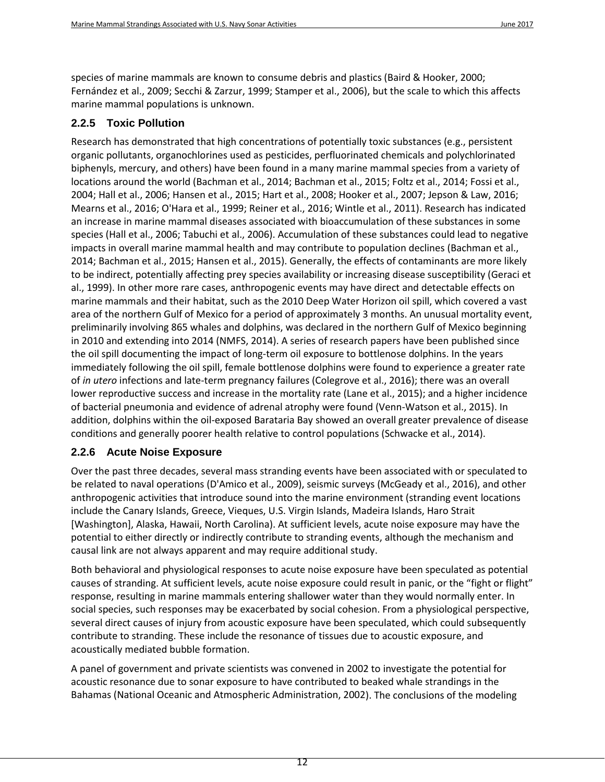species of marine mammals are known to consume debris and plastics [\(Baird & Hooker, 2000;](#page-32-12) [Fernández et al., 2009;](#page-35-9) [Secchi & Zarzur, 1999;](#page-43-13) [Stamper et al., 2006\)](#page-44-12), but the scale to which this affects marine mammal populations is unknown.

#### <span id="page-15-0"></span>**2.2.5 Toxic Pollution**

Research has demonstrated that high concentrations of potentially toxic substances (e.g., persistent organic pollutants, organochlorines used as pesticides, perfluorinated chemicals and polychlorinated biphenyls, mercury, and others) have been found in a many marine mammal species from a variety of locations around the world [\(Bachman et al., 2014;](#page-31-8) [Bachman et al., 2015;](#page-31-5) [Foltz et al., 2014;](#page-36-14) [Fossi et al.,](#page-36-15)  [2004;](#page-36-15) [Hall et al., 2006;](#page-37-8) [Hansen et al., 2015;](#page-37-9) [Hart et al., 2008;](#page-37-10) [Hooker et al., 2007;](#page-37-11) [Jepson & Law, 2016;](#page-38-7) [Mearns et al., 2016;](#page-41-11) [O'Hara et al., 1999;](#page-42-10) [Reiner et al., 2016;](#page-43-14) [Wintle et al., 2011\)](#page-46-14). Research has indicated an increase in marine mammal diseases associated with bioaccumulation of these substances in some species [\(Hall et al., 2006;](#page-37-8) [Tabuchi et al., 2006\)](#page-44-13). Accumulation of these substances could lead to negative impacts in overall marine mammal health and may contribute to population declines [\(Bachman et al.,](#page-31-8)  [2014;](#page-31-8) [Bachman et al., 2015;](#page-31-5) [Hansen et al., 2015\)](#page-37-9). Generally, the effects of contaminants are more likely to be indirect, potentially affecting prey species availability or increasing disease susceptibility [\(Geraci et](#page-36-0)  [al., 1999\)](#page-36-0). In other more rare cases, anthropogenic events may have direct and detectable effects on marine mammals and their habitat, such as the 2010 Deep Water Horizon oil spill, which covered a vast area of the northern Gulf of Mexico for a period of approximately 3 months. An unusual mortality event, preliminarily involving 865 whales and dolphins, was declared in the northern Gulf of Mexico beginning in 2010 and extending into 2014 [\(NMFS, 2014\)](#page-42-11). A series of research papers have been published since the oil spill documenting the impact of long-term oil exposure to bottlenose dolphins. In the years immediately following the oil spill, female bottlenose dolphins were found to experience a greater rate of *in utero* infections and late-term pregnancy failures [\(Colegrove et al., 2016\)](#page-33-14); there was an overall lower reproductive success and increase in the mortality rate [\(Lane et al., 2015\)](#page-39-14); and a higher incidence of bacterial pneumonia and evidence of adrenal atrophy were found [\(Venn-Watson et al., 2015\)](#page-45-9). In addition, dolphins within the oil-exposed Barataria Bay showed an overall greater prevalence of disease conditions and generally poorer health relative to control populations [\(Schwacke et al., 2014\)](#page-43-15).

#### <span id="page-15-1"></span>**2.2.6 Acute Noise Exposure**

Over the past three decades, several mass stranding events have been associated with or speculated to be related to naval operations [\(D'Amico et al., 2009\)](#page-34-8), seismic surveys [\(McGeady et al., 2016\)](#page-41-1), and other anthropogenic activities that introduce sound into the marine environment (stranding event locations include the Canary Islands, Greece, Vieques, U.S. Virgin Islands, Madeira Islands, Haro Strait [Washington], Alaska, Hawaii, North Carolina). At sufficient levels, acute noise exposure may have the potential to either directly or indirectly contribute to stranding events, although the mechanism and causal link are not always apparent and may require additional study.

Both behavioral and physiological responses to acute noise exposure have been speculated as potential causes of stranding. At sufficient levels, acute noise exposure could result in panic, or the "fight or flight" response, resulting in marine mammals entering shallower water than they would normally enter. In social species, such responses may be exacerbated by social cohesion. From a physiological perspective, several direct causes of injury from acoustic exposure have been speculated, which could subsequently contribute to stranding. These include the resonance of tissues due to acoustic exposure, and acoustically mediated bubble formation.

A panel of government and private scientists was convened in 2002 to investigate the potential for acoustic resonance due to sonar exposure to have contributed to beaked whale strandings in the Bahamas [\(National Oceanic and Atmospheric Administration, 2002\)](#page-42-12). The conclusions of the modeling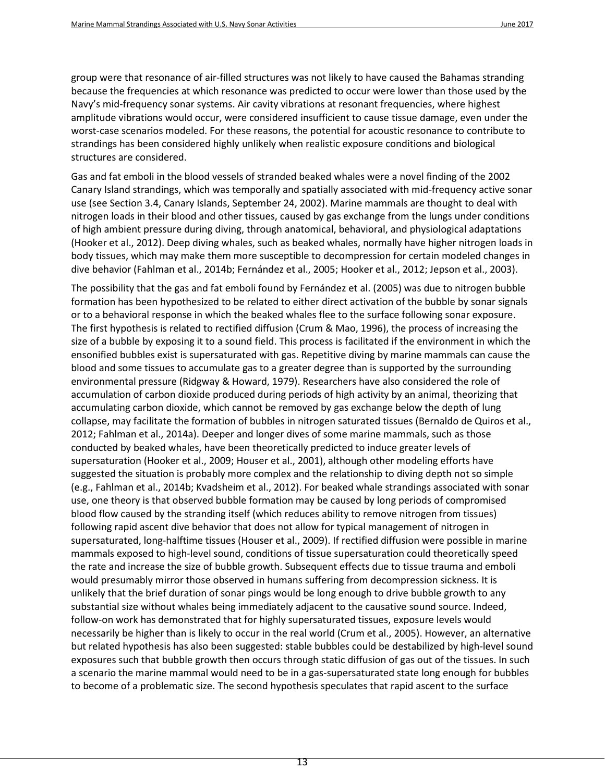group were that resonance of air-filled structures was not likely to have caused the Bahamas stranding because the frequencies at which resonance was predicted to occur were lower than those used by the Navy's mid-frequency sonar systems. Air cavity vibrations at resonant frequencies, where highest amplitude vibrations would occur, were considered insufficient to cause tissue damage, even under the worst-case scenarios modeled. For these reasons, the potential for acoustic resonance to contribute to strandings has been considered highly unlikely when realistic exposure conditions and biological structures are considered.

Gas and fat emboli in the blood vessels of stranded beaked whales were a novel finding of the 2002 Canary Island strandings, which was temporally and spatially associated with mid-frequency active sonar use (see Sectio[n 3.4,](#page-21-0) Canary Islands, September 24, 2002). Marine mammals are thought to deal with nitrogen loads in their blood and other tissues, caused by gas exchange from the lungs under conditions of high ambient pressure during diving, through anatomical, behavioral, and physiological adaptations [\(Hooker et al., 2012\)](#page-37-12). Deep diving whales, such as beaked whales, normally have higher nitrogen loads in body tissues, which may make them more susceptible to decompression for certain modeled changes in dive behavior [\(Fahlman et al., 2014b;](#page-35-10) [Fernández et al., 2005;](#page-35-11) [Hooker et al., 2012;](#page-37-12) [Jepson et al., 2003\)](#page-38-8).

The possibility that the gas and fat emboli found by Fernández et al. [\(2005\)](#page-35-11) was due to nitrogen bubble formation has been hypothesized to be related to either direct activation of the bubble by sonar signals or to a behavioral response in which the beaked whales flee to the surface following sonar exposure. The first hypothesis is related to rectified diffusion [\(Crum & Mao, 1996\)](#page-34-9), the process of increasing the size of a bubble by exposing it to a sound field. This process is facilitated if the environment in which the ensonified bubbles exist is supersaturated with gas. Repetitive diving by marine mammals can cause the blood and some tissues to accumulate gas to a greater degree than is supported by the surrounding environmental pressure [\(Ridgway & Howard, 1979\)](#page-43-16). Researchers have also considered the role of accumulation of carbon dioxide produced during periods of high activity by an animal, theorizing that accumulating carbon dioxide, which cannot be removed by gas exchange below the depth of lung collapse, may facilitate the formation of bubbles in nitrogen saturated tissues [\(Bernaldo de Quiros et al.,](#page-32-13)  [2012;](#page-32-13) [Fahlman et al., 2014a\)](#page-35-12). Deeper and longer dives of some marine mammals, such as those conducted by beaked whales, have been theoretically predicted to induce greater levels of supersaturation [\(Hooker et al., 2009;](#page-37-13) [Houser et al., 2001\)](#page-38-9), although other modeling efforts have suggested the situation is probably more complex and the relationship to diving depth not so simple (e.g., [Fahlman et al., 2014b;](#page-35-10) [Kvadsheim et al., 2012\)](#page-39-15). For beaked whale strandings associated with sonar use, one theory is that observed bubble formation may be caused by long periods of compromised blood flow caused by the stranding itself (which reduces ability to remove nitrogen from tissues) following rapid ascent dive behavior that does not allow for typical management of nitrogen in supersaturated, long-halftime tissues [\(Houser et al., 2009\)](#page-38-10). If rectified diffusion were possible in marine mammals exposed to high-level sound, conditions of tissue supersaturation could theoretically speed the rate and increase the size of bubble growth. Subsequent effects due to tissue trauma and emboli would presumably mirror those observed in humans suffering from decompression sickness. It is unlikely that the brief duration of sonar pings would be long enough to drive bubble growth to any substantial size without whales being immediately adjacent to the causative sound source. Indeed, follow-on work has demonstrated that for highly supersaturated tissues, exposure levels would necessarily be higher than is likely to occur in the real world [\(Crum et al., 2005\)](#page-34-10). However, an alternative but related hypothesis has also been suggested: stable bubbles could be destabilized by high-level sound exposures such that bubble growth then occurs through static diffusion of gas out of the tissues. In such a scenario the marine mammal would need to be in a gas-supersaturated state long enough for bubbles to become of a problematic size. The second hypothesis speculates that rapid ascent to the surface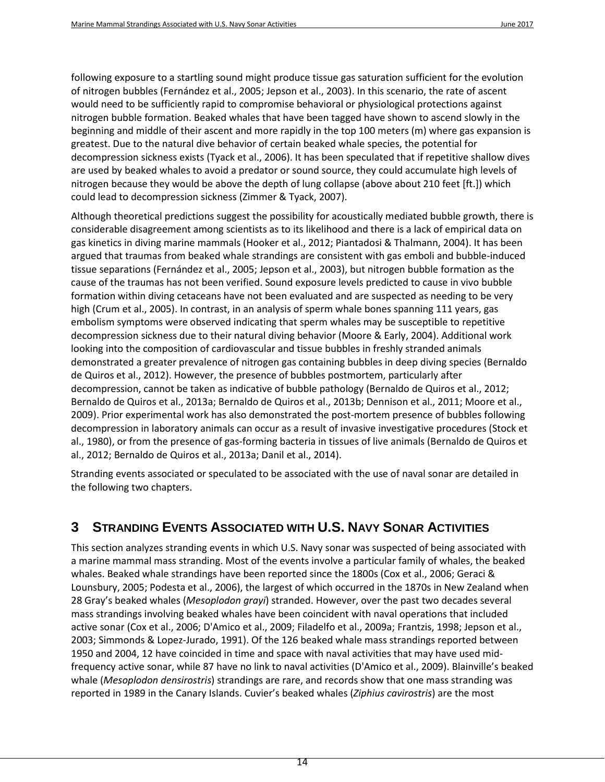following exposure to a startling sound might produce tissue gas saturation sufficient for the evolution of nitrogen bubbles [\(Fernández et al., 2005;](#page-35-11) [Jepson et al., 2003\)](#page-38-8). In this scenario, the rate of ascent would need to be sufficiently rapid to compromise behavioral or physiological protections against nitrogen bubble formation. Beaked whales that have been tagged have shown to ascend slowly in the beginning and middle of their ascent and more rapidly in the top 100 meters (m) where gas expansion is greatest. Due to the natural dive behavior of certain beaked whale species, the potential for decompression sickness exists [\(Tyack et al., 2006\)](#page-45-10). It has been speculated that if repetitive shallow dives are used by beaked whales to avoid a predator or sound source, they could accumulate high levels of nitrogen because they would be above the depth of lung collapse (above about 210 feet [ft.]) which could lead to decompression sickness [\(Zimmer & Tyack, 2007\)](#page-46-15).

Although theoretical predictions suggest the possibility for acoustically mediated bubble growth, there is considerable disagreement among scientists as to its likelihood and there is a lack of empirical data on gas kinetics in diving marine mammals [\(Hooker et al., 2012;](#page-37-12) [Piantadosi & Thalmann, 2004\)](#page-43-17). It has been argued that traumas from beaked whale strandings are consistent with gas emboli and bubble-induced tissue separations [\(Fernández et al., 2005;](#page-35-11) [Jepson et al., 2003\)](#page-38-8), but nitrogen bubble formation as the cause of the traumas has not been verified. Sound exposure levels predicted to cause in vivo bubble formation within diving cetaceans have not been evaluated and are suspected as needing to be very high [\(Crum et al., 2005\)](#page-34-10). In contrast, in an analysis of sperm whale bones spanning 111 years, gas embolism symptoms were observed indicating that sperm whales may be susceptible to repetitive decompression sickness due to their natural diving behavior [\(Moore & Early, 2004\)](#page-41-12). Additional work looking into the composition of cardiovascular and tissue bubbles in freshly stranded animals demonstrated a greater prevalence of nitrogen gas containing bubbles in deep diving species [\(Bernaldo](#page-32-13)  [de Quiros et al., 2012\)](#page-32-13). However, the presence of bubbles postmortem, particularly after decompression, cannot be taken as indicative of bubble pathology [\(Bernaldo de Quiros et al., 2012;](#page-32-13) [Bernaldo de Quiros et al., 2013a;](#page-32-14) [Bernaldo de Quiros et al., 2013b;](#page-32-15) [Dennison et al., 2011;](#page-34-11) [Moore et al.,](#page-41-13)  [2009\)](#page-41-13). Prior experimental work has also demonstrated the post-mortem presence of bubbles following decompression in laboratory animals can occur as a result of invasive investigative procedures [\(Stock et](#page-44-14)  [al., 1980\)](#page-44-14), or from the presence of gas-forming bacteria in tissues of live animals [\(Bernaldo de Quiros et](#page-32-13)  [al., 2012;](#page-32-13) [Bernaldo de Quiros et al., 2013a;](#page-32-14) [Danil et al., 2014\)](#page-34-2).

Stranding events associated or speculated to be associated with the use of naval sonar are detailed in the following two chapters.

## <span id="page-17-0"></span>**3 STRANDING EVENTS ASSOCIATED WITH U.S. NAVY SONAR ACTIVITIES**

This section analyzes stranding events in which U.S. Navy sonar was suspected of being associated with a marine mammal mass stranding. Most of the events involve a particular family of whales, the beaked whales. Beaked whale strandings have been reported since the 1800s [\(Cox et al., 2006;](#page-34-12) [Geraci &](#page-36-1)  [Lounsbury, 2005;](#page-36-1) [Podesta et al., 2006\)](#page-43-18), the largest of which occurred in the 1870s in New Zealand when 28 Gray's beaked whales (*Mesoplodon grayi*) stranded. However, over the past two decades several mass strandings involving beaked whales have been coincident with naval operations that included active sonar [\(Cox et al., 2006;](#page-34-12) [D'Amico et al., 2009;](#page-34-8) [Filadelfo et al., 2009a;](#page-35-13) [Frantzis, 1998;](#page-36-16) [Jepson et al.,](#page-38-8)  [2003;](#page-38-8) [Simmonds & Lopez-Jurado, 1991\)](#page-44-0). Of the 126 beaked whale mass strandings reported between 1950 and 2004, 12 have coincided in time and space with naval activities that may have used midfrequency active sonar, while 87 have no link to naval activities [\(D'Amico et al., 2009\)](#page-34-8). Blainville's beaked whale (*Mesoplodon densirostris*) strandings are rare, and records show that one mass stranding was reported in 1989 in the Canary Islands. Cuvier's beaked whales (*Ziphius cavirostris*) are the most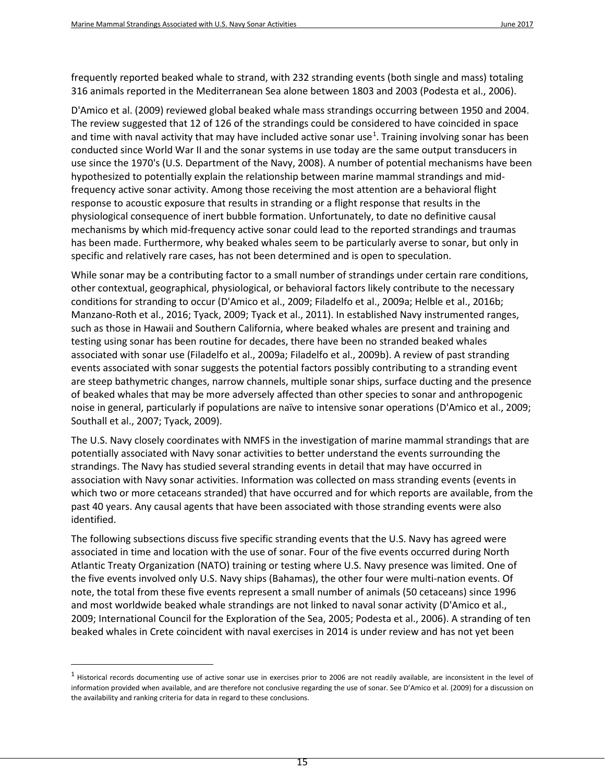frequently reported beaked whale to strand, with 232 stranding events (both single and mass) totaling 316 animals reported in the Mediterranean Sea alone between 1803 and 2003 [\(Podesta et al., 2006\)](#page-43-18).

D'Amico et al. [\(2009\)](#page-34-8) reviewed global beaked whale mass strandings occurring between 1950 and 2004. The review suggested that 12 of 126 of the strandings could be considered to have coincided in space and time with naval activity that may have included active sonar use<sup>[1](#page-18-0)</sup>. Training involving sonar has been conducted since World War II and the sonar systems in use today are the same output transducers in use since the 1970's [\(U.S. Department of the Navy, 2008\)](#page-45-11). A number of potential mechanisms have been hypothesized to potentially explain the relationship between marine mammal strandings and midfrequency active sonar activity. Among those receiving the most attention are a behavioral flight response to acoustic exposure that results in stranding or a flight response that results in the physiological consequence of inert bubble formation. Unfortunately, to date no definitive causal mechanisms by which mid-frequency active sonar could lead to the reported strandings and traumas has been made. Furthermore, why beaked whales seem to be particularly averse to sonar, but only in specific and relatively rare cases, has not been determined and is open to speculation.

While sonar may be a contributing factor to a small number of strandings under certain rare conditions, other contextual, geographical, physiological, or behavioral factors likely contribute to the necessary conditions for stranding to occur [\(D'Amico et al., 2009;](#page-34-8) [Filadelfo et al., 2009a;](#page-35-13) [Helble et al., 2016b;](#page-37-14) [Manzano-Roth et al., 2016;](#page-40-11) [Tyack, 2009;](#page-45-12) [Tyack et al., 2011\)](#page-45-13). In established Navy instrumented ranges, such as those in Hawaii and Southern California, where beaked whales are present and training and testing using sonar has been routine for decades, there have been no stranded beaked whales associated with sonar use [\(Filadelfo et al., 2009a;](#page-35-13) [Filadelfo et al., 2009b\)](#page-35-14). A review of past stranding events associated with sonar suggests the potential factors possibly contributing to a stranding event are steep bathymetric changes, narrow channels, multiple sonar ships, surface ducting and the presence of beaked whales that may be more adversely affected than other species to sonar and anthropogenic noise in general, particularly if populations are naïve to intensive sonar operations [\(D'Amico et al., 2009;](#page-34-8) [Southall et al., 2007;](#page-44-15) [Tyack, 2009\)](#page-45-12).

The U.S. Navy closely coordinates with NMFS in the investigation of marine mammal strandings that are potentially associated with Navy sonar activities to better understand the events surrounding the strandings. The Navy has studied several stranding events in detail that may have occurred in association with Navy sonar activities. Information was collected on mass stranding events (events in which two or more cetaceans stranded) that have occurred and for which reports are available, from the past 40 years. Any causal agents that have been associated with those stranding events were also identified.

The following subsections discuss five specific stranding events that the U.S. Navy has agreed were associated in time and location with the use of sonar. Four of the five events occurred during North Atlantic Treaty Organization (NATO) training or testing where U.S. Navy presence was limited. One of the five events involved only U.S. Navy ships (Bahamas), the other four were multi-nation events. Of note, the total from these five events represent a small number of animals (50 cetaceans) since 1996 and most worldwide beaked whale strandings are not linked to naval sonar activity [\(D'Amico et al.,](#page-34-8)  [2009;](#page-34-8) [International Council for the Exploration of the Sea, 2005;](#page-38-11) [Podesta et al., 2006\)](#page-43-18). A stranding of ten beaked whales in Crete coincident with naval exercises in 2014 is under review and has not yet been

<span id="page-18-0"></span> $<sup>1</sup>$  Historical records documenting use of active sonar use in exercises prior to 2006 are not readily available, are inconsistent in the level of</sup> information provided when available, and are therefore not conclusive regarding the use of sonar. See D'Amico et al. [\(2009\)](#page-34-8) for a discussion on the availability and ranking criteria for data in regard to these conclusions.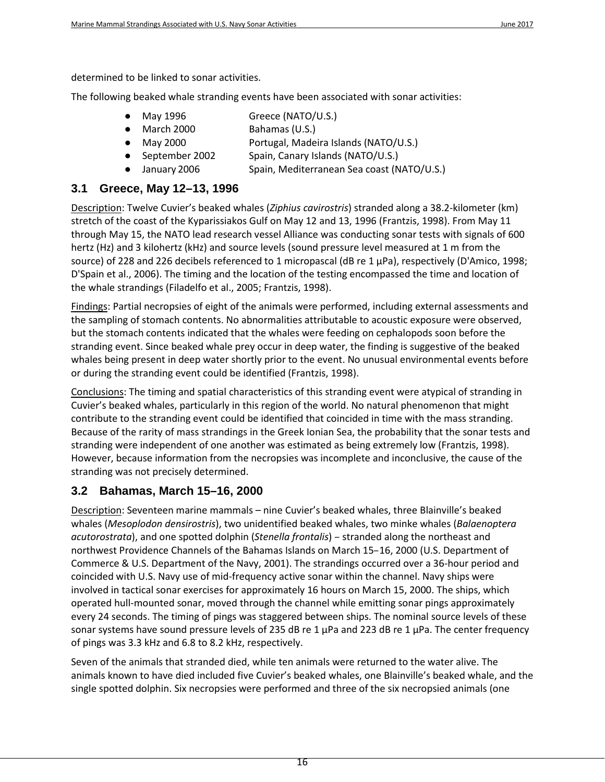determined to be linked to sonar activities.

The following beaked whale stranding events have been associated with sonar activities:

- May 1996 Greece (NATO/U.S.)
- March 2000 Bahamas (U.S.)
- May 2000 Portugal, Madeira Islands (NATO/U.S.)
- September 2002 Spain, Canary Islands (NATO/U.S.)
- January 2006 Spain, Mediterranean Sea coast (NATO/U.S.)

#### <span id="page-19-0"></span>**3.1 Greece, May 12–13, 1996**

Description: Twelve Cuvier's beaked whales (*Ziphius cavirostris*) stranded along a 38.2-kilometer (km) stretch of the coast of the Kyparissiakos Gulf on May 12 and 13, 1996 [\(Frantzis, 1998\)](#page-36-16). From May 11 through May 15, the NATO lead research vessel Alliance was conducting sonar tests with signals of 600 hertz (Hz) and 3 kilohertz (kHz) and source levels (sound pressure level measured at 1 m from the source) of 228 and 226 decibels referenced to 1 micropascal (dB re 1 µPa), respectively [\(D'Amico, 1998;](#page-34-13) [D'Spain et al., 2006\)](#page-34-14). The timing and the location of the testing encompassed the time and location of the whale strandings [\(Filadelfo et al., 2005;](#page-35-15) [Frantzis, 1998\)](#page-36-16).

Findings: Partial necropsies of eight of the animals were performed, including external assessments and the sampling of stomach contents. No abnormalities attributable to acoustic exposure were observed, but the stomach contents indicated that the whales were feeding on cephalopods soon before the stranding event. Since beaked whale prey occur in deep water, the finding is suggestive of the beaked whales being present in deep water shortly prior to the event. No unusual environmental events before or during the stranding event could be identified [\(Frantzis, 1998\)](#page-36-16).

Conclusions: The timing and spatial characteristics of this stranding event were atypical of stranding in Cuvier's beaked whales, particularly in this region of the world. No natural phenomenon that might contribute to the stranding event could be identified that coincided in time with the mass stranding. Because of the rarity of mass strandings in the Greek Ionian Sea, the probability that the sonar tests and stranding were independent of one another was estimated as being extremely low [\(Frantzis, 1998\)](#page-36-16). However, because information from the necropsies was incomplete and inconclusive, the cause of the stranding was not precisely determined.

#### <span id="page-19-1"></span>**3.2 Bahamas, March 15–16, 2000**

Description: Seventeen marine mammals – nine Cuvier's beaked whales, three Blainville's beaked whales (*Mesoplodon densirostris*), two unidentified beaked whales, two minke whales (*Balaenoptera acutorostrata*), and one spotted dolphin (*Stenella frontalis*) – stranded along the northeast and northwest Providence Channels of the Bahamas Islands on March 15–16, 2000 [\(U.S. Department of](#page-45-14)  [Commerce & U.S. Department of the Navy, 2001\)](#page-45-14). The strandings occurred over a 36-hour period and coincided with U.S. Navy use of mid-frequency active sonar within the channel. Navy ships were involved in tactical sonar exercises for approximately 16 hours on March 15, 2000. The ships, which operated hull-mounted sonar, moved through the channel while emitting sonar pings approximately every 24 seconds. The timing of pings was staggered between ships. The nominal source levels of these sonar systems have sound pressure levels of 235 dB re 1  $\mu$ Pa and 223 dB re 1  $\mu$ Pa. The center frequency of pings was 3.3 kHz and 6.8 to 8.2 kHz, respectively.

Seven of the animals that stranded died, while ten animals were returned to the water alive. The animals known to have died included five Cuvier's beaked whales, one Blainville's beaked whale, and the single spotted dolphin. Six necropsies were performed and three of the six necropsied animals (one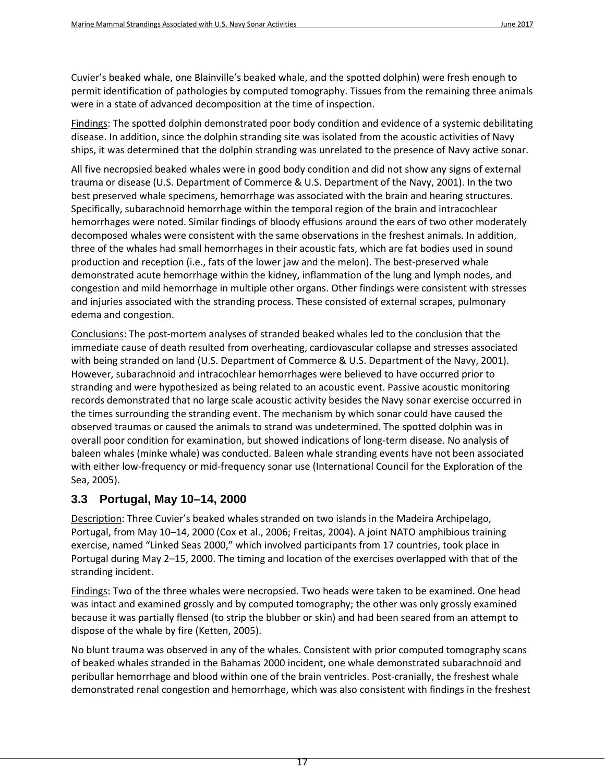Cuvier's beaked whale, one Blainville's beaked whale, and the spotted dolphin) were fresh enough to permit identification of pathologies by computed tomography. Tissues from the remaining three animals were in a state of advanced decomposition at the time of inspection.

Findings: The spotted dolphin demonstrated poor body condition and evidence of a systemic debilitating disease. In addition, since the dolphin stranding site was isolated from the acoustic activities of Navy ships, it was determined that the dolphin stranding was unrelated to the presence of Navy active sonar.

All five necropsied beaked whales were in good body condition and did not show any signs of external trauma or disease [\(U.S. Department of Commerce & U.S. Department of the Navy, 2001\)](#page-45-14). In the two best preserved whale specimens, hemorrhage was associated with the brain and hearing structures. Specifically, subarachnoid hemorrhage within the temporal region of the brain and intracochlear hemorrhages were noted. Similar findings of bloody effusions around the ears of two other moderately decomposed whales were consistent with the same observations in the freshest animals. In addition, three of the whales had small hemorrhages in their acoustic fats, which are fat bodies used in sound production and reception (i.e., fats of the lower jaw and the melon). The best-preserved whale demonstrated acute hemorrhage within the kidney, inflammation of the lung and lymph nodes, and congestion and mild hemorrhage in multiple other organs. Other findings were consistent with stresses and injuries associated with the stranding process. These consisted of external scrapes, pulmonary edema and congestion.

Conclusions: The post-mortem analyses of stranded beaked whales led to the conclusion that the immediate cause of death resulted from overheating, cardiovascular collapse and stresses associated with being stranded on land [\(U.S. Department of Commerce & U.S. Department of the Navy, 2001\)](#page-45-14). However, subarachnoid and intracochlear hemorrhages were believed to have occurred prior to stranding and were hypothesized as being related to an acoustic event. Passive acoustic monitoring records demonstrated that no large scale acoustic activity besides the Navy sonar exercise occurred in the times surrounding the stranding event. The mechanism by which sonar could have caused the observed traumas or caused the animals to strand was undetermined. The spotted dolphin was in overall poor condition for examination, but showed indications of long-term disease. No analysis of baleen whales (minke whale) was conducted. Baleen whale stranding events have not been associated with either low-frequency or mid-frequency sonar use [\(International Council for the Exploration of the](#page-38-11)  [Sea, 2005\)](#page-38-11).

#### <span id="page-20-0"></span>**3.3 Portugal, May 10–14, 2000**

Description: Three Cuvier's beaked whales stranded on two islands in the Madeira Archipelago, Portugal, from May 10–14, 2000 [\(Cox et al., 2006;](#page-34-12) [Freitas, 2004\)](#page-36-2). A joint NATO amphibious training exercise, named "Linked Seas 2000," which involved participants from 17 countries, took place in Portugal during May 2–15, 2000. The timing and location of the exercises overlapped with that of the stranding incident.

Findings: Two of the three whales were necropsied. Two heads were taken to be examined. One head was intact and examined grossly and by computed tomography; the other was only grossly examined because it was partially flensed (to strip the blubber or skin) and had been seared from an attempt to dispose of the whale by fire [\(Ketten, 2005\)](#page-38-12).

No blunt trauma was observed in any of the whales. Consistent with prior computed tomography scans of beaked whales stranded in the Bahamas 2000 incident, one whale demonstrated subarachnoid and peribullar hemorrhage and blood within one of the brain ventricles. Post-cranially, the freshest whale demonstrated renal congestion and hemorrhage, which was also consistent with findings in the freshest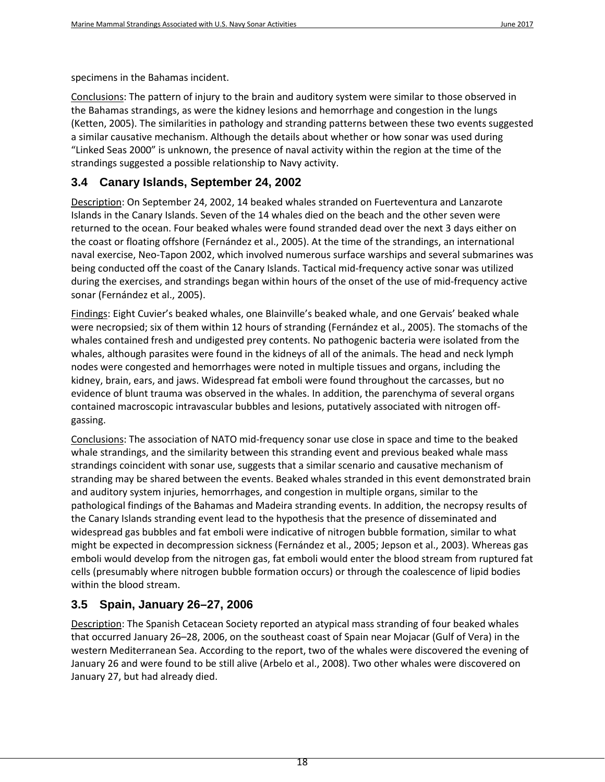specimens in the Bahamas incident.

Conclusions: The pattern of injury to the brain and auditory system were similar to those observed in the Bahamas strandings, as were the kidney lesions and hemorrhage and congestion in the lungs [\(Ketten, 2005\)](#page-38-12). The similarities in pathology and stranding patterns between these two events suggested a similar causative mechanism. Although the details about whether or how sonar was used during "Linked Seas 2000" is unknown, the presence of naval activity within the region at the time of the strandings suggested a possible relationship to Navy activity.

#### <span id="page-21-0"></span>**3.4 Canary Islands, September 24, 2002**

Description: On September 24, 2002, 14 beaked whales stranded on Fuerteventura and Lanzarote Islands in the Canary Islands. Seven of the 14 whales died on the beach and the other seven were returned to the ocean. Four beaked whales were found stranded dead over the next 3 days either on the coast or floating offshore [\(Fernández et al., 2005\)](#page-35-11). At the time of the strandings, an international naval exercise, Neo-Tapon 2002, which involved numerous surface warships and several submarines was being conducted off the coast of the Canary Islands. Tactical mid-frequency active sonar was utilized during the exercises, and strandings began within hours of the onset of the use of mid-frequency active sonar [\(Fernández et al., 2005\)](#page-35-11).

Findings: Eight Cuvier's beaked whales, one Blainville's beaked whale, and one Gervais' beaked whale were necropsied; six of them within 12 hours of stranding [\(Fernández et al., 2005\)](#page-35-11). The stomachs of the whales contained fresh and undigested prey contents. No pathogenic bacteria were isolated from the whales, although parasites were found in the kidneys of all of the animals. The head and neck lymph nodes were congested and hemorrhages were noted in multiple tissues and organs, including the kidney, brain, ears, and jaws. Widespread fat emboli were found throughout the carcasses, but no evidence of blunt trauma was observed in the whales. In addition, the parenchyma of several organs contained macroscopic intravascular bubbles and lesions, putatively associated with nitrogen offgassing.

Conclusions: The association of NATO mid-frequency sonar use close in space and time to the beaked whale strandings, and the similarity between this stranding event and previous beaked whale mass strandings coincident with sonar use, suggests that a similar scenario and causative mechanism of stranding may be shared between the events. Beaked whales stranded in this event demonstrated brain and auditory system injuries, hemorrhages, and congestion in multiple organs, similar to the pathological findings of the Bahamas and Madeira stranding events. In addition, the necropsy results of the Canary Islands stranding event lead to the hypothesis that the presence of disseminated and widespread gas bubbles and fat emboli were indicative of nitrogen bubble formation, similar to what might be expected in decompression sickness [\(Fernández et al., 2005;](#page-35-11) [Jepson et al., 2003\)](#page-38-8). Whereas gas emboli would develop from the nitrogen gas, fat emboli would enter the blood stream from ruptured fat cells (presumably where nitrogen bubble formation occurs) or through the coalescence of lipid bodies within the blood stream.

#### <span id="page-21-1"></span>**3.5 Spain, January 26–27, 2006**

Description: The Spanish Cetacean Society reported an atypical mass stranding of four beaked whales that occurred January 26–28, 2006, on the southeast coast of Spain near Mojacar (Gulf of Vera) in the western Mediterranean Sea. According to the report, two of the whales were discovered the evening of January 26 and were found to be still alive [\(Arbelo et al., 2008\)](#page-31-9). Two other whales were discovered on January 27, but had already died.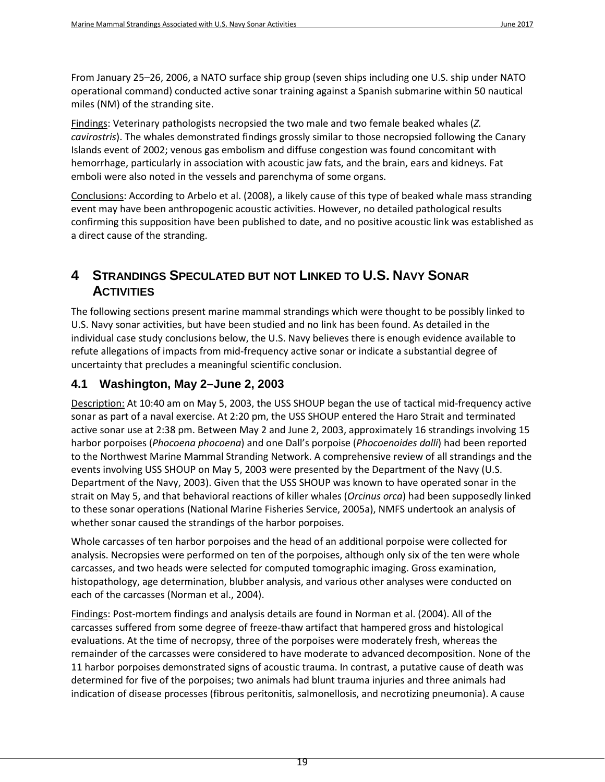From January 25–26, 2006, a NATO surface ship group (seven ships including one U.S. ship under NATO operational command) conducted active sonar training against a Spanish submarine within 50 nautical miles (NM) of the stranding site.

Findings: Veterinary pathologists necropsied the two male and two female beaked whales (*Z. cavirostris*). The whales demonstrated findings grossly similar to those necropsied following the Canary Islands event of 2002; venous gas embolism and diffuse congestion was found concomitant with hemorrhage, particularly in association with acoustic jaw fats, and the brain, ears and kidneys. Fat emboli were also noted in the vessels and parenchyma of some organs.

Conclusions: According to [Arbelo et al. \(2008\),](#page-31-9) a likely cause of this type of beaked whale mass stranding event may have been anthropogenic acoustic activities. However, no detailed pathological results confirming this supposition have been published to date, and no positive acoustic link was established as a direct cause of the stranding.

## <span id="page-22-0"></span>**4 STRANDINGS SPECULATED BUT NOT LINKED TO U.S. NAVY SONAR ACTIVITIES**

The following sections present marine mammal strandings which were thought to be possibly linked to U.S. Navy sonar activities, but have been studied and no link has been found. As detailed in the individual case study conclusions below, the U.S. Navy believes there is enough evidence available to refute allegations of impacts from mid-frequency active sonar or indicate a substantial degree of uncertainty that precludes a meaningful scientific conclusion.

#### <span id="page-22-1"></span>**4.1 Washington, May 2–June 2, 2003**

Description: At 10:40 am on May 5, 2003, the USS SHOUP began the use of tactical mid-frequency active sonar as part of a naval exercise. At 2:20 pm, the USS SHOUP entered the Haro Strait and terminated active sonar use at 2:38 pm. Between May 2 and June 2, 2003, approximately 16 strandings involving 15 harbor porpoises (*Phocoena phocoena*) and one Dall's porpoise (*Phocoenoides dalli*) had been reported to the Northwest Marine Mammal Stranding Network. A comprehensive review of all strandings and the events involving USS SHOUP on May 5, 2003 were presented by the Department of the Navy [\(U.S.](#page-45-15)  [Department of the Navy, 2003\)](#page-45-15). Given that the USS SHOUP was known to have operated sonar in the strait on May 5, and that behavioral reactions of killer whales (*Orcinus orca*) had been supposedly linked to these sonar operations [\(National Marine Fisheries Service, 2005a\)](#page-41-14), NMFS undertook an analysis of whether sonar caused the strandings of the harbor porpoises.

Whole carcasses of ten harbor porpoises and the head of an additional porpoise were collected for analysis. Necropsies were performed on ten of the porpoises, although only six of the ten were whole carcasses, and two heads were selected for computed tomographic imaging. Gross examination, histopathology, age determination, blubber analysis, and various other analyses were conducted on each of the carcasses [\(Norman et al., 2004\)](#page-42-13).

Findings: Post-mortem findings and analysis details are found in Norman et al. [\(2004\)](#page-42-13). All of the carcasses suffered from some degree of freeze-thaw artifact that hampered gross and histological evaluations. At the time of necropsy, three of the porpoises were moderately fresh, whereas the remainder of the carcasses were considered to have moderate to advanced decomposition. None of the 11 harbor porpoises demonstrated signs of acoustic trauma. In contrast, a putative cause of death was determined for five of the porpoises; two animals had blunt trauma injuries and three animals had indication of disease processes (fibrous peritonitis, salmonellosis, and necrotizing pneumonia). A cause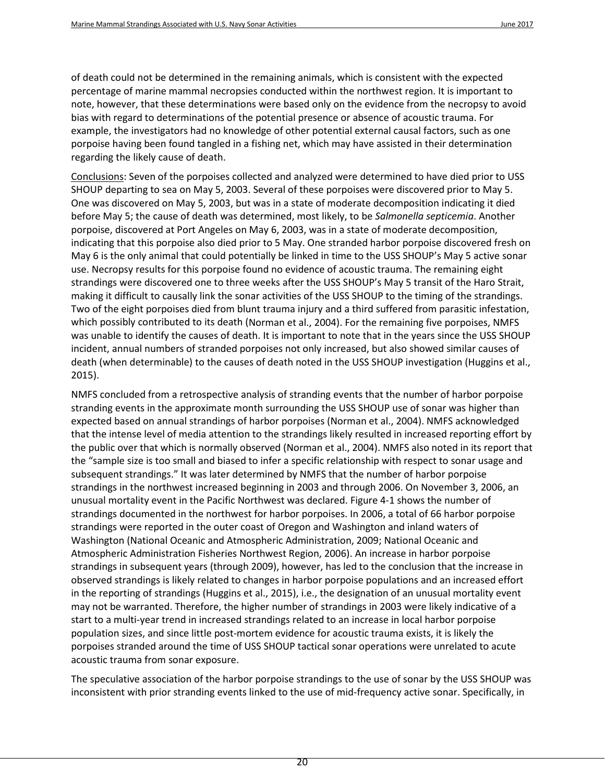of death could not be determined in the remaining animals, which is consistent with the expected percentage of marine mammal necropsies conducted within the northwest region. It is important to note, however, that these determinations were based only on the evidence from the necropsy to avoid bias with regard to determinations of the potential presence or absence of acoustic trauma. For example, the investigators had no knowledge of other potential external causal factors, such as one porpoise having been found tangled in a fishing net, which may have assisted in their determination regarding the likely cause of death.

Conclusions: Seven of the porpoises collected and analyzed were determined to have died prior to USS SHOUP departing to sea on May 5, 2003. Several of these porpoises were discovered prior to May 5. One was discovered on May 5, 2003, but was in a state of moderate decomposition indicating it died before May 5; the cause of death was determined, most likely, to be *Salmonella septicemia*. Another porpoise, discovered at Port Angeles on May 6, 2003, was in a state of moderate decomposition, indicating that this porpoise also died prior to 5 May. One stranded harbor porpoise discovered fresh on May 6 is the only animal that could potentially be linked in time to the USS SHOUP's May 5 active sonar use. Necropsy results for this porpoise found no evidence of acoustic trauma. The remaining eight strandings were discovered one to three weeks after the USS SHOUP's May 5 transit of the Haro Strait, making it difficult to causally link the sonar activities of the USS SHOUP to the timing of the strandings. Two of the eight porpoises died from blunt trauma injury and a third suffered from parasitic infestation, which possibly contributed to its death [\(Norman et al., 2004\)](#page-42-13). For the remaining five porpoises, NMFS was unable to identify the causes of death. It is important to note that in the years since the USS SHOUP incident, annual numbers of stranded porpoises not only increased, but also showed similar causes of death (when determinable) to the causes of death noted in the USS SHOUP investigation [\(Huggins et al.,](#page-38-13)  [2015\)](#page-38-13).

NMFS concluded from a retrospective analysis of stranding events that the number of harbor porpoise stranding events in the approximate month surrounding the USS SHOUP use of sonar was higher than expected based on annual strandings of harbor porpoises [\(Norman et al., 2004\)](#page-42-13). NMFS acknowledged that the intense level of media attention to the strandings likely resulted in increased reporting effort by the public over that which is normally observed [\(Norman et al., 2004\)](#page-42-13). NMFS also noted in its report that the "sample size is too small and biased to infer a specific relationship with respect to sonar usage and subsequent strandings." It was later determined by NMFS that the number of harbor porpoise strandings in the northwest increased beginning in 2003 and through 2006. On November 3, 2006, an unusual mortality event in the Pacific Northwest was declared. Figure 4-1 shows the number of strandings documented in the northwest for harbor porpoises. In 2006, a total of 66 harbor porpoise strandings were reported in the outer coast of Oregon and Washington and inland waters of Washington [\(National Oceanic and Atmospheric Administration, 2009;](#page-42-14) [National Oceanic and](#page-42-15)  [Atmospheric Administration Fisheries Northwest Region, 2006\)](#page-42-15). An increase in harbor porpoise strandings in subsequent years (through 2009), however, has led to the conclusion that the increase in observed strandings is likely related to changes in harbor porpoise populations and an increased effort in the reporting of strandings [\(Huggins et al., 2015\)](#page-38-13), i.e., the designation of an unusual mortality event may not be warranted. Therefore, the higher number of strandings in 2003 were likely indicative of a start to a multi-year trend in increased strandings related to an increase in local harbor porpoise population sizes, and since little post-mortem evidence for acoustic trauma exists, it is likely the porpoises stranded around the time of USS SHOUP tactical sonar operations were unrelated to acute acoustic trauma from sonar exposure.

The speculative association of the harbor porpoise strandings to the use of sonar by the USS SHOUP was inconsistent with prior stranding events linked to the use of mid-frequency active sonar. Specifically, in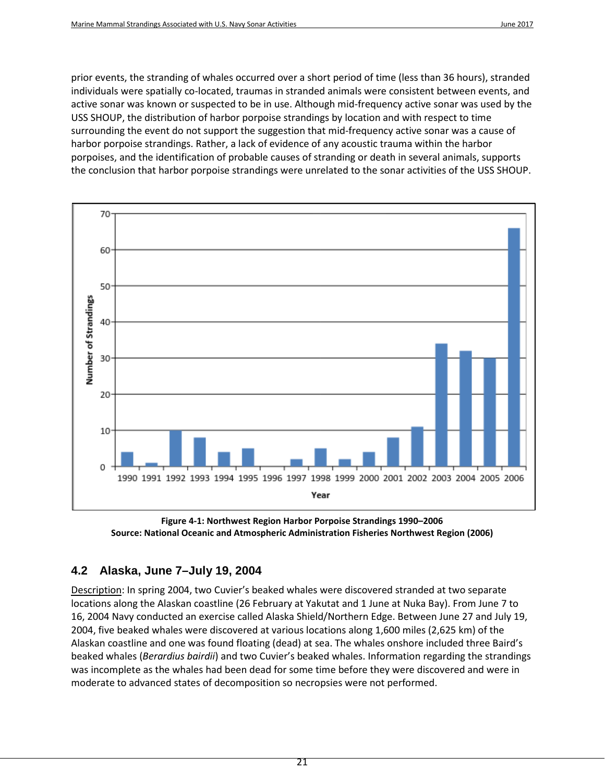prior events, the stranding of whales occurred over a short period of time (less than 36 hours), stranded individuals were spatially co-located, traumas in stranded animals were consistent between events, and active sonar was known or suspected to be in use. Although mid-frequency active sonar was used by the USS SHOUP, the distribution of harbor porpoise strandings by location and with respect to time surrounding the event do not support the suggestion that mid-frequency active sonar was a cause of harbor porpoise strandings. Rather, a lack of evidence of any acoustic trauma within the harbor porpoises, and the identification of probable causes of stranding or death in several animals, supports the conclusion that harbor porpoise strandings were unrelated to the sonar activities of the USS SHOUP.



<span id="page-24-1"></span>**Figure 4-1: Northwest Region Harbor Porpoise Strandings 1990–2006 Source: [National Oceanic and Atmospheric Administration Fisheries Northwest Region \(2006\)](#page-42-15)**

## <span id="page-24-0"></span>**4.2 Alaska, June 7–July 19, 2004**

Description: In spring 2004, two Cuvier's beaked whales were discovered stranded at two separate locations along the Alaskan coastline (26 February at Yakutat and 1 June at Nuka Bay). From June 7 to 16, 2004 Navy conducted an exercise called Alaska Shield/Northern Edge. Between June 27 and July 19, 2004, five beaked whales were discovered at various locations along 1,600 miles (2,625 km) of the Alaskan coastline and one was found floating (dead) at sea. The whales onshore included three Baird's beaked whales (*Berardius bairdii*) and two Cuvier's beaked whales. Information regarding the strandings was incomplete as the whales had been dead for some time before they were discovered and were in moderate to advanced states of decomposition so necropsies were not performed.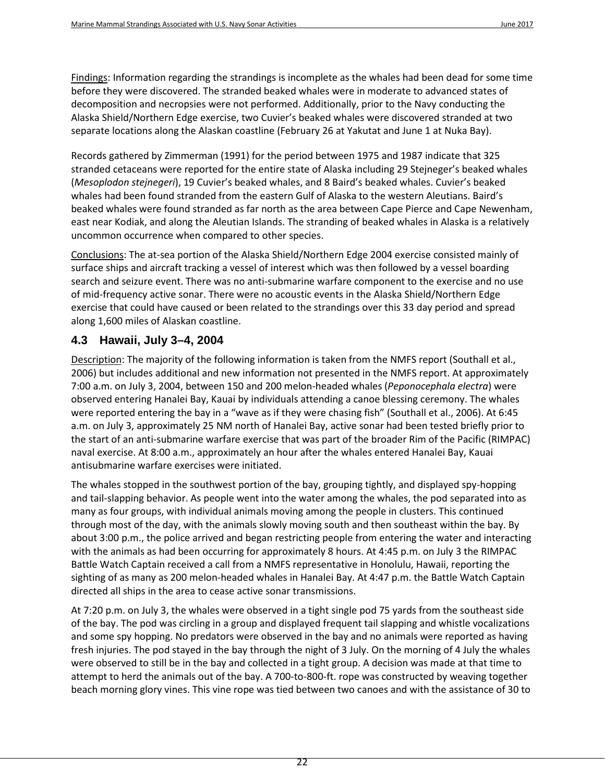Findings: Information regarding the strandings is incomplete as the whales had been dead for some time before they were discovered. The stranded beaked whales were in moderate to advanced states of decomposition and necropsies were not performed. Additionally, prior to the Navy conducting the Alaska Shield/Northern Edge exercise, two Cuvier's beaked whales were discovered stranded at two separate locations along the Alaskan coastline (February 26 at Yakutat and June 1 at Nuka Bay).

Records gathered by Zimmerman [\(1991\)](#page-46-16) for the period between 1975 and 1987 indicate that 325 stranded cetaceans were reported for the entire state of Alaska including 29 Stejneger's beaked whales (*Mesoplodon stejnegeri*), 19 Cuvier's beaked whales, and 8 Baird's beaked whales. Cuvier's beaked whales had been found stranded from the eastern Gulf of Alaska to the western Aleutians. Baird's beaked whales were found stranded as far north as the area between Cape Pierce and Cape Newenham, east near Kodiak, and along the Aleutian Islands. The stranding of beaked whales in Alaska is a relatively uncommon occurrence when compared to other species.

Conclusions: The at-sea portion of the Alaska Shield/Northern Edge 2004 exercise consisted mainly of surface ships and aircraft tracking a vessel of interest which was then followed by a vessel boarding search and seizure event. There was no anti-submarine warfare component to the exercise and no use of mid-frequency active sonar. There were no acoustic events in the Alaska Shield/Northern Edge exercise that could have caused or been related to the strandings over this 33 day period and spread along 1,600 miles of Alaskan coastline.

## <span id="page-25-0"></span>**4.3 Hawaii, July 3–4, 2004**

Description: The majority of the following information is taken from the NMFS report [\(Southall et al.,](#page-44-1)  [2006\)](#page-44-1) but includes additional and new information not presented in the NMFS report. At approximately 7:00 a.m. on July 3, 2004, between 150 and 200 melon-headed whales (*Peponocephala electra*) were observed entering Hanalei Bay, Kauai by individuals attending a canoe blessing ceremony. The whales were reported entering the bay in a "wave as if they were chasing fish" [\(Southall et al., 2006\)](#page-44-1). At 6:45 a.m. on July 3, approximately 25 NM north of Hanalei Bay, active sonar had been tested briefly prior to the start of an anti-submarine warfare exercise that was part of the broader Rim of the Pacific (RIMPAC) naval exercise. At 8:00 a.m., approximately an hour after the whales entered Hanalei Bay, Kauai antisubmarine warfare exercises were initiated.

The whales stopped in the southwest portion of the bay, grouping tightly, and displayed spy-hopping and tail-slapping behavior. As people went into the water among the whales, the pod separated into as many as four groups, with individual animals moving among the people in clusters. This continued through most of the day, with the animals slowly moving south and then southeast within the bay. By about 3:00 p.m., the police arrived and began restricting people from entering the water and interacting with the animals as had been occurring for approximately 8 hours. At 4:45 p.m. on July 3 the RIMPAC Battle Watch Captain received a call from a NMFS representative in Honolulu, Hawaii, reporting the sighting of as many as 200 melon-headed whales in Hanalei Bay. At 4:47 p.m. the Battle Watch Captain directed all ships in the area to cease active sonar transmissions.

At 7:20 p.m. on July 3, the whales were observed in a tight single pod 75 yards from the southeast side of the bay. The pod was circling in a group and displayed frequent tail slapping and whistle vocalizations and some spy hopping. No predators were observed in the bay and no animals were reported as having fresh injuries. The pod stayed in the bay through the night of 3 July. On the morning of 4 July the whales were observed to still be in the bay and collected in a tight group. A decision was made at that time to attempt to herd the animals out of the bay. A 700-to-800-ft. rope was constructed by weaving together beach morning glory vines. This vine rope was tied between two canoes and with the assistance of 30 to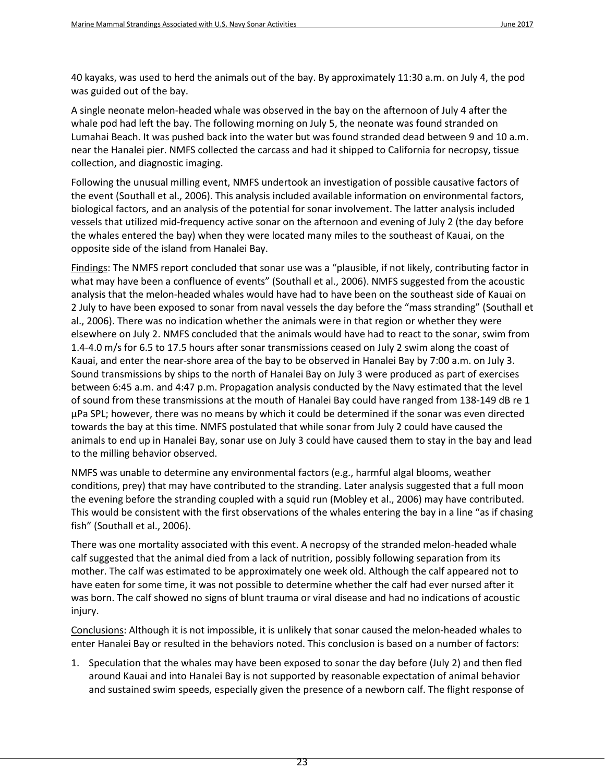40 kayaks, was used to herd the animals out of the bay. By approximately 11:30 a.m. on July 4, the pod was guided out of the bay.

A single neonate melon-headed whale was observed in the bay on the afternoon of July 4 after the whale pod had left the bay. The following morning on July 5, the neonate was found stranded on Lumahai Beach. It was pushed back into the water but was found stranded dead between 9 and 10 a.m. near the Hanalei pier. NMFS collected the carcass and had it shipped to California for necropsy, tissue collection, and diagnostic imaging.

Following the unusual milling event, NMFS undertook an investigation of possible causative factors of the event [\(Southall et al., 2006\)](#page-44-1). This analysis included available information on environmental factors, biological factors, and an analysis of the potential for sonar involvement. The latter analysis included vessels that utilized mid-frequency active sonar on the afternoon and evening of July 2 (the day before the whales entered the bay) when they were located many miles to the southeast of Kauai, on the opposite side of the island from Hanalei Bay.

Findings: The NMFS report concluded that sonar use was a "plausible, if not likely, contributing factor in what may have been a confluence of events" [\(Southall et al., 2006\)](#page-44-1). NMFS suggested from the acoustic analysis that the melon-headed whales would have had to have been on the southeast side of Kauai on 2 July to have been exposed to sonar from naval vessels the day before the "mass stranding" [\(Southall et](#page-44-1)  [al., 2006\)](#page-44-1). There was no indication whether the animals were in that region or whether they were elsewhere on July 2. NMFS concluded that the animals would have had to react to the sonar, swim from 1.4-4.0 m/s for 6.5 to 17.5 hours after sonar transmissions ceased on July 2 swim along the coast of Kauai, and enter the near-shore area of the bay to be observed in Hanalei Bay by 7:00 a.m. on July 3. Sound transmissions by ships to the north of Hanalei Bay on July 3 were produced as part of exercises between 6:45 a.m. and 4:47 p.m. Propagation analysis conducted by the Navy estimated that the level of sound from these transmissions at the mouth of Hanalei Bay could have ranged from 138-149 dB re 1 μPa SPL; however, there was no means by which it could be determined if the sonar was even directed towards the bay at this time. NMFS postulated that while sonar from July 2 could have caused the animals to end up in Hanalei Bay, sonar use on July 3 could have caused them to stay in the bay and lead to the milling behavior observed.

NMFS was unable to determine any environmental factors (e.g., harmful algal blooms, weather conditions, prey) that may have contributed to the stranding. Later analysis suggested that a full moon the evening before the stranding coupled with a squid run [\(Mobley et al., 2006\)](#page-41-15) may have contributed. This would be consistent with the first observations of the whales entering the bay in a line "as if chasing fish" [\(Southall et al., 2006\)](#page-44-1).

There was one mortality associated with this event. A necropsy of the stranded melon-headed whale calf suggested that the animal died from a lack of nutrition, possibly following separation from its mother. The calf was estimated to be approximately one week old. Although the calf appeared not to have eaten for some time, it was not possible to determine whether the calf had ever nursed after it was born. The calf showed no signs of blunt trauma or viral disease and had no indications of acoustic injury.

Conclusions: Although it is not impossible, it is unlikely that sonar caused the melon-headed whales to enter Hanalei Bay or resulted in the behaviors noted. This conclusion is based on a number of factors:

1. Speculation that the whales may have been exposed to sonar the day before (July 2) and then fled around Kauai and into Hanalei Bay is not supported by reasonable expectation of animal behavior and sustained swim speeds, especially given the presence of a newborn calf. The flight response of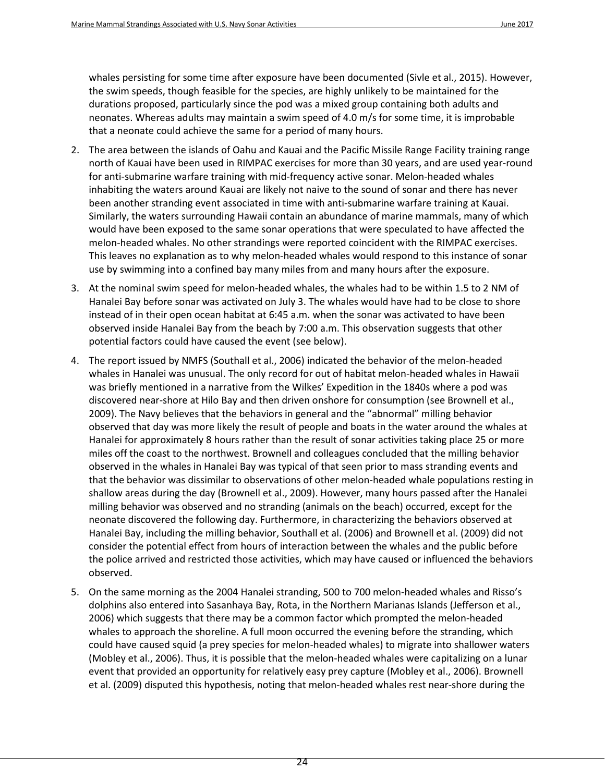whales persisting for some time after exposure have been documented [\(Sivle et al., 2015\)](#page-44-16). However, the swim speeds, though feasible for the species, are highly unlikely to be maintained for the durations proposed, particularly since the pod was a mixed group containing both adults and neonates. Whereas adults may maintain a swim speed of 4.0 m/s for some time, it is improbable that a neonate could achieve the same for a period of many hours.

- 2. The area between the islands of Oahu and Kauai and the Pacific Missile Range Facility training range north of Kauai have been used in RIMPAC exercises for more than 30 years, and are used year-round for anti-submarine warfare training with mid-frequency active sonar. Melon-headed whales inhabiting the waters around Kauai are likely not naive to the sound of sonar and there has never been another stranding event associated in time with anti-submarine warfare training at Kauai. Similarly, the waters surrounding Hawaii contain an abundance of marine mammals, many of which would have been exposed to the same sonar operations that were speculated to have affected the melon-headed whales. No other strandings were reported coincident with the RIMPAC exercises. This leaves no explanation as to why melon-headed whales would respond to this instance of sonar use by swimming into a confined bay many miles from and many hours after the exposure.
- 3. At the nominal swim speed for melon-headed whales, the whales had to be within 1.5 to 2 NM of Hanalei Bay before sonar was activated on July 3. The whales would have had to be close to shore instead of in their open ocean habitat at 6:45 a.m. when the sonar was activated to have been observed inside Hanalei Bay from the beach by 7:00 a.m. This observation suggests that other potential factors could have caused the event (see below).
- 4. The report issued by NMFS [\(Southall et al., 2006\)](#page-44-1) indicated the behavior of the melon-headed whales in Hanalei was unusual. The only record for out of habitat melon-headed whales in Hawaii was briefly mentioned in a narrative from the Wilkes' Expedition in the 1840s where a pod was discovered near-shore at Hilo Bay and then driven onshore for consumption [\(see Brownell et al.,](#page-33-15)  [2009\)](#page-33-15). The Navy believes that the behaviors in general and the "abnormal" milling behavior observed that day was more likely the result of people and boats in the water around the whales at Hanalei for approximately 8 hours rather than the result of sonar activities taking place 25 or more miles off the coast to the northwest. Brownell and colleagues concluded that the milling behavior observed in the whales in Hanalei Bay was typical of that seen prior to mass stranding events and that the behavior was dissimilar to observations of other melon-headed whale populations resting in shallow areas during the day [\(Brownell et al., 2009\)](#page-33-15). However, many hours passed after the Hanalei milling behavior was observed and no stranding (animals on the beach) occurred, except for the neonate discovered the following day. Furthermore, in characterizing the behaviors observed at Hanalei Bay, including the milling behavior, Southall et al. [\(2006\)](#page-44-1) and Brownell et al. [\(2009\)](#page-33-15) did not consider the potential effect from hours of interaction between the whales and the public before the police arrived and restricted those activities, which may have caused or influenced the behaviors observed.
- 5. On the same morning as the 2004 Hanalei stranding, 500 to 700 melon-headed whales and Risso's dolphins also entered into Sasanhaya Bay, Rota, in the Northern Marianas Islands [\(Jefferson et al.,](#page-38-14)  [2006\)](#page-38-14) which suggests that there may be a common factor which prompted the melon-headed whales to approach the shoreline. A full moon occurred the evening before the stranding, which could have caused squid (a prey species for melon-headed whales) to migrate into shallower waters [\(Mobley et al., 2006\)](#page-41-15). Thus, it is possible that the melon-headed whales were capitalizing on a lunar event that provided an opportunity for relatively easy prey capture [\(Mobley et al., 2006\)](#page-41-15). Brownell et al. [\(2009\)](#page-33-15) disputed this hypothesis, noting that melon-headed whales rest near-shore during the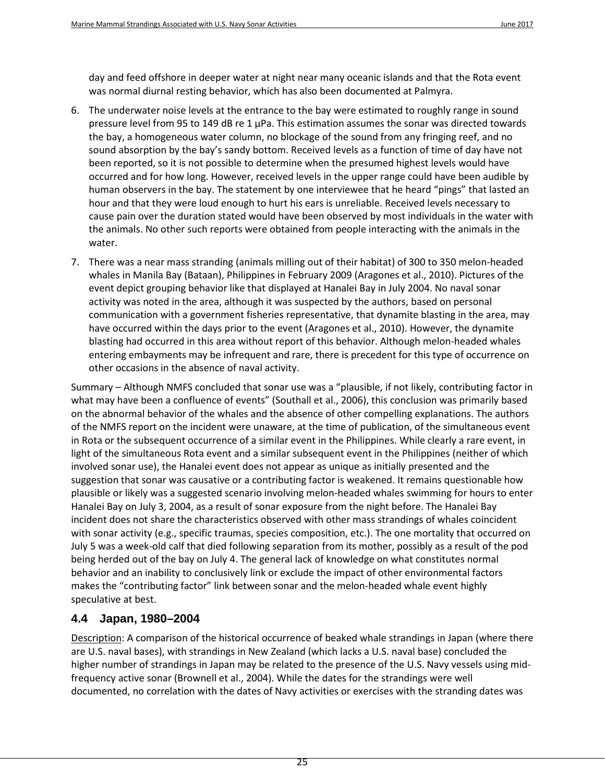day and feed offshore in deeper water at night near many oceanic islands and that the Rota event was normal diurnal resting behavior, which has also been documented at Palmyra.

- 6. The underwater noise levels at the entrance to the bay were estimated to roughly range in sound pressure level from 95 to 149 dB re 1  $\mu$ Pa. This estimation assumes the sonar was directed towards the bay, a homogeneous water column, no blockage of the sound from any fringing reef, and no sound absorption by the bay's sandy bottom. Received levels as a function of time of day have not been reported, so it is not possible to determine when the presumed highest levels would have occurred and for how long. However, received levels in the upper range could have been audible by human observers in the bay. The statement by one interviewee that he heard "pings" that lasted an hour and that they were loud enough to hurt his ears is unreliable. Received levels necessary to cause pain over the duration stated would have been observed by most individuals in the water with the animals. No other such reports were obtained from people interacting with the animals in the water.
- 7. There was a near mass stranding (animals milling out of their habitat) of 300 to 350 melon-headed whales in Manila Bay (Bataan), Philippines in February 2009 [\(Aragones et al., 2010\)](#page-31-3). Pictures of the event depict grouping behavior like that displayed at Hanalei Bay in July 2004. No naval sonar activity was noted in the area, although it was suspected by the authors, based on personal communication with a government fisheries representative, that dynamite blasting in the area, may have occurred within the days prior to the event [\(Aragones et al., 2010\)](#page-31-3). However, the dynamite blasting had occurred in this area without report of this behavior. Although melon-headed whales entering embayments may be infrequent and rare, there is precedent for this type of occurrence on other occasions in the absence of naval activity.

Summary – Although NMFS concluded that sonar use was a "plausible, if not likely, contributing factor in what may have been a confluence of events" [\(Southall et al., 2006\)](#page-31-2), this conclusion was primarily based on the abnormal behavior of the whales and the absence of other compelling explanations. The authors of the NMFS report on the incident were unaware, at the time of publication, of the simultaneous event in Rota or the subsequent occurrence of a similar event in the Philippines. While clearly a rare event, in light of the simultaneous Rota event and a similar subsequent event in the Philippines (neither of which involved sonar use), the Hanalei event does not appear as unique as initially presented and the suggestion that sonar was causative or a contributing factor is weakened. It remains questionable how plausible or likely was a suggested scenario involving melon-headed whales swimming for hours to enter Hanalei Bay on July 3, 2004, as a result of sonar exposure from the night before. The Hanalei Bay incident does not share the characteristics observed with other mass strandings of whales coincident with sonar activity (e.g., specific traumas, species composition, etc.). The one mortality that occurred on July 5 was a week-old calf that died following separation from its mother, possibly as a result of the pod being herded out of the bay on July 4. The general lack of knowledge on what constitutes normal behavior and an inability to conclusively link or exclude the impact of other environmental factors makes the "contributing factor" link between sonar and the melon-headed whale event highly speculative at best.

## <span id="page-28-0"></span>**4.4 Japan, 1980–2004**

Description: A comparison of the historical occurrence of beaked whale strandings in Japan (where there are U.S. naval bases), with strandings in New Zealand (which lacks a U.S. naval base) concluded the higher number of strandings in Japan may be related to the presence of the U.S. Navy vessels using midfrequency active sonar [\(Brownell et al., 2004\)](#page-33-16). While the dates for the strandings were well documented, no correlation with the dates of Navy activities or exercises with the stranding dates was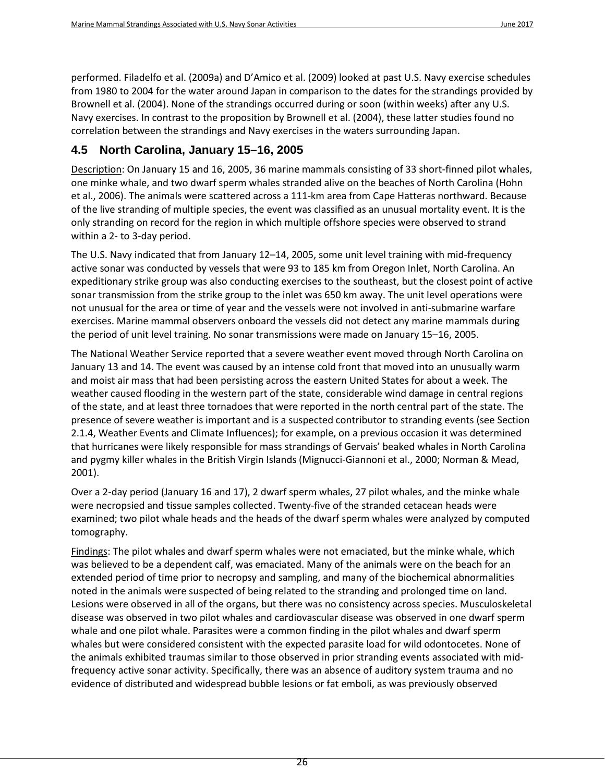performed. Filadelfo et al. [\(2009a\)](#page-35-13) and D'Amico et al. [\(2009\)](#page-34-8) looked at past U.S. Navy exercise schedules from 1980 to 2004 for the water around Japan in comparison to the dates for the strandings provided by Brownell et al. [\(2004\)](#page-33-16). None of the strandings occurred during or soon (within weeks) after any U.S. Navy exercises. In contrast to the proposition by Brownell et al. [\(2004\)](#page-33-16), these latter studies found no correlation between the strandings and Navy exercises in the waters surrounding Japan.

#### <span id="page-29-0"></span>**4.5 North Carolina, January 15–16, 2005**

Description: On January 15 and 16, 2005, 36 marine mammals consisting of 33 short-finned pilot whales, one minke whale, and two dwarf sperm whales stranded alive on the beaches of North Carolina [\(Hohn](#page-37-15)  [et al., 2006\)](#page-37-15). The animals were scattered across a 111-km area from Cape Hatteras northward. Because of the live stranding of multiple species, the event was classified as an unusual mortality event. It is the only stranding on record for the region in which multiple offshore species were observed to strand within a 2- to 3-day period.

The U.S. Navy indicated that from January 12–14, 2005, some unit level training with mid-frequency active sonar was conducted by vessels that were 93 to 185 km from Oregon Inlet, North Carolina. An expeditionary strike group was also conducting exercises to the southeast, but the closest point of active sonar transmission from the strike group to the inlet was 650 km away. The unit level operations were not unusual for the area or time of year and the vessels were not involved in anti-submarine warfare exercises. Marine mammal observers onboard the vessels did not detect any marine mammals during the period of unit level training. No sonar transmissions were made on January 15–16, 2005.

The National Weather Service reported that a severe weather event moved through North Carolina on January 13 and 14. The event was caused by an intense cold front that moved into an unusually warm and moist air mass that had been persisting across the eastern United States for about a week. The weather caused flooding in the western part of the state, considerable wind damage in central regions of the state, and at least three tornadoes that were reported in the north central part of the state. The presence of severe weather is important and is a suspected contributor to stranding events (see Section [2.1.4,](#page-9-1) Weather Events and Climate Influences); for example, on a previous occasion it was determined that hurricanes were likely responsible for mass strandings of Gervais' beaked whales in North Carolina and pygmy killer whales in the British Virgin Islands [\(Mignucci-Giannoni et al., 2000;](#page-41-5) [Norman & Mead,](#page-42-5)  [2001\)](#page-42-5).

Over a 2-day period (January 16 and 17), 2 dwarf sperm whales, 27 pilot whales, and the minke whale were necropsied and tissue samples collected. Twenty-five of the stranded cetacean heads were examined; two pilot whale heads and the heads of the dwarf sperm whales were analyzed by computed tomography.

Findings: The pilot whales and dwarf sperm whales were not emaciated, but the minke whale, which was believed to be a dependent calf, was emaciated. Many of the animals were on the beach for an extended period of time prior to necropsy and sampling, and many of the biochemical abnormalities noted in the animals were suspected of being related to the stranding and prolonged time on land. Lesions were observed in all of the organs, but there was no consistency across species. Musculoskeletal disease was observed in two pilot whales and cardiovascular disease was observed in one dwarf sperm whale and one pilot whale. Parasites were a common finding in the pilot whales and dwarf sperm whales but were considered consistent with the expected parasite load for wild odontocetes. None of the animals exhibited traumas similar to those observed in prior stranding events associated with midfrequency active sonar activity. Specifically, there was an absence of auditory system trauma and no evidence of distributed and widespread bubble lesions or fat emboli, as was previously observed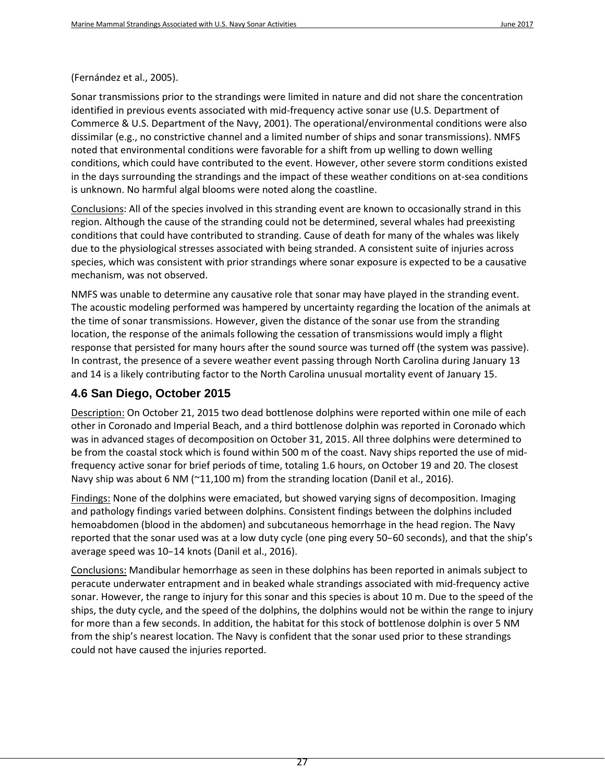[\(Fernández et al., 2005\)](#page-35-11).

Sonar transmissions prior to the strandings were limited in nature and did not share the concentration identified in previous events associated with mid-frequency active sonar use [\(U.S. Department of](#page-45-14)  [Commerce & U.S. Department of the Navy, 2001\)](#page-45-14). The operational/environmental conditions were also dissimilar (e.g., no constrictive channel and a limited number of ships and sonar transmissions). NMFS noted that environmental conditions were favorable for a shift from up welling to down welling conditions, which could have contributed to the event. However, other severe storm conditions existed in the days surrounding the strandings and the impact of these weather conditions on at-sea conditions is unknown. No harmful algal blooms were noted along the coastline.

Conclusions: All of the species involved in this stranding event are known to occasionally strand in this region. Although the cause of the stranding could not be determined, several whales had preexisting conditions that could have contributed to stranding. Cause of death for many of the whales was likely due to the physiological stresses associated with being stranded. A consistent suite of injuries across species, which was consistent with prior strandings where sonar exposure is expected to be a causative mechanism, was not observed.

NMFS was unable to determine any causative role that sonar may have played in the stranding event. The acoustic modeling performed was hampered by uncertainty regarding the location of the animals at the time of sonar transmissions. However, given the distance of the sonar use from the stranding location, the response of the animals following the cessation of transmissions would imply a flight response that persisted for many hours after the sound source was turned off (the system was passive). In contrast, the presence of a severe weather event passing through North Carolina during January 13 and 14 is a likely contributing factor to the North Carolina unusual mortality event of January 15.

## **4.6 San Diego, October 2015**

Description: On October 21, 2015 two dead bottlenose dolphins were reported within one mile of each other in Coronado and Imperial Beach, and a third bottlenose dolphin was reported in Coronado which was in advanced stages of decomposition on October 31, 2015. All three dolphins were determined to be from the coastal stock which is found within 500 m of the coast. Navy ships reported the use of midfrequency active sonar for brief periods of time, totaling 1.6 hours, on October 19 and 20. The closest Navy ship was about 6 NM ( $\approx$ 11,100 m) from the stranding location [\(Danil et al., 2016\)](#page-34-15).

Findings: None of the dolphins were emaciated, but showed varying signs of decomposition. Imaging and pathology findings varied between dolphins. Consistent findings between the dolphins included hemoabdomen (blood in the abdomen) and subcutaneous hemorrhage in the head region. The Navy reported that the sonar used was at a low duty cycle (one ping every 50–60 seconds), and that the ship's average speed was 10–14 knots [\(Danil et al., 2016\)](#page-34-15).

Conclusions: Mandibular hemorrhage as seen in these dolphins has been reported in animals subject to peracute underwater entrapment and in beaked whale strandings associated with mid-frequency active sonar. However, the range to injury for this sonar and this species is about 10 m. Due to the speed of the ships, the duty cycle, and the speed of the dolphins, the dolphins would not be within the range to injury for more than a few seconds. In addition, the habitat for this stock of bottlenose dolphin is over 5 NM from the ship's nearest location. The Navy is confident that the sonar used prior to these strandings could not have caused the injuries reported.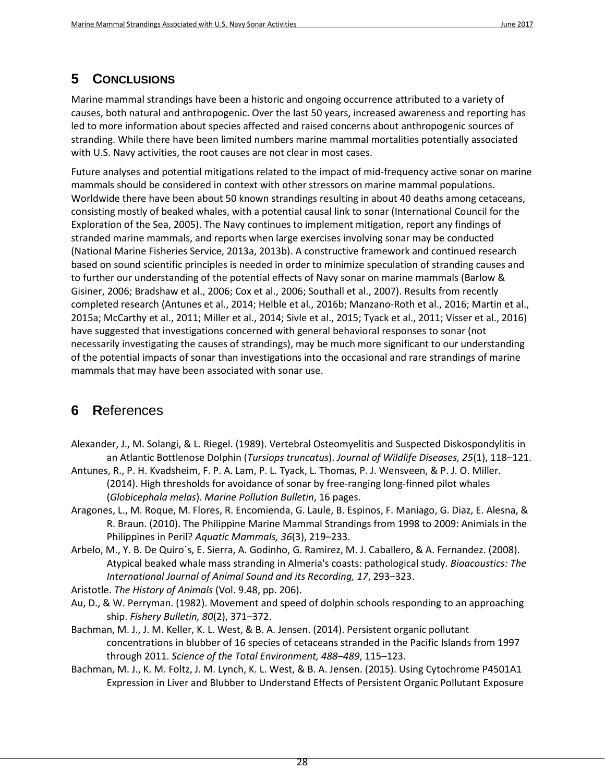## <span id="page-31-2"></span><span id="page-31-0"></span>**5 CONCLUSIONS**

Marine mammal strandings have been a historic and ongoing occurrence attributed to a variety of causes, both natural and anthropogenic. Over the last 50 years, increased awareness and reporting has led to more information about species affected and raised concerns about anthropogenic sources of stranding. While there have been limited numbers marine mammal mortalities potentially associated with U.S. Navy activities, the root causes are not clear in most cases.

Future analyses and potential mitigations related to the impact of mid-frequency active sonar on marine mammals should be considered in context with other stressors on marine mammal populations. Worldwide there have been about 50 known strandings resulting in about 40 deaths among cetaceans, consisting mostly of beaked whales, with a potential causal link to sonar [\(International Council for the](#page-38-11)  [Exploration of the Sea, 2005\)](#page-38-11). The Navy continues to implement mitigation, report any findings of stranded marine mammals, and reports when large exercises involving sonar may be conducted [\(National Marine Fisheries Service, 2013a,](#page-42-16) [2013b\)](#page-42-17). A constructive framework and continued research based on sound scientific principles is needed in order to minimize speculation of stranding causes and to further our understanding of the potential effects of Navy sonar on marine mammals [\(Barlow &](#page-32-16)  [Gisiner, 2006;](#page-32-16) [Bradshaw et al., 2006;](#page-33-0) [Cox et al., 2006;](#page-34-12) [Southall et al., 2007\)](#page-44-15). Results from recently completed research [\(Antunes et al., 2014;](#page-31-10) [Helble et al., 2016b;](#page-37-14) [Manzano-Roth et al., 2016;](#page-40-11) [Martin et al.,](#page-40-12)  [2015a;](#page-40-12) [McCarthy et al., 2011;](#page-40-13) [Miller et al., 2014;](#page-41-16) [Sivle et al., 2015;](#page-44-16) [Tyack et al., 2011;](#page-45-13) [Visser et al., 2016\)](#page-45-16) have suggested that investigations concerned with general behavioral responses to sonar (not necessarily investigating the causes of strandings), may be much more significant to our understanding of the potential impacts of sonar than investigations into the occasional and rare strandings of marine mammals that may have been associated with sonar use.

# <span id="page-31-1"></span>**6 R**eferences

- <span id="page-31-6"></span>Alexander, J., M. Solangi, & L. Riegel. (1989). Vertebral Osteomyelitis and Suspected Diskospondylitis in an Atlantic Bottlenose Dolphin (*Tursiops truncatus*). *Journal of Wildlife Diseases, 25*(1), 118–121.
- <span id="page-31-10"></span>Antunes, R., P. H. Kvadsheim, F. P. A. Lam, P. L. Tyack, L. Thomas, P. J. Wensveen, & P. J. O. Miller. (2014). High thresholds for avoidance of sonar by free-ranging long-finned pilot whales (*Globicephala melas*). *Marine Pollution Bulletin*, 16 pages.
- <span id="page-31-3"></span>Aragones, L., M. Roque, M. Flores, R. Encomienda, G. Laule, B. Espinos, F. Maniago, G. Diaz, E. Alesna, & R. Braun. (2010). The Philippine Marine Mammal Strandings from 1998 to 2009: Animials in the Philippines in Peril? *Aquatic Mammals, 36*(3), 219–233.
- <span id="page-31-9"></span>Arbelo, M., Y. B. De Quiro´s, E. Sierra, A. Godinho, G. Ramirez, M. J. Caballero, & A. Fernandez. (2008). Atypical beaked whale mass stranding in Almeria's coasts: pathological study. *Bioacoustics: The International Journal of Animal Sound and its Recording, 17*, 293–323.

<span id="page-31-4"></span>Aristotle. *The History of Animals* (Vol. 9.48, pp. 206).

- <span id="page-31-7"></span>Au, D., & W. Perryman. (1982). Movement and speed of dolphin schools responding to an approaching ship. *Fishery Bulletin, 80*(2), 371–372.
- <span id="page-31-8"></span>Bachman, M. J., J. M. Keller, K. L. West, & B. A. Jensen. (2014). Persistent organic pollutant concentrations in blubber of 16 species of cetaceans stranded in the Pacific Islands from 1997 through 2011. *Science of the Total Environment, 488–489*, 115–123.
- <span id="page-31-5"></span>Bachman, M. J., K. M. Foltz, J. M. Lynch, K. L. West, & B. A. Jensen. (2015). Using Cytochrome P4501A1 Expression in Liver and Blubber to Understand Effects of Persistent Organic Pollutant Exposure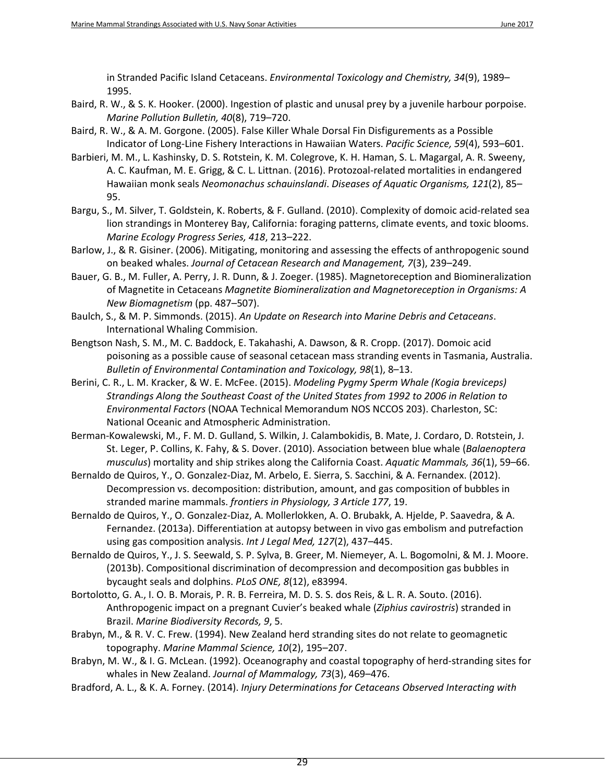in Stranded Pacific Island Cetaceans. *Environmental Toxicology and Chemistry, 34*(9), 1989– 1995.

- <span id="page-32-12"></span>Baird, R. W., & S. K. Hooker. (2000). Ingestion of plastic and unusal prey by a juvenile harbour porpoise. *Marine Pollution Bulletin, 40*(8), 719–720.
- <span id="page-32-8"></span>Baird, R. W., & A. M. Gorgone. (2005). False Killer Whale Dorsal Fin Disfigurements as a Possible Indicator of Long-Line Fishery Interactions in Hawaiian Waters. *Pacific Science, 59*(4), 593–601.
- <span id="page-32-0"></span>Barbieri, M. M., L. Kashinsky, D. S. Rotstein, K. M. Colegrove, K. H. Haman, S. L. Magargal, A. R. Sweeny, A. C. Kaufman, M. E. Grigg, & C. L. Littnan. (2016). Protozoal-related mortalities in endangered Hawaiian monk seals *Neomonachus schauinslandi*. *Diseases of Aquatic Organisms, 121*(2), 85– 95.
- <span id="page-32-1"></span>Bargu, S., M. Silver, T. Goldstein, K. Roberts, & F. Gulland. (2010). Complexity of domoic acid-related sea lion strandings in Monterey Bay, California: foraging patterns, climate events, and toxic blooms. *Marine Ecology Progress Series, 418*, 213–222.
- <span id="page-32-16"></span>Barlow, J., & R. Gisiner. (2006). Mitigating, monitoring and assessing the effects of anthropogenic sound on beaked whales. *Journal of Cetacean Research and Management, 7*(3), 239–249.
- <span id="page-32-4"></span>Bauer, G. B., M. Fuller, A. Perry, J. R. Dunn, & J. Zoeger. (1985). Magnetoreception and Biomineralization of Magnetite in Cetaceans *Magnetite Biomineralization and Magnetoreception in Organisms: A New Biomagnetism* (pp. 487–507).
- <span id="page-32-11"></span>Baulch, S., & M. P. Simmonds. (2015). *An Update on Research into Marine Debris and Cetaceans*. International Whaling Commision.
- <span id="page-32-2"></span>Bengtson Nash, S. M., M. C. Baddock, E. Takahashi, A. Dawson, & R. Cropp. (2017). Domoic acid poisoning as a possible cause of seasonal cetacean mass stranding events in Tasmania, Australia. *Bulletin of Environmental Contamination and Toxicology, 98*(1), 8–13.
- <span id="page-32-3"></span>Berini, C. R., L. M. Kracker, & W. E. McFee. (2015). *Modeling Pygmy Sperm Whale (Kogia breviceps) Strandings Along the Southeast Coast of the United States from 1992 to 2006 in Relation to Environmental Factors* (NOAA Technical Memorandum NOS NCCOS 203). Charleston, SC: National Oceanic and Atmospheric Administration.
- <span id="page-32-9"></span>Berman-Kowalewski, M., F. M. D. Gulland, S. Wilkin, J. Calambokidis, B. Mate, J. Cordaro, D. Rotstein, J. St. Leger, P. Collins, K. Fahy, & S. Dover. (2010). Association between blue whale (*Balaenoptera musculus*) mortality and ship strikes along the California Coast. *Aquatic Mammals, 36*(1), 59–66.
- <span id="page-32-13"></span>Bernaldo de Quiros, Y., O. Gonzalez-Diaz, M. Arbelo, E. Sierra, S. Sacchini, & A. Fernandex. (2012). Decompression vs. decomposition: distribution, amount, and gas composition of bubbles in stranded marine mammals. *frontiers in Physiology, 3 Article 177*, 19.
- <span id="page-32-14"></span>Bernaldo de Quiros, Y., O. Gonzalez-Diaz, A. Mollerlokken, A. O. Brubakk, A. Hjelde, P. Saavedra, & A. Fernandez. (2013a). Differentiation at autopsy between in vivo gas embolism and putrefaction using gas composition analysis. *Int J Legal Med, 127*(2), 437–445.
- <span id="page-32-15"></span>Bernaldo de Quiros, Y., J. S. Seewald, S. P. Sylva, B. Greer, M. Niemeyer, A. L. Bogomolni, & M. J. Moore. (2013b). Compositional discrimination of decompression and decomposition gas bubbles in bycaught seals and dolphins. *PLoS ONE, 8*(12), e83994.
- <span id="page-32-10"></span>Bortolotto, G. A., I. O. B. Morais, P. R. B. Ferreira, M. D. S. S. dos Reis, & L. R. A. Souto. (2016). Anthropogenic impact on a pregnant Cuvier's beaked whale (*Ziphius cavirostris*) stranded in Brazil. *Marine Biodiversity Records, 9*, 5.
- <span id="page-32-5"></span>Brabyn, M., & R. V. C. Frew. (1994). New Zealand herd stranding sites do not relate to geomagnetic topography. *Marine Mammal Science, 10*(2), 195–207.
- <span id="page-32-6"></span>Brabyn, M. W., & I. G. McLean. (1992). Oceanography and coastal topography of herd-stranding sites for whales in New Zealand. *Journal of Mammalogy, 73*(3), 469–476.
- <span id="page-32-7"></span>Bradford, A. L., & K. A. Forney. (2014). *Injury Determinations for Cetaceans Observed Interacting with*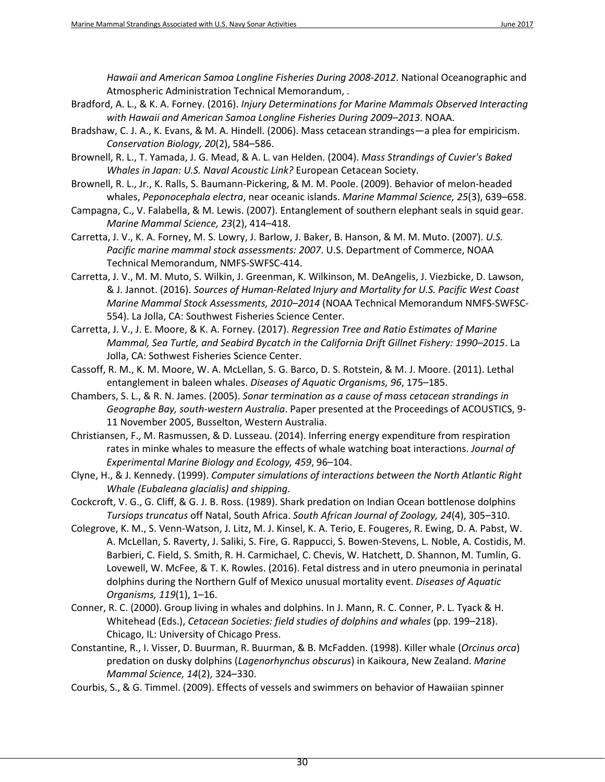*Hawaii and American Samoa Longline Fisheries During 2008-2012*. National Oceanographic and Atmospheric Administration Technical Memorandum, .

- <span id="page-33-8"></span>Bradford, A. L., & K. A. Forney. (2016). *Injury Determinations for Marine Mammals Observed Interacting with Hawaii and American Samoa Longline Fisheries During 2009–2013*. NOAA.
- <span id="page-33-0"></span>Bradshaw, C. J. A., K. Evans, & M. A. Hindell. (2006). Mass cetacean strandings—a plea for empiricism. *Conservation Biology, 20*(2), 584–586.
- <span id="page-33-16"></span>Brownell, R. L., T. Yamada, J. G. Mead, & A. L. van Helden. (2004). *Mass Strandings of Cuvier's Baked Whales in Japan: U.S. Naval Acoustic Link?* European Cetacean Society.
- <span id="page-33-15"></span>Brownell, R. L., Jr., K. Ralls, S. Baumann-Pickering, & M. M. Poole. (2009). Behavior of melon-headed whales, *Peponocephala electra*, near oceanic islands. *Marine Mammal Science, 25*(3), 639–658.
- <span id="page-33-9"></span>Campagna, C., V. Falabella, & M. Lewis. (2007). Entanglement of southern elephant seals in squid gear. *Marine Mammal Science, 23*(2), 414–418.
- <span id="page-33-1"></span>Carretta, J. V., K. A. Forney, M. S. Lowry, J. Barlow, J. Baker, B. Hanson, & M. M. Muto. (2007). *U.S. Pacific marine mammal stock assessments: 2007*. U.S. Department of Commerce, NOAA Technical Memorandum, NMFS-SWFSC-414.
- <span id="page-33-2"></span>Carretta, J. V., M. M. Muto, S. Wilkin, J. Greenman, K. Wilkinson, M. DeAngelis, J. Viezbicke, D. Lawson, & J. Jannot. (2016). *Sources of Human-Related Injury and Mortality for U.S. Pacific West Coast Marine Mammal Stock Assessments, 2010–2014* (NOAA Technical Memorandum NMFS-SWFSC-554). La Jolla, CA: Southwest Fisheries Science Center.
- <span id="page-33-10"></span>Carretta, J. V., J. E. Moore, & K. A. Forney. (2017). *Regression Tree and Ratio Estimates of Marine Mammal, Sea Turtle, and Seabird Bycatch in the California Drift Gillnet Fishery: 1990–2015*. La Jolla, CA: Sothwest Fisheries Science Center.
- <span id="page-33-3"></span>Cassoff, R. M., K. M. Moore, W. A. McLellan, S. G. Barco, D. S. Rotstein, & M. J. Moore. (2011). Lethal entanglement in baleen whales. *Diseases of Aquatic Organisms, 96*, 175–185.
- <span id="page-33-6"></span>Chambers, S. L., & R. N. James. (2005). *Sonar termination as a cause of mass cetacean strandings in Geographe Bay, south-western Australia*. Paper presented at the Proceedings of ACOUSTICS, 9- 11 November 2005, Busselton, Western Australia.
- <span id="page-33-13"></span>Christiansen, F., M. Rasmussen, & D. Lusseau. (2014). Inferring energy expenditure from respiration rates in minke whales to measure the effects of whale watching boat interactions. *Journal of Experimental Marine Biology and Ecology, 459*, 96–104.

<span id="page-33-11"></span>Clyne, H., & J. Kennedy. (1999). *Computer simulations of interactions between the North Atlantic Right Whale (Eubaleana glacialis) and shipping*.

- <span id="page-33-4"></span>Cockcroft, V. G., G. Cliff, & G. J. B. Ross. (1989). Shark predation on Indian Ocean bottlenose dolphins *Tursiops truncatus* off Natal, South Africa. *South African Journal of Zoology, 24*(4), 305–310.
- <span id="page-33-14"></span>Colegrove, K. M., S. Venn-Watson, J. Litz, M. J. Kinsel, K. A. Terio, E. Fougeres, R. Ewing, D. A. Pabst, W. A. McLellan, S. Raverty, J. Saliki, S. Fire, G. Rappucci, S. Bowen-Stevens, L. Noble, A. Costidis, M. Barbieri, C. Field, S. Smith, R. H. Carmichael, C. Chevis, W. Hatchett, D. Shannon, M. Tumlin, G. Lovewell, W. McFee, & T. K. Rowles. (2016). Fetal distress and in utero pneumonia in perinatal dolphins during the Northern Gulf of Mexico unusual mortality event. *Diseases of Aquatic Organisms, 119*(1), 1–16.
- <span id="page-33-7"></span>Conner, R. C. (2000). Group living in whales and dolphins. In J. Mann, R. C. Conner, P. L. Tyack & H. Whitehead (Eds.), *Cetacean Societies: field studies of dolphins and whales* (pp. 199–218). Chicago, IL: University of Chicago Press.
- <span id="page-33-5"></span>Constantine, R., I. Visser, D. Buurman, R. Buurman, & B. McFadden. (1998). Killer whale (*Orcinus orca*) predation on dusky dolphins (*Lagenorhynchus obscurus*) in Kaikoura, New Zealand. *Marine Mammal Science, 14*(2), 324–330.
- <span id="page-33-12"></span>Courbis, S., & G. Timmel. (2009). Effects of vessels and swimmers on behavior of Hawaiian spinner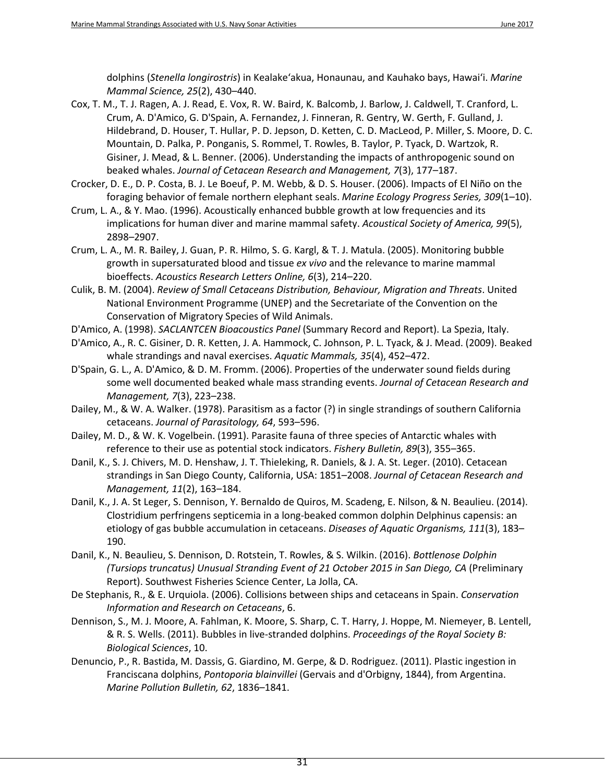dolphins (*Stenella longirostris*) in Kealake'akua, Honaunau, and Kauhako bays, Hawai'i. *Marine Mammal Science, 25*(2), 430–440.

- <span id="page-34-12"></span>Cox, T. M., T. J. Ragen, A. J. Read, E. Vox, R. W. Baird, K. Balcomb, J. Barlow, J. Caldwell, T. Cranford, L. Crum, A. D'Amico, G. D'Spain, A. Fernandez, J. Finneran, R. Gentry, W. Gerth, F. Gulland, J. Hildebrand, D. Houser, T. Hullar, P. D. Jepson, D. Ketten, C. D. MacLeod, P. Miller, S. Moore, D. C. Mountain, D. Palka, P. Ponganis, S. Rommel, T. Rowles, B. Taylor, P. Tyack, D. Wartzok, R. Gisiner, J. Mead, & L. Benner. (2006). Understanding the impacts of anthropogenic sound on beaked whales. *Journal of Cetacean Research and Management, 7*(3), 177–187.
- <span id="page-34-5"></span>Crocker, D. E., D. P. Costa, B. J. Le Boeuf, P. M. Webb, & D. S. Houser. (2006). Impacts of El Niño on the foraging behavior of female northern elephant seals. *Marine Ecology Progress Series, 309*(1–10).
- <span id="page-34-9"></span>Crum, L. A., & Y. Mao. (1996). Acoustically enhanced bubble growth at low frequencies and its implications for human diver and marine mammal safety. *Acoustical Society of America, 99*(5), 2898–2907.
- <span id="page-34-10"></span>Crum, L. A., M. R. Bailey, J. Guan, P. R. Hilmo, S. G. Kargl, & T. J. Matula. (2005). Monitoring bubble growth in supersaturated blood and tissue *ex vivo* and the relevance to marine mammal bioeffects. *Acoustics Research Letters Online, 6*(3), 214–220.
- <span id="page-34-1"></span>Culik, B. M. (2004). *Review of Small Cetaceans Distribution, Behaviour, Migration and Threats*. United National Environment Programme (UNEP) and the Secretariate of the Convention on the Conservation of Migratory Species of Wild Animals.
- <span id="page-34-13"></span>D'Amico, A. (1998). *SACLANTCEN Bioacoustics Panel* (Summary Record and Report). La Spezia, Italy.
- <span id="page-34-8"></span>D'Amico, A., R. C. Gisiner, D. R. Ketten, J. A. Hammock, C. Johnson, P. L. Tyack, & J. Mead. (2009). Beaked whale strandings and naval exercises. *Aquatic Mammals, 35*(4), 452–472.
- <span id="page-34-14"></span>D'Spain, G. L., A. D'Amico, & D. M. Fromm. (2006). Properties of the underwater sound fields during some well documented beaked whale mass stranding events. *Journal of Cetacean Research and Management, 7*(3), 223–238.
- <span id="page-34-4"></span>Dailey, M., & W. A. Walker. (1978). Parasitism as a factor (?) in single strandings of southern California cetaceans. *Journal of Parasitology, 64*, 593–596.
- <span id="page-34-3"></span>Dailey, M. D., & W. K. Vogelbein. (1991). Parasite fauna of three species of Antarctic whales with reference to their use as potential stock indicators. *Fishery Bulletin, 89*(3), 355–365.
- <span id="page-34-0"></span>Danil, K., S. J. Chivers, M. D. Henshaw, J. T. Thieleking, R. Daniels, & J. A. St. Leger. (2010). Cetacean strandings in San Diego County, California, USA: 1851–2008. *Journal of Cetacean Research and Management, 11*(2), 163–184.
- <span id="page-34-2"></span>Danil, K., J. A. St Leger, S. Dennison, Y. Bernaldo de Quiros, M. Scadeng, E. Nilson, & N. Beaulieu. (2014). Clostridium perfringens septicemia in a long-beaked common dolphin Delphinus capensis: an etiology of gas bubble accumulation in cetaceans. *Diseases of Aquatic Organisms, 111*(3), 183– 190.
- <span id="page-34-15"></span>Danil, K., N. Beaulieu, S. Dennison, D. Rotstein, T. Rowles, & S. Wilkin. (2016). *Bottlenose Dolphin (Tursiops truncatus) Unusual Stranding Event of 21 October 2015 in San Diego, CA* (Preliminary Report). Southwest Fisheries Science Center, La Jolla, CA.
- <span id="page-34-6"></span>De Stephanis, R., & E. Urquiola. (2006). Collisions between ships and cetaceans in Spain. *Conservation Information and Research on Cetaceans*, 6.
- <span id="page-34-11"></span>Dennison, S., M. J. Moore, A. Fahlman, K. Moore, S. Sharp, C. T. Harry, J. Hoppe, M. Niemeyer, B. Lentell, & R. S. Wells. (2011). Bubbles in live-stranded dolphins. *Proceedings of the Royal Society B: Biological Sciences*, 10.
- <span id="page-34-7"></span>Denuncio, P., R. Bastida, M. Dassis, G. Giardino, M. Gerpe, & D. Rodriguez. (2011). Plastic ingestion in Franciscana dolphins, *Pontoporia blainvillei* (Gervais and d'Orbigny, 1844), from Argentina. *Marine Pollution Bulletin, 62*, 1836–1841.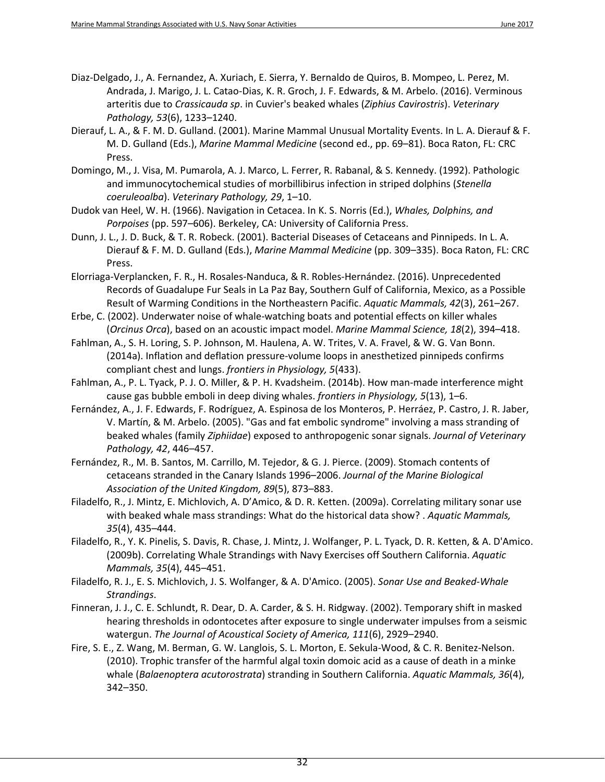- <span id="page-35-3"></span>Diaz-Delgado, J., A. Fernandez, A. Xuriach, E. Sierra, Y. Bernaldo de Quiros, B. Mompeo, L. Perez, M. Andrada, J. Marigo, J. L. Catao-Dias, K. R. Groch, J. F. Edwards, & M. Arbelo. (2016). Verminous arteritis due to *Crassicauda sp*. in Cuvier's beaked whales (*Ziphius Cavirostris*). *Veterinary Pathology, 53*(6), 1233–1240.
- <span id="page-35-0"></span>Dierauf, L. A., & F. M. D. Gulland. (2001). Marine Mammal Unusual Mortality Events. In L. A. Dierauf & F. M. D. Gulland (Eds.), *Marine Mammal Medicine* (second ed., pp. 69–81). Boca Raton, FL: CRC Press.
- <span id="page-35-2"></span>Domingo, M., J. Visa, M. Pumarola, A. J. Marco, L. Ferrer, R. Rabanal, & S. Kennedy. (1992). Pathologic and immunocytochemical studies of morbillibirus infection in striped dolphins (*Stenella coeruleoalba*). *Veterinary Pathology, 29*, 1–10.
- <span id="page-35-7"></span>Dudok van Heel, W. H. (1966). Navigation in Cetacea. In K. S. Norris (Ed.), *Whales, Dolphins, and Porpoises* (pp. 597–606). Berkeley, CA: University of California Press.
- <span id="page-35-1"></span>Dunn, J. L., J. D. Buck, & T. R. Robeck. (2001). Bacterial Diseases of Cetaceans and Pinnipeds. In L. A. Dierauf & F. M. D. Gulland (Eds.), *Marine Mammal Medicine* (pp. 309–335). Boca Raton, FL: CRC Press.
- <span id="page-35-6"></span>Elorriaga-Verplancken, F. R., H. Rosales-Nanduca, & R. Robles-Hernández. (2016). Unprecedented Records of Guadalupe Fur Seals in La Paz Bay, Southern Gulf of California, Mexico, as a Possible Result of Warming Conditions in the Northeastern Pacific. *Aquatic Mammals, 42*(3), 261–267.
- <span id="page-35-8"></span>Erbe, C. (2002). Underwater noise of whale-watching boats and potential effects on killer whales (*Orcinus Orca*), based on an acoustic impact model. *Marine Mammal Science, 18*(2), 394–418.
- <span id="page-35-12"></span>Fahlman, A., S. H. Loring, S. P. Johnson, M. Haulena, A. W. Trites, V. A. Fravel, & W. G. Van Bonn. (2014a). Inflation and deflation pressure-volume loops in anesthetized pinnipeds confirms compliant chest and lungs. *frontiers in Physiology, 5*(433).
- <span id="page-35-10"></span>Fahlman, A., P. L. Tyack, P. J. O. Miller, & P. H. Kvadsheim. (2014b). How man-made interference might cause gas bubble emboli in deep diving whales. *frontiers in Physiology, 5*(13), 1–6.
- <span id="page-35-11"></span>Fernández, A., J. F. Edwards, F. Rodríguez, A. Espinosa de los Monteros, P. Herráez, P. Castro, J. R. Jaber, V. Martín, & M. Arbelo. (2005). "Gas and fat embolic syndrome" involving a mass stranding of beaked whales (family *Ziphiidae*) exposed to anthropogenic sonar signals. *Journal of Veterinary Pathology, 42*, 446–457.
- <span id="page-35-9"></span>Fernández, R., M. B. Santos, M. Carrillo, M. Tejedor, & G. J. Pierce. (2009). Stomach contents of cetaceans stranded in the Canary Islands 1996–2006. *Journal of the Marine Biological Association of the United Kingdom, 89*(5), 873–883.
- <span id="page-35-13"></span>Filadelfo, R., J. Mintz, E. Michlovich, A. D'Amico, & D. R. Ketten. (2009a). Correlating military sonar use with beaked whale mass strandings: What do the historical data show? . *Aquatic Mammals, 35*(4), 435–444.
- <span id="page-35-14"></span>Filadelfo, R., Y. K. Pinelis, S. Davis, R. Chase, J. Mintz, J. Wolfanger, P. L. Tyack, D. R. Ketten, & A. D'Amico. (2009b). Correlating Whale Strandings with Navy Exercises off Southern California. *Aquatic Mammals, 35*(4), 445–451.
- <span id="page-35-15"></span>Filadelfo, R. J., E. S. Michlovich, J. S. Wolfanger, & A. D'Amico. (2005). *Sonar Use and Beaked-Whale Strandings*.
- <span id="page-35-5"></span>Finneran, J. J., C. E. Schlundt, R. Dear, D. A. Carder, & S. H. Ridgway. (2002). Temporary shift in masked hearing thresholds in odontocetes after exposure to single underwater impulses from a seismic watergun. *The Journal of Acoustical Society of America, 111*(6), 2929–2940.
- <span id="page-35-4"></span>Fire, S. E., Z. Wang, M. Berman, G. W. Langlois, S. L. Morton, E. Sekula-Wood, & C. R. Benitez-Nelson. (2010). Trophic transfer of the harmful algal toxin domoic acid as a cause of death in a minke whale (*Balaenoptera acutorostrata*) stranding in Southern California. *Aquatic Mammals, 36*(4), 342–350.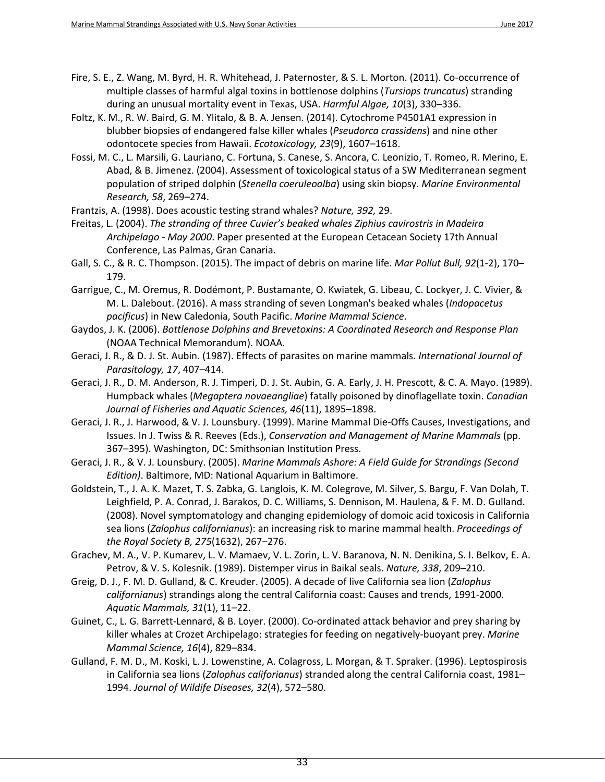- <span id="page-36-9"></span>Fire, S. E., Z. Wang, M. Byrd, H. R. Whitehead, J. Paternoster, & S. L. Morton. (2011). Co-occurrence of multiple classes of harmful algal toxins in bottlenose dolphins (*Tursiops truncatus*) stranding during an unusual mortality event in Texas, USA. *Harmful Algae, 10*(3), 330–336.
- <span id="page-36-14"></span>Foltz, K. M., R. W. Baird, G. M. Ylitalo, & B. A. Jensen. (2014). Cytochrome P4501A1 expression in blubber biopsies of endangered false killer whales (*Pseudorca crassidens*) and nine other odontocete species from Hawaii. *Ecotoxicology, 23*(9), 1607–1618.
- <span id="page-36-15"></span>Fossi, M. C., L. Marsili, G. Lauriano, C. Fortuna, S. Canese, S. Ancora, C. Leonizio, T. Romeo, R. Merino, E. Abad, & B. Jimenez. (2004). Assessment of toxicological status of a SW Mediterranean segment population of striped dolphin (*Stenella coeruleoalba*) using skin biopsy. *Marine Environmental Research, 58*, 269–274.
- <span id="page-36-16"></span>Frantzis, A. (1998). Does acoustic testing strand whales? *Nature, 392,* 29.
- <span id="page-36-2"></span>Freitas, L. (2004). *The stranding of three Cuvier's beaked whales Ziphius cavirostris in Madeira Archipelago - May 2000*. Paper presented at the European Cetacean Society 17th Annual Conference, Las Palmas, Gran Canaria.
- <span id="page-36-13"></span>Gall, S. C., & R. C. Thompson. (2015). The impact of debris on marine life. *Mar Pollut Bull, 92*(1-2), 170– 179.
- <span id="page-36-4"></span>Garrigue, C., M. Oremus, R. Dodémont, P. Bustamante, O. Kwiatek, G. Libeau, C. Lockyer, J. C. Vivier, & M. L. Dalebout. (2016). A mass stranding of seven Longman's beaked whales (*Indopacetus pacificus*) in New Caledonia, South Pacific. *Marine Mammal Science*.
- <span id="page-36-8"></span>Gaydos, J. K. (2006). *Bottlenose Dolphins and Brevetoxins: A Coordinated Research and Response Plan* (NOAA Technical Memorandum). NOAA.
- <span id="page-36-7"></span>Geraci, J. R., & D. J. St. Aubin. (1987). Effects of parasites on marine mammals. *International Journal of Parasitology, 17*, 407–414.
- <span id="page-36-10"></span>Geraci, J. R., D. M. Anderson, R. J. Timperi, D. J. St. Aubin, G. A. Early, J. H. Prescott, & C. A. Mayo. (1989). Humpback whales (*Megaptera novaeangliae*) fatally poisoned by dinoflagellate toxin. *Canadian Journal of Fisheries and Aquatic Sciences, 46*(11), 1895–1898.
- <span id="page-36-0"></span>Geraci, J. R., J. Harwood, & V. J. Lounsbury. (1999). Marine Mammal Die-Offs Causes, Investigations, and Issues. In J. Twiss & R. Reeves (Eds.), *Conservation and Management of Marine Mammals* (pp. 367–395). Washington, DC: Smithsonian Institution Press.
- <span id="page-36-1"></span>Geraci, J. R., & V. J. Lounsbury. (2005). *Marine Mammals Ashore: A Field Guide for Strandings (Second Edition)*. Baltimore, MD: National Aquarium in Baltimore.
- <span id="page-36-11"></span>Goldstein, T., J. A. K. Mazet, T. S. Zabka, G. Langlois, K. M. Colegrove, M. Silver, S. Bargu, F. Van Dolah, T. Leighfield, P. A. Conrad, J. Barakos, D. C. Williams, S. Dennison, M. Haulena, & F. M. D. Gulland. (2008). Novel symptomatology and changing epidemiology of domoic acid toxicosis in California sea lions (*Zalophus californianus*): an increasing risk to marine mammal health. *Proceedings of the Royal Society B, 275*(1632), 267–276.
- <span id="page-36-5"></span>Grachev, M. A., V. P. Kumarev, L. V. Mamaev, V. L. Zorin, L. V. Baranova, N. N. Denikina, S. I. Belkov, E. A. Petrov, & V. S. Kolesnik. (1989). Distemper virus in Baikal seals. *Nature, 338*, 209–210.
- <span id="page-36-12"></span>Greig, D. J., F. M. D. Gulland, & C. Kreuder. (2005). A decade of live California sea lion (*Zalophus californianus*) strandings along the central California coast: Causes and trends, 1991-2000. *Aquatic Mammals, 31*(1), 11–22.
- <span id="page-36-3"></span>Guinet, C., L. G. Barrett-Lennard, & B. Loyer. (2000). Co-ordinated attack behavior and prey sharing by killer whales at Crozet Archipelago: strategies for feeding on negatively-buoyant prey. *Marine Mammal Science, 16*(4), 829–834.
- <span id="page-36-6"></span>Gulland, F. M. D., M. Koski, L. J. Lowenstine, A. Colagross, L. Morgan, & T. Spraker. (1996). Leptospirosis in California sea lions (*Zalophus califorianus*) stranded along the central California coast, 1981– 1994. *Journal of Wildife Diseases, 32*(4), 572–580.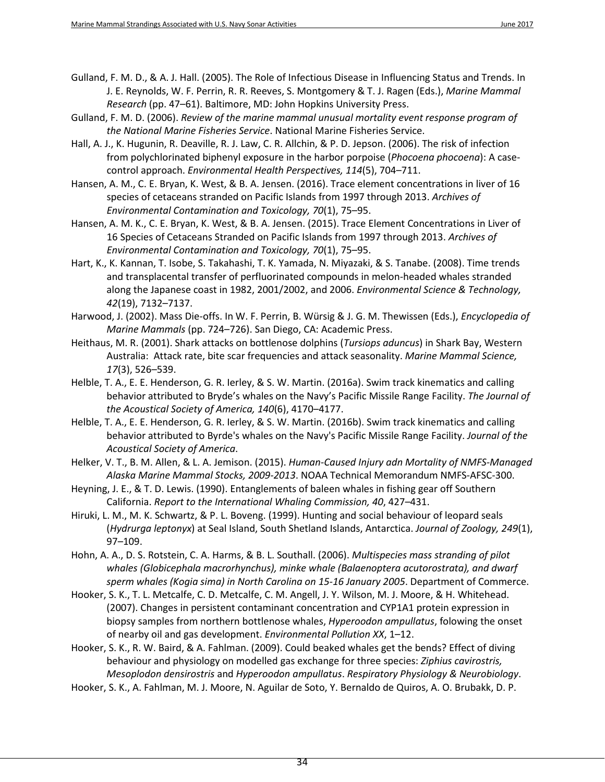- <span id="page-37-5"></span>Gulland, F. M. D., & A. J. Hall. (2005). The Role of Infectious Disease in Influencing Status and Trends. In J. E. Reynolds, W. F. Perrin, R. R. Reeves, S. Montgomery & T. J. Ragen (Eds.), *Marine Mammal Research* (pp. 47–61). Baltimore, MD: John Hopkins University Press.
- <span id="page-37-0"></span>Gulland, F. M. D. (2006). *Review of the marine mammal unusual mortality event response program of the National Marine Fisheries Service*. National Marine Fisheries Service.
- <span id="page-37-8"></span>Hall, A. J., K. Hugunin, R. Deaville, R. J. Law, C. R. Allchin, & P. D. Jepson. (2006). The risk of infection from polychlorinated biphenyl exposure in the harbor porpoise (*Phocoena phocoena*): A casecontrol approach. *Environmental Health Perspectives, 114*(5), 704–711.
- <span id="page-37-2"></span>Hansen, A. M., C. E. Bryan, K. West, & B. A. Jensen. (2016). Trace element concentrations in liver of 16 species of cetaceans stranded on Pacific Islands from 1997 through 2013. *Archives of Environmental Contamination and Toxicology, 70*(1), 75–95.
- <span id="page-37-9"></span>Hansen, A. M. K., C. E. Bryan, K. West, & B. A. Jensen. (2015). Trace Element Concentrations in Liver of 16 Species of Cetaceans Stranded on Pacific Islands from 1997 through 2013. *Archives of Environmental Contamination and Toxicology, 70*(1), 75–95.
- <span id="page-37-10"></span>Hart, K., K. Kannan, T. Isobe, S. Takahashi, T. K. Yamada, N. Miyazaki, & S. Tanabe. (2008). Time trends and transplacental transfer of perfluorinated compounds in melon-headed whales stranded along the Japanese coast in 1982, 2001/2002, and 2006. *Environmental Science & Technology, 42*(19), 7132–7137.
- <span id="page-37-1"></span>Harwood, J. (2002). Mass Die-offs. In W. F. Perrin, B. Würsig & J. G. M. Thewissen (Eds.), *Encyclopedia of Marine Mammals* (pp. 724–726). San Diego, CA: Academic Press.
- <span id="page-37-3"></span>Heithaus, M. R. (2001). Shark attacks on bottlenose dolphins (*Tursiops aduncus*) in Shark Bay, Western Australia: Attack rate, bite scar frequencies and attack seasonality. *Marine Mammal Science, 17*(3), 526–539.
- Helble, T. A., E. E. Henderson, G. R. Ierley, & S. W. Martin. (2016a). Swim track kinematics and calling behavior attributed to Bryde's whales on the Navy's Pacific Missile Range Facility. *The Journal of the Acoustical Society of America, 140*(6), 4170–4177.
- <span id="page-37-14"></span>Helble, T. A., E. E. Henderson, G. R. Ierley, & S. W. Martin. (2016b). Swim track kinematics and calling behavior attributed to Byrde's whales on the Navy's Pacific Missile Range Facility. *Journal of the Acoustical Society of America*.
- <span id="page-37-6"></span>Helker, V. T., B. M. Allen, & L. A. Jemison. (2015). *Human-Caused Injury adn Mortality of NMFS-Managed Alaska Marine Mammal Stocks, 2009-2013*. NOAA Technical Memorandum NMFS-AFSC-300.
- <span id="page-37-7"></span>Heyning, J. E., & T. D. Lewis. (1990). Entanglements of baleen whales in fishing gear off Southern California. *Report to the International Whaling Commission, 40*, 427–431.
- <span id="page-37-4"></span>Hiruki, L. M., M. K. Schwartz, & P. L. Boveng. (1999). Hunting and social behaviour of leopard seals (*Hydrurga leptonyx*) at Seal Island, South Shetland Islands, Antarctica. *Journal of Zoology, 249*(1), 97–109.
- <span id="page-37-15"></span>Hohn, A. A., D. S. Rotstein, C. A. Harms, & B. L. Southall. (2006). *Multispecies mass stranding of pilot whales (Globicephala macrorhynchus), minke whale (Balaenoptera acutorostrata), and dwarf sperm whales (Kogia sima) in North Carolina on 15-16 January 2005*. Department of Commerce.
- <span id="page-37-11"></span>Hooker, S. K., T. L. Metcalfe, C. D. Metcalfe, C. M. Angell, J. Y. Wilson, M. J. Moore, & H. Whitehead. (2007). Changes in persistent contaminant concentration and CYP1A1 protein expression in biopsy samples from northern bottlenose whales, *Hyperoodon ampullatus*, folowing the onset of nearby oil and gas development. *Environmental Pollution XX*, 1–12.
- <span id="page-37-13"></span>Hooker, S. K., R. W. Baird, & A. Fahlman. (2009). Could beaked whales get the bends? Effect of diving behaviour and physiology on modelled gas exchange for three species: *Ziphius cavirostris, Mesoplodon densirostris* and *Hyperoodon ampullatus*. *Respiratory Physiology & Neurobiology*.
- <span id="page-37-12"></span>Hooker, S. K., A. Fahlman, M. J. Moore, N. Aguilar de Soto, Y. Bernaldo de Quiros, A. O. Brubakk, D. P.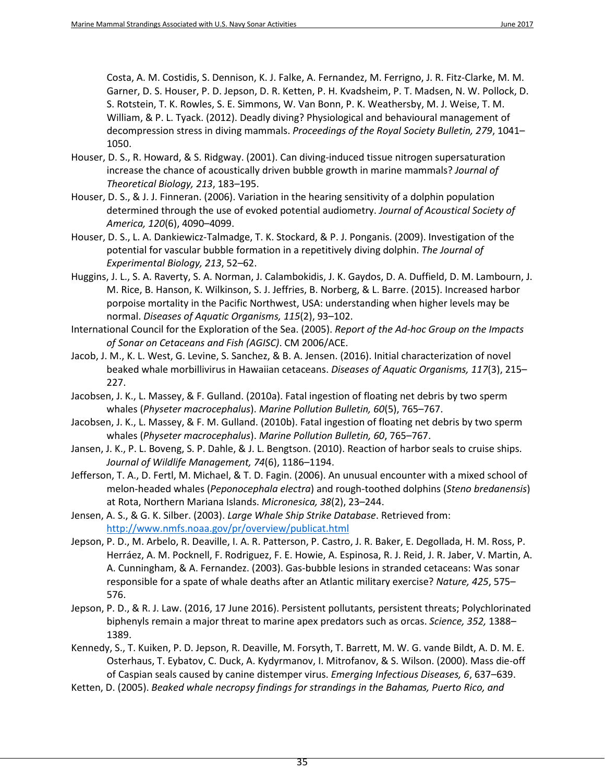Costa, A. M. Costidis, S. Dennison, K. J. Falke, A. Fernandez, M. Ferrigno, J. R. Fitz-Clarke, M. M. Garner, D. S. Houser, P. D. Jepson, D. R. Ketten, P. H. Kvadsheim, P. T. Madsen, N. W. Pollock, D. S. Rotstein, T. K. Rowles, S. E. Simmons, W. Van Bonn, P. K. Weathersby, M. J. Weise, T. M. William, & P. L. Tyack. (2012). Deadly diving? Physiological and behavioural management of decompression stress in diving mammals. *Proceedings of the Royal Society Bulletin, 279*, 1041– 1050.

- <span id="page-38-9"></span>Houser, D. S., R. Howard, & S. Ridgway. (2001). Can diving-induced tissue nitrogen supersaturation increase the chance of acoustically driven bubble growth in marine mammals? *Journal of Theoretical Biology, 213*, 183–195.
- <span id="page-38-2"></span>Houser, D. S., & J. J. Finneran. (2006). Variation in the hearing sensitivity of a dolphin population determined through the use of evoked potential audiometry. *Journal of Acoustical Society of America, 120*(6), 4090–4099.
- <span id="page-38-10"></span>Houser, D. S., L. A. Dankiewicz-Talmadge, T. K. Stockard, & P. J. Ponganis. (2009). Investigation of the potential for vascular bubble formation in a repetitively diving dolphin. *The Journal of Experimental Biology, 213*, 52–62.
- <span id="page-38-13"></span>Huggins, J. L., S. A. Raverty, S. A. Norman, J. Calambokidis, J. K. Gaydos, D. A. Duffield, D. M. Lambourn, J. M. Rice, B. Hanson, K. Wilkinson, S. J. Jeffries, B. Norberg, & L. Barre. (2015). Increased harbor porpoise mortality in the Pacific Northwest, USA: understanding when higher levels may be normal. *Diseases of Aquatic Organisms, 115*(2), 93–102.
- <span id="page-38-11"></span>International Council for the Exploration of the Sea. (2005). *Report of the Ad-hoc Group on the Impacts of Sonar on Cetaceans and Fish (AGISC)*. CM 2006/ACE.
- <span id="page-38-0"></span>Jacob, J. M., K. L. West, G. Levine, S. Sanchez, & B. A. Jensen. (2016). Initial characterization of novel beaked whale morbillivirus in Hawaiian cetaceans. *Diseases of Aquatic Organisms, 117*(3), 215– 227.
- <span id="page-38-6"></span>Jacobsen, J. K., L. Massey, & F. Gulland. (2010a). Fatal ingestion of floating net debris by two sperm whales (*Physeter macrocephalus*). *Marine Pollution Bulletin, 60*(5), 765–767.
- <span id="page-38-5"></span>Jacobsen, J. K., L. Massey, & F. M. Gulland. (2010b). Fatal ingestion of floating net debris by two sperm whales (*Physeter macrocephalus*). *Marine Pollution Bulletin, 60*, 765–767.
- <span id="page-38-4"></span>Jansen, J. K., P. L. Boveng, S. P. Dahle, & J. L. Bengtson. (2010). Reaction of harbor seals to cruise ships. *Journal of Wildlife Management, 74*(6), 1186–1194.
- <span id="page-38-14"></span>Jefferson, T. A., D. Fertl, M. Michael, & T. D. Fagin. (2006). An unusual encounter with a mixed school of melon-headed whales (*Peponocephala electra*) and rough-toothed dolphins (*Steno bredanensis*) at Rota, Northern Mariana Islands. *Micronesica, 38*(2), 23–244.
- <span id="page-38-3"></span>Jensen, A. S., & G. K. Silber. (2003). *Large Whale Ship Strike Database*. Retrieved from: <http://www.nmfs.noaa.gov/pr/overview/publicat.html>
- <span id="page-38-8"></span>Jepson, P. D., M. Arbelo, R. Deaville, I. A. R. Patterson, P. Castro, J. R. Baker, E. Degollada, H. M. Ross, P. Herráez, A. M. Pocknell, F. Rodriguez, F. E. Howie, A. Espinosa, R. J. Reid, J. R. Jaber, V. Martin, A. A. Cunningham, & A. Fernandez. (2003). Gas-bubble lesions in stranded cetaceans: Was sonar responsible for a spate of whale deaths after an Atlantic military exercise? *Nature, 425*, 575– 576.
- <span id="page-38-7"></span>Jepson, P. D., & R. J. Law. (2016, 17 June 2016). Persistent pollutants, persistent threats; Polychlorinated biphenyls remain a major threat to marine apex predators such as orcas. *Science, 352,* 1388– 1389.
- <span id="page-38-1"></span>Kennedy, S., T. Kuiken, P. D. Jepson, R. Deaville, M. Forsyth, T. Barrett, M. W. G. vande Bildt, A. D. M. E. Osterhaus, T. Eybatov, C. Duck, A. Kydyrmanov, I. Mitrofanov, & S. Wilson. (2000). Mass die-off of Caspian seals caused by canine distemper virus. *Emerging Infectious Diseases, 6*, 637–639.
- <span id="page-38-12"></span>Ketten, D. (2005). *Beaked whale necropsy findings for strandings in the Bahamas, Puerto Rico, and*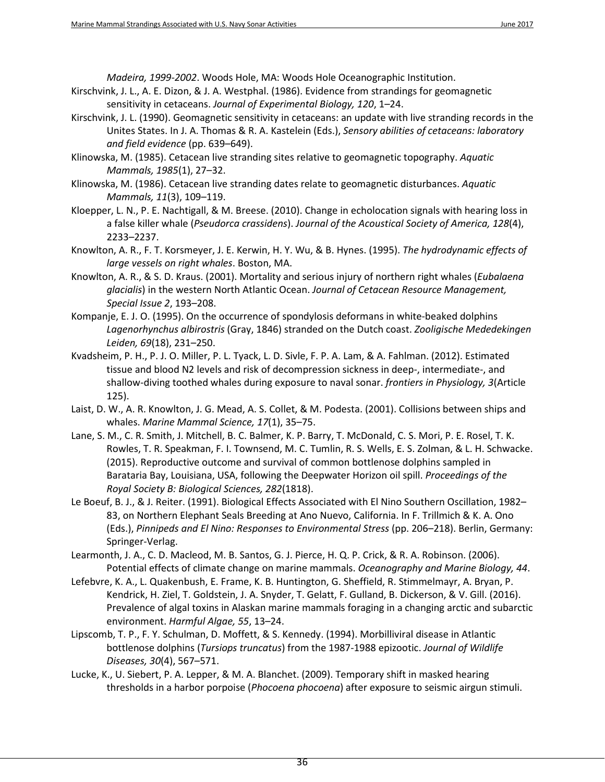*Madeira, 1999-2002*. Woods Hole, MA: Woods Hole Oceanographic Institution.

- <span id="page-39-7"></span>Kirschvink, J. L., A. E. Dizon, & J. A. Westphal. (1986). Evidence from strandings for geomagnetic sensitivity in cetaceans. *Journal of Experimental Biology, 120*, 1–24.
- <span id="page-39-8"></span>Kirschvink, J. L. (1990). Geomagnetic sensitivity in cetaceans: an update with live stranding records in the Unites States. In J. A. Thomas & R. A. Kastelein (Eds.), *Sensory abilities of cetaceans: laboratory and field evidence* (pp. 639–649).
- <span id="page-39-9"></span>Klinowska, M. (1985). Cetacean live stranding sites relative to geomagnetic topography. *Aquatic Mammals, 1985*(1), 27–32.
- <span id="page-39-10"></span>Klinowska, M. (1986). Cetacean live stranding dates relate to geomagnetic disturbances. *Aquatic Mammals, 11*(3), 109–119.
- <span id="page-39-3"></span>Kloepper, L. N., P. E. Nachtigall, & M. Breese. (2010). Change in echolocation signals with hearing loss in a false killer whale (*Pseudorca crassidens*). *Journal of the Acoustical Society of America, 128*(4), 2233–2237.
- <span id="page-39-13"></span>Knowlton, A. R., F. T. Korsmeyer, J. E. Kerwin, H. Y. Wu, & B. Hynes. (1995). *The hydrodynamic effects of large vessels on right whales*. Boston, MA.
- <span id="page-39-12"></span>Knowlton, A. R., & S. D. Kraus. (2001). Mortality and serious injury of northern right whales (*Eubalaena glacialis*) in the western North Atlantic Ocean. *Journal of Cetacean Resource Management, Special Issue 2*, 193–208.
- <span id="page-39-1"></span>Kompanje, E. J. O. (1995). On the occurrence of spondylosis deformans in white-beaked dolphins *Lagenorhynchus albirostris* (Gray, 1846) stranded on the Dutch coast. *Zooligische Mededekingen Leiden, 69*(18), 231–250.
- <span id="page-39-15"></span>Kvadsheim, P. H., P. J. O. Miller, P. L. Tyack, L. D. Sivle, F. P. A. Lam, & A. Fahlman. (2012). Estimated tissue and blood N2 levels and risk of decompression sickness in deep-, intermediate-, and shallow-diving toothed whales during exposure to naval sonar. *frontiers in Physiology, 3*(Article 125).
- <span id="page-39-11"></span>Laist, D. W., A. R. Knowlton, J. G. Mead, A. S. Collet, & M. Podesta. (2001). Collisions between ships and whales. *Marine Mammal Science, 17*(1), 35–75.
- <span id="page-39-14"></span>Lane, S. M., C. R. Smith, J. Mitchell, B. C. Balmer, K. P. Barry, T. McDonald, C. S. Mori, P. E. Rosel, T. K. Rowles, T. R. Speakman, F. I. Townsend, M. C. Tumlin, R. S. Wells, E. S. Zolman, & L. H. Schwacke. (2015). Reproductive outcome and survival of common bottlenose dolphins sampled in Barataria Bay, Louisiana, USA, following the Deepwater Horizon oil spill. *Proceedings of the Royal Society B: Biological Sciences, 282*(1818).
- <span id="page-39-5"></span>Le Boeuf, B. J., & J. Reiter. (1991). Biological Effects Associated with El Nino Southern Oscillation, 1982– 83, on Northern Elephant Seals Breeding at Ano Nuevo, California. In F. Trillmich & K. A. Ono (Eds.), *Pinnipeds and El Nino: Responses to Environmental Stress* (pp. 206–218). Berlin, Germany: Springer-Verlag.
- <span id="page-39-6"></span>Learmonth, J. A., C. D. Macleod, M. B. Santos, G. J. Pierce, H. Q. P. Crick, & R. A. Robinson. (2006). Potential effects of climate change on marine mammals. *Oceanography and Marine Biology, 44*.
- <span id="page-39-2"></span>Lefebvre, K. A., L. Quakenbush, E. Frame, K. B. Huntington, G. Sheffield, R. Stimmelmayr, A. Bryan, P. Kendrick, H. Ziel, T. Goldstein, J. A. Snyder, T. Gelatt, F. Gulland, B. Dickerson, & V. Gill. (2016). Prevalence of algal toxins in Alaskan marine mammals foraging in a changing arctic and subarctic environment. *Harmful Algae, 55*, 13–24.
- <span id="page-39-0"></span>Lipscomb, T. P., F. Y. Schulman, D. Moffett, & S. Kennedy. (1994). Morbilliviral disease in Atlantic bottlenose dolphins (*Tursiops truncatus*) from the 1987-1988 epizootic. *Journal of Wildlife Diseases, 30*(4), 567–571.
- <span id="page-39-4"></span>Lucke, K., U. Siebert, P. A. Lepper, & M. A. Blanchet. (2009). Temporary shift in masked hearing thresholds in a harbor porpoise (*Phocoena phocoena*) after exposure to seismic airgun stimuli.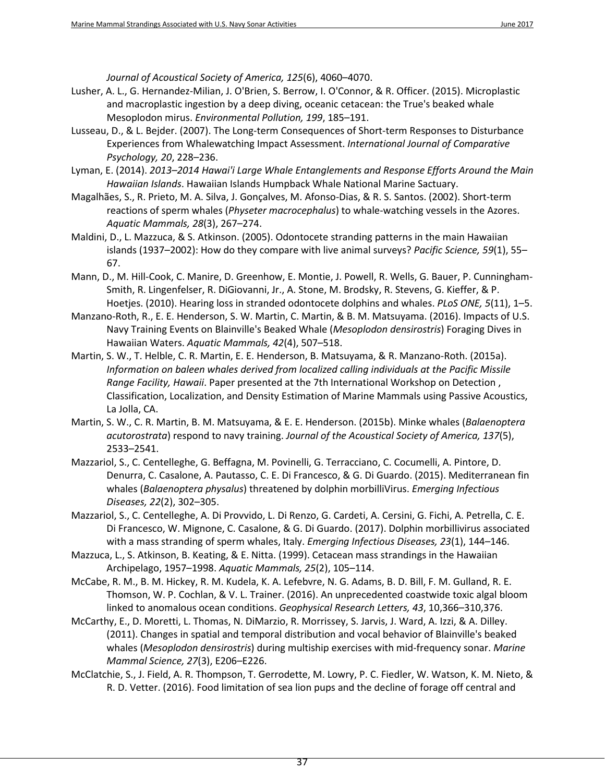*Journal of Acoustical Society of America, 125*(6), 4060–4070.

- <span id="page-40-10"></span>Lusher, A. L., G. Hernandez-Milian, J. O'Brien, S. Berrow, I. O'Connor, & R. Officer. (2015). Microplastic and macroplastic ingestion by a deep diving, oceanic cetacean: the True's beaked whale Mesoplodon mirus. *Environmental Pollution, 199*, 185–191.
- <span id="page-40-8"></span>Lusseau, D., & L. Bejder. (2007). The Long-term Consequences of Short-term Responses to Disturbance Experiences from Whalewatching Impact Assessment. *International Journal of Comparative Psychology, 20*, 228–236.
- <span id="page-40-7"></span>Lyman, E. (2014). *2013–2014 Hawai'i Large Whale Entanglements and Response Efforts Around the Main Hawaiian Islands*. Hawaiian Islands Humpback Whale National Marine Sactuary.
- <span id="page-40-9"></span>Magalhães, S., R. Prieto, M. A. Silva, J. Gonçalves, M. Afonso-Dias, & R. S. Santos. (2002). Short-term reactions of sperm whales (*Physeter macrocephalus*) to whale-watching vessels in the Azores. *Aquatic Mammals, 28*(3), 267–274.
- <span id="page-40-6"></span>Maldini, D., L. Mazzuca, & S. Atkinson. (2005). Odontocete stranding patterns in the main Hawaiian islands (1937–2002): How do they compare with live animal surveys? *Pacific Science, 59*(1), 55– 67.
- <span id="page-40-4"></span>Mann, D., M. Hill-Cook, C. Manire, D. Greenhow, E. Montie, J. Powell, R. Wells, G. Bauer, P. Cunningham-Smith, R. Lingenfelser, R. DiGiovanni, Jr., A. Stone, M. Brodsky, R. Stevens, G. Kieffer, & P. Hoetjes. (2010). Hearing loss in stranded odontocete dolphins and whales. *PLoS ONE, 5*(11), 1–5.
- <span id="page-40-11"></span>Manzano-Roth, R., E. E. Henderson, S. W. Martin, C. Martin, & B. M. Matsuyama. (2016). Impacts of U.S. Navy Training Events on Blainville's Beaked Whale (*Mesoplodon densirostris*) Foraging Dives in Hawaiian Waters. *Aquatic Mammals, 42*(4), 507–518.
- <span id="page-40-12"></span>Martin, S. W., T. Helble, C. R. Martin, E. E. Henderson, B. Matsuyama, & R. Manzano-Roth. (2015a). *Information on baleen whales derived from localized calling individuals at the Pacific Missile Range Facility, Hawaii*. Paper presented at the 7th International Workshop on Detection , Classification, Localization, and Density Estimation of Marine Mammals using Passive Acoustics, La Jolla, CA.
- Martin, S. W., C. R. Martin, B. M. Matsuyama, & E. E. Henderson. (2015b). Minke whales (*Balaenoptera acutorostrata*) respond to navy training. *Journal of the Acoustical Society of America, 137*(5), 2533–2541.
- <span id="page-40-1"></span>Mazzariol, S., C. Centelleghe, G. Beffagna, M. Povinelli, G. Terracciano, C. Cocumelli, A. Pintore, D. Denurra, C. Casalone, A. Pautasso, C. E. Di Francesco, & G. Di Guardo. (2015). Mediterranean fin whales (*Balaenoptera physalus*) threatened by dolphin morbilliVirus. *Emerging Infectious Diseases, 22*(2), 302–305.
- <span id="page-40-2"></span>Mazzariol, S., C. Centelleghe, A. Di Provvido, L. Di Renzo, G. Cardeti, A. Cersini, G. Fichi, A. Petrella, C. E. Di Francesco, W. Mignone, C. Casalone, & G. Di Guardo. (2017). Dolphin morbillivirus associated with a mass stranding of sperm whales, Italy. *Emerging Infectious Diseases, 23*(1), 144–146.
- <span id="page-40-0"></span>Mazzuca, L., S. Atkinson, B. Keating, & E. Nitta. (1999). Cetacean mass strandings in the Hawaiian Archipelago, 1957–1998. *Aquatic Mammals, 25*(2), 105–114.
- <span id="page-40-3"></span>McCabe, R. M., B. M. Hickey, R. M. Kudela, K. A. Lefebvre, N. G. Adams, B. D. Bill, F. M. Gulland, R. E. Thomson, W. P. Cochlan, & V. L. Trainer. (2016). An unprecedented coastwide toxic algal bloom linked to anomalous ocean conditions. *Geophysical Research Letters, 43*, 10,366–310,376.
- <span id="page-40-13"></span>McCarthy, E., D. Moretti, L. Thomas, N. DiMarzio, R. Morrissey, S. Jarvis, J. Ward, A. Izzi, & A. Dilley. (2011). Changes in spatial and temporal distribution and vocal behavior of Blainville's beaked whales (*Mesoplodon densirostris*) during multiship exercises with mid-frequency sonar. *Marine Mammal Science, 27*(3), E206–E226.
- <span id="page-40-5"></span>McClatchie, S., J. Field, A. R. Thompson, T. Gerrodette, M. Lowry, P. C. Fiedler, W. Watson, K. M. Nieto, & R. D. Vetter. (2016). Food limitation of sea lion pups and the decline of forage off central and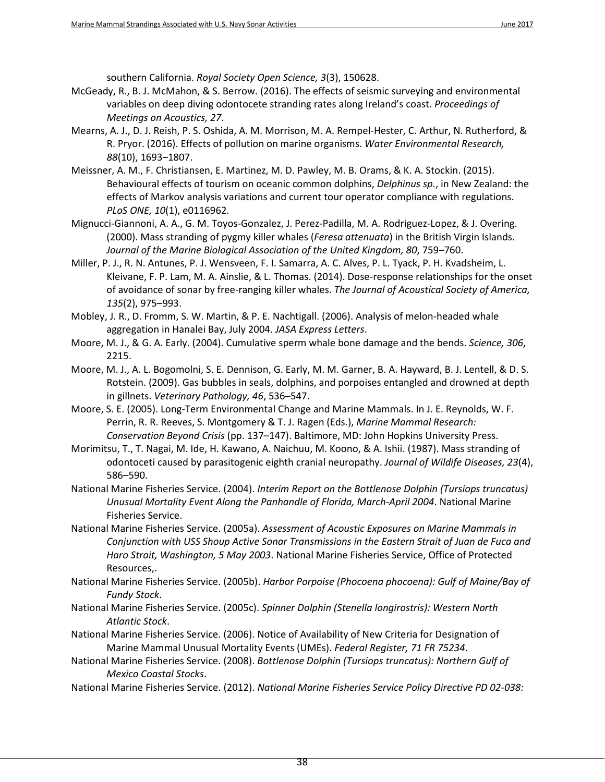southern California. *Royal Society Open Science, 3*(3), 150628.

- <span id="page-41-1"></span>McGeady, R., B. J. McMahon, & S. Berrow. (2016). The effects of seismic surveying and environmental variables on deep diving odontocete stranding rates along Ireland's coast. *Proceedings of Meetings on Acoustics, 27*.
- <span id="page-41-11"></span>Mearns, A. J., D. J. Reish, P. S. Oshida, A. M. Morrison, M. A. Rempel-Hester, C. Arthur, N. Rutherford, & R. Pryor. (2016). Effects of pollution on marine organisms. *Water Environmental Research, 88*(10), 1693–1807.
- <span id="page-41-9"></span>Meissner, A. M., F. Christiansen, E. Martinez, M. D. Pawley, M. B. Orams, & K. A. Stockin. (2015). Behavioural effects of tourism on oceanic common dolphins, *Delphinus sp.*, in New Zealand: the effects of Markov analysis variations and current tour operator compliance with regulations. *PLoS ONE, 10*(1), e0116962.
- <span id="page-41-5"></span>Mignucci-Giannoni, A. A., G. M. Toyos-Gonzalez, J. Perez-Padilla, M. A. Rodriguez-Lopez, & J. Overing. (2000). Mass stranding of pygmy killer whales (*Feresa attenuata*) in the British Virgin Islands. *Journal of the Marine Biological Association of the United Kingdom, 80*, 759–760.
- <span id="page-41-16"></span>Miller, P. J., R. N. Antunes, P. J. Wensveen, F. I. Samarra, A. C. Alves, P. L. Tyack, P. H. Kvadsheim, L. Kleivane, F. P. Lam, M. A. Ainslie, & L. Thomas. (2014). Dose-response relationships for the onset of avoidance of sonar by free-ranging killer whales. *The Journal of Acoustical Society of America, 135*(2), 975–993.
- <span id="page-41-15"></span>Mobley, J. R., D. Fromm, S. W. Martin, & P. E. Nachtigall. (2006). Analysis of melon-headed whale aggregation in Hanalei Bay, July 2004. *JASA Express Letters*.
- <span id="page-41-12"></span>Moore, M. J., & G. A. Early. (2004). Cumulative sperm whale bone damage and the bends. *Science, 306*, 2215.
- <span id="page-41-13"></span>Moore, M. J., A. L. Bogomolni, S. E. Dennison, G. Early, M. M. Garner, B. A. Hayward, B. J. Lentell, & D. S. Rotstein. (2009). Gas bubbles in seals, dolphins, and porpoises entangled and drowned at depth in gillnets. *Veterinary Pathology, 46*, 536–547.
- <span id="page-41-6"></span>Moore, S. E. (2005). Long-Term Environmental Change and Marine Mammals. In J. E. Reynolds, W. F. Perrin, R. R. Reeves, S. Montgomery & T. J. Ragen (Eds.), *Marine Mammal Research: Conservation Beyond Crisis* (pp. 137–147). Baltimore, MD: John Hopkins University Press.
- <span id="page-41-4"></span>Morimitsu, T., T. Nagai, M. Ide, H. Kawano, A. Naichuu, M. Koono, & A. Ishii. (1987). Mass stranding of odontoceti caused by parasitogenic eighth cranial neuropathy. *Journal of Wildife Diseases, 23*(4), 586–590.
- <span id="page-41-3"></span>National Marine Fisheries Service. (2004). *Interim Report on the Bottlenose Dolphin (Tursiops truncatus) Unusual Mortality Event Along the Panhandle of Florida, March-April 2004*. National Marine Fisheries Service.
- <span id="page-41-14"></span>National Marine Fisheries Service. (2005a). *Assessment of Acoustic Exposures on Marine Mammals in Conjunction with USS Shoup Active Sonar Transmissions in the Eastern Strait of Juan de Fuca and Haro Strait, Washington, 5 May 2003*. National Marine Fisheries Service, Office of Protected Resources,.
- <span id="page-41-8"></span>National Marine Fisheries Service. (2005b). *Harbor Porpoise (Phocoena phocoena): Gulf of Maine/Bay of Fundy Stock*.
- <span id="page-41-10"></span>National Marine Fisheries Service. (2005c). *Spinner Dolphin (Stenella longirostris): Western North Atlantic Stock*.
- <span id="page-41-0"></span>National Marine Fisheries Service. (2006). Notice of Availability of New Criteria for Designation of Marine Mammal Unusual Mortality Events (UMEs). *Federal Register, 71 FR 75234*.
- <span id="page-41-2"></span>National Marine Fisheries Service. (2008). *Bottlenose Dolphin (Tursiops truncatus): Northern Gulf of Mexico Coastal Stocks*.
- <span id="page-41-7"></span>National Marine Fisheries Service. (2012). *National Marine Fisheries Service Policy Directive PD 02-038:*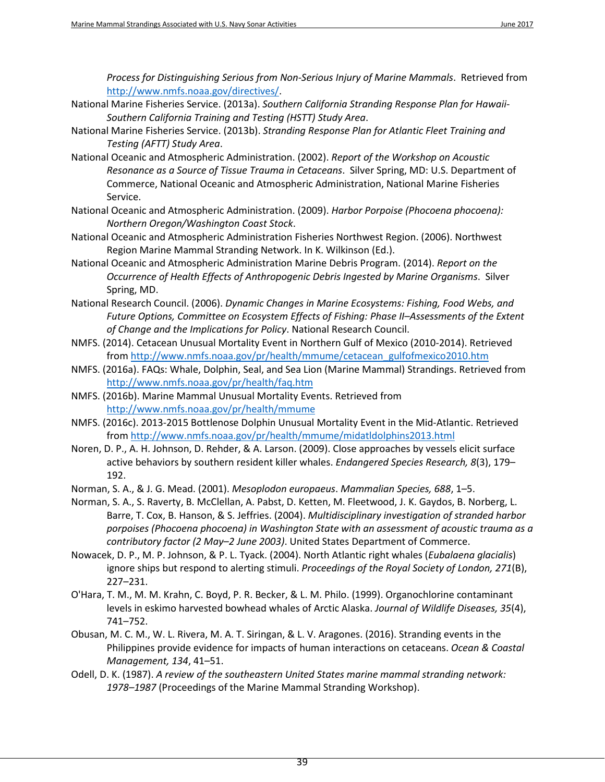*Process for Distinguishing Serious from Non-Serious Injury of Marine Mammals*. Retrieved from [http://www.nmfs.noaa.gov/directives/.](http://www.nmfs.noaa.gov/directives/)

- <span id="page-42-16"></span>National Marine Fisheries Service. (2013a). *Southern California Stranding Response Plan for Hawaii-Southern California Training and Testing (HSTT) Study Area*.
- <span id="page-42-17"></span>National Marine Fisheries Service. (2013b). *Stranding Response Plan for Atlantic Fleet Training and Testing (AFTT) Study Area*.
- <span id="page-42-12"></span>National Oceanic and Atmospheric Administration. (2002). *Report of the Workshop on Acoustic Resonance as a Source of Tissue Trauma in Cetaceans*. Silver Spring, MD: U.S. Department of Commerce, National Oceanic and Atmospheric Administration, National Marine Fisheries Service.
- <span id="page-42-14"></span>National Oceanic and Atmospheric Administration. (2009). *Harbor Porpoise (Phocoena phocoena): Northern Oregon/Washington Coast Stock*.
- <span id="page-42-15"></span>National Oceanic and Atmospheric Administration Fisheries Northwest Region. (2006). Northwest Region Marine Mammal Stranding Network. In K. Wilkinson (Ed.).
- <span id="page-42-9"></span>National Oceanic and Atmospheric Administration Marine Debris Program. (2014). *Report on the Occurrence of Health Effects of Anthropogenic Debris Ingested by Marine Organisms*. Silver Spring, MD.
- <span id="page-42-3"></span>National Research Council. (2006). *Dynamic Changes in Marine Ecosystems: Fishing, Food Webs, and Future Options, Committee on Ecosystem Effects of Fishing: Phase II–Assessments of the Extent of Change and the Implications for Policy*. National Research Council.
- <span id="page-42-11"></span>NMFS. (2014). Cetacean Unusual Mortality Event in Northern Gulf of Mexico (2010-2014). Retrieved from [http://www.nmfs.noaa.gov/pr/health/mmume/cetacean\\_gulfofmexico2010.htm](http://www.nmfs.noaa.gov/pr/health/mmume/cetacean_gulfofmexico2010.htm)
- <span id="page-42-0"></span>NMFS. (2016a). FAQs: Whale, Dolphin, Seal, and Sea Lion (Marine Mammal) Strandings. Retrieved from <http://www.nmfs.noaa.gov/pr/health/faq.htm>
- <span id="page-42-2"></span>NMFS. (2016b). Marine Mammal Unusual Mortality Events. Retrieved from <http://www.nmfs.noaa.gov/pr/health/mmume>
- <span id="page-42-4"></span>NMFS. (2016c). 2013-2015 Bottlenose Dolphin Unusual Mortality Event in the Mid-Atlantic. Retrieved from<http://www.nmfs.noaa.gov/pr/health/mmume/midatldolphins2013.html>
- <span id="page-42-7"></span>Noren, D. P., A. H. Johnson, D. Rehder, & A. Larson. (2009). Close approaches by vessels elicit surface active behaviors by southern resident killer whales. *Endangered Species Research, 8*(3), 179– 192.
- <span id="page-42-5"></span>Norman, S. A., & J. G. Mead. (2001). *Mesoplodon europaeus*. *Mammalian Species, 688*, 1–5.
- <span id="page-42-13"></span>Norman, S. A., S. Raverty, B. McClellan, A. Pabst, D. Ketten, M. Fleetwood, J. K. Gaydos, B. Norberg, L. Barre, T. Cox, B. Hanson, & S. Jeffries. (2004). *Multidisciplinary investigation of stranded harbor porpoises (Phocoena phocoena) in Washington State with an assessment of acoustic trauma as a contributory factor (2 May–2 June 2003)*. United States Department of Commerce.
- <span id="page-42-8"></span>Nowacek, D. P., M. P. Johnson, & P. L. Tyack. (2004). North Atlantic right whales (*Eubalaena glacialis*) ignore ships but respond to alerting stimuli. *Proceedings of the Royal Society of London, 271*(B), 227–231.
- <span id="page-42-10"></span>O'Hara, T. M., M. M. Krahn, C. Boyd, P. R. Becker, & L. M. Philo. (1999). Organochlorine contaminant levels in eskimo harvested bowhead whales of Arctic Alaska. *Journal of Wildlife Diseases, 35*(4), 741–752.
- <span id="page-42-6"></span>Obusan, M. C. M., W. L. Rivera, M. A. T. Siringan, & L. V. Aragones. (2016). Stranding events in the Philippines provide evidence for impacts of human interactions on cetaceans. *Ocean & Coastal Management, 134*, 41–51.
- <span id="page-42-1"></span>Odell, D. K. (1987). *A review of the southeastern United States marine mammal stranding network: 1978–1987* (Proceedings of the Marine Mammal Stranding Workshop).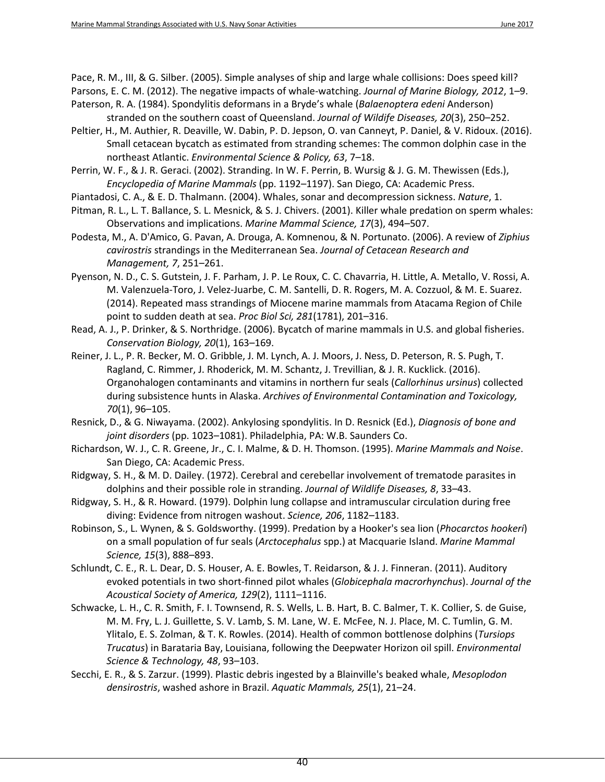<span id="page-43-10"></span>Pace, R. M., III, & G. Silber. (2005). Simple analyses of ship and large whale collisions: Does speed kill?

- <span id="page-43-11"></span>Parsons, E. C. M. (2012). The negative impacts of whale-watching. *Journal of Marine Biology, 2012*, 1–9.
- <span id="page-43-5"></span>Paterson, R. A. (1984). Spondylitis deformans in a Bryde's whale (*Balaenoptera edeni* Anderson) stranded on the southern coast of Queensland. *Journal of Wildife Diseases, 20*(3), 250–252.
- <span id="page-43-9"></span>Peltier, H., M. Authier, R. Deaville, W. Dabin, P. D. Jepson, O. van Canneyt, P. Daniel, & V. Ridoux. (2016). Small cetacean bycatch as estimated from stranding schemes: The common dolphin case in the northeast Atlantic. *Environmental Science & Policy, 63*, 7–18.

<span id="page-43-0"></span>Perrin, W. F., & J. R. Geraci. (2002). Stranding. In W. F. Perrin, B. Wursig & J. G. M. Thewissen (Eds.), *Encyclopedia of Marine Mammals* (pp. 1192–1197). San Diego, CA: Academic Press.

<span id="page-43-17"></span>Piantadosi, C. A., & E. D. Thalmann. (2004). Whales, sonar and decompression sickness. *Nature*, 1.

- <span id="page-43-2"></span>Pitman, R. L., L. T. Ballance, S. L. Mesnick, & S. J. Chivers. (2001). Killer whale predation on sperm whales: Observations and implications. *Marine Mammal Science, 17*(3), 494–507.
- <span id="page-43-18"></span>Podesta, M., A. D'Amico, G. Pavan, A. Drouga, A. Komnenou, & N. Portunato. (2006). A review of *Ziphius cavirostris* strandings in the Mediterranean Sea. *Journal of Cetacean Research and Management, 7*, 251–261.
- <span id="page-43-1"></span>Pyenson, N. D., C. S. Gutstein, J. F. Parham, J. P. Le Roux, C. C. Chavarria, H. Little, A. Metallo, V. Rossi, A. M. Valenzuela-Toro, J. Velez-Juarbe, C. M. Santelli, D. R. Rogers, M. A. Cozzuol, & M. E. Suarez. (2014). Repeated mass strandings of Miocene marine mammals from Atacama Region of Chile point to sudden death at sea. *Proc Biol Sci, 281*(1781), 201–316.
- <span id="page-43-8"></span>Read, A. J., P. Drinker, & S. Northridge. (2006). Bycatch of marine mammals in U.S. and global fisheries. *Conservation Biology, 20*(1), 163–169.
- <span id="page-43-14"></span>Reiner, J. L., P. R. Becker, M. O. Gribble, J. M. Lynch, A. J. Moors, J. Ness, D. Peterson, R. S. Pugh, T. Ragland, C. Rimmer, J. Rhoderick, M. M. Schantz, J. Trevillian, & J. R. Kucklick. (2016). Organohalogen contaminants and vitamins in northern fur seals (*Callorhinus ursinus*) collected during subsistence hunts in Alaska. *Archives of Environmental Contamination and Toxicology, 70*(1), 96–105.
- <span id="page-43-6"></span>Resnick, D., & G. Niwayama. (2002). Ankylosing spondylitis. In D. Resnick (Ed.), *Diagnosis of bone and joint disorders* (pp. 1023–1081). Philadelphia, PA: W.B. Saunders Co.
- <span id="page-43-12"></span>Richardson, W. J., C. R. Greene, Jr., C. I. Malme, & D. H. Thomson. (1995). *Marine Mammals and Noise*. San Diego, CA: Academic Press.
- <span id="page-43-4"></span>Ridgway, S. H., & M. D. Dailey. (1972). Cerebral and cerebellar involvement of trematode parasites in dolphins and their possible role in stranding. *Journal of Wildlife Diseases, 8*, 33–43.
- <span id="page-43-16"></span>Ridgway, S. H., & R. Howard. (1979). Dolphin lung collapse and intramuscular circulation during free diving: Evidence from nitrogen washout. *Science, 206*, 1182–1183.
- <span id="page-43-3"></span>Robinson, S., L. Wynen, & S. Goldsworthy. (1999). Predation by a Hooker's sea lion (*Phocarctos hookeri*) on a small population of fur seals (*Arctocephalus* spp.) at Macquarie Island. *Marine Mammal Science, 15*(3), 888–893.
- <span id="page-43-7"></span>Schlundt, C. E., R. L. Dear, D. S. Houser, A. E. Bowles, T. Reidarson, & J. J. Finneran. (2011). Auditory evoked potentials in two short-finned pilot whales (*Globicephala macrorhynchus*). *Journal of the Acoustical Society of America, 129*(2), 1111–1116.
- <span id="page-43-15"></span>Schwacke, L. H., C. R. Smith, F. I. Townsend, R. S. Wells, L. B. Hart, B. C. Balmer, T. K. Collier, S. de Guise, M. M. Fry, L. J. Guillette, S. V. Lamb, S. M. Lane, W. E. McFee, N. J. Place, M. C. Tumlin, G. M. Ylitalo, E. S. Zolman, & T. K. Rowles. (2014). Health of common bottlenose dolphins (*Tursiops Trucatus*) in Barataria Bay, Louisiana, following the Deepwater Horizon oil spill. *Environmental Science & Technology, 48*, 93–103.
- <span id="page-43-13"></span>Secchi, E. R., & S. Zarzur. (1999). Plastic debris ingested by a Blainville's beaked whale, *Mesoplodon densirostris*, washed ashore in Brazil. *Aquatic Mammals, 25*(1), 21–24.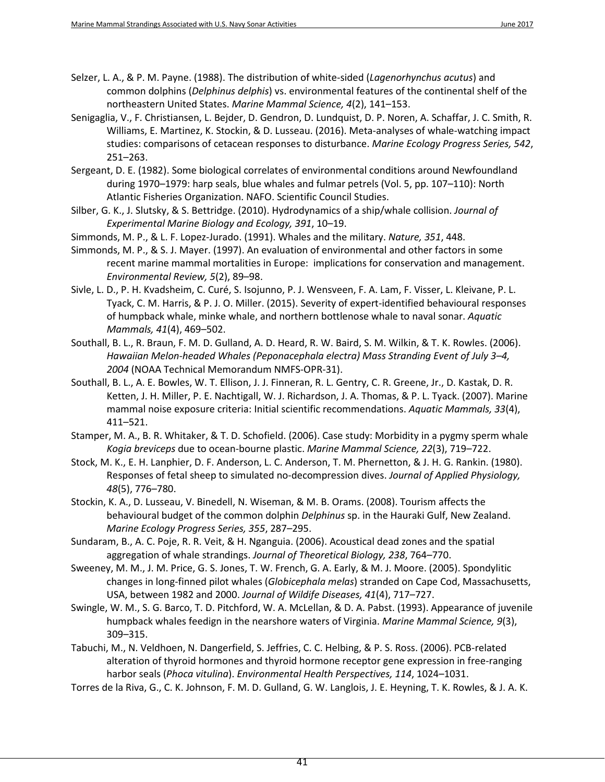- <span id="page-44-6"></span>Selzer, L. A., & P. M. Payne. (1988). The distribution of white-sided (*Lagenorhynchus acutus*) and common dolphins (*Delphinus delphis*) vs. environmental features of the continental shelf of the northeastern United States. *Marine Mammal Science, 4*(2), 141–153.
- <span id="page-44-11"></span>Senigaglia, V., F. Christiansen, L. Bejder, D. Gendron, D. Lundquist, D. P. Noren, A. Schaffar, J. C. Smith, R. Williams, E. Martinez, K. Stockin, & D. Lusseau. (2016). Meta-analyses of whale-watching impact studies: comparisons of cetacean responses to disturbance. *Marine Ecology Progress Series, 542*, 251–263.
- <span id="page-44-5"></span>Sergeant, D. E. (1982). Some biological correlates of environmental conditions around Newfoundland during 1970–1979: harp seals, blue whales and fulmar petrels (Vol. 5, pp. 107–110): North Atlantic Fisheries Organization. NAFO. Scientific Council Studies.
- <span id="page-44-8"></span>Silber, G. K., J. Slutsky, & S. Bettridge. (2010). Hydrodynamics of a ship/whale collision. *Journal of Experimental Marine Biology and Ecology, 391*, 10–19.
- <span id="page-44-0"></span>Simmonds, M. P., & L. F. Lopez-Jurado. (1991). Whales and the military. *Nature, 351*, 448.
- <span id="page-44-2"></span>Simmonds, M. P., & S. J. Mayer. (1997). An evaluation of environmental and other factors in some recent marine mammal mortalities in Europe: implications for conservation and management. *Environmental Review, 5*(2), 89–98.
- <span id="page-44-16"></span>Sivle, L. D., P. H. Kvadsheim, C. Curé, S. Isojunno, P. J. Wensveen, F. A. Lam, F. Visser, L. Kleivane, P. L. Tyack, C. M. Harris, & P. J. O. Miller. (2015). Severity of expert-identified behavioural responses of humpback whale, minke whale, and northern bottlenose whale to naval sonar. *Aquatic Mammals, 41*(4), 469–502.
- <span id="page-44-1"></span>Southall, B. L., R. Braun, F. M. D. Gulland, A. D. Heard, R. W. Baird, S. M. Wilkin, & T. K. Rowles. (2006). *Hawaiian Melon-headed Whales (Peponacephala electra) Mass Stranding Event of July 3–4, 2004* (NOAA Technical Memorandum NMFS-OPR-31).
- <span id="page-44-15"></span>Southall, B. L., A. E. Bowles, W. T. Ellison, J. J. Finneran, R. L. Gentry, C. R. Greene, Jr., D. Kastak, D. R. Ketten, J. H. Miller, P. E. Nachtigall, W. J. Richardson, J. A. Thomas, & P. L. Tyack. (2007). Marine mammal noise exposure criteria: Initial scientific recommendations. *Aquatic Mammals, 33*(4), 411–521.
- <span id="page-44-12"></span>Stamper, M. A., B. R. Whitaker, & T. D. Schofield. (2006). Case study: Morbidity in a pygmy sperm whale *Kogia breviceps* due to ocean-bourne plastic. *Marine Mammal Science, 22*(3), 719–722.
- <span id="page-44-14"></span>Stock, M. K., E. H. Lanphier, D. F. Anderson, L. C. Anderson, T. M. Phernetton, & J. H. G. Rankin. (1980). Responses of fetal sheep to simulated no-decompression dives. *Journal of Applied Physiology, 48*(5), 776–780.
- <span id="page-44-10"></span>Stockin, K. A., D. Lusseau, V. Binedell, N. Wiseman, & M. B. Orams. (2008). Tourism affects the behavioural budget of the common dolphin *Delphinus* sp. in the Hauraki Gulf, New Zealand. *Marine Ecology Progress Series, 355*, 287–295.
- <span id="page-44-7"></span>Sundaram, B., A. C. Poje, R. R. Veit, & H. Nganguia. (2006). Acoustical dead zones and the spatial aggregation of whale strandings. *Journal of Theoretical Biology, 238*, 764–770.
- <span id="page-44-3"></span>Sweeney, M. M., J. M. Price, G. S. Jones, T. W. French, G. A. Early, & M. J. Moore. (2005). Spondylitic changes in long-finned pilot whales (*Globicephala melas*) stranded on Cape Cod, Massachusetts, USA, between 1982 and 2000. *Journal of Wildife Diseases, 41*(4), 717–727.
- <span id="page-44-9"></span>Swingle, W. M., S. G. Barco, T. D. Pitchford, W. A. McLellan, & D. A. Pabst. (1993). Appearance of juvenile humpback whales feedign in the nearshore waters of Virginia. *Marine Mammal Science, 9*(3), 309–315.
- <span id="page-44-13"></span>Tabuchi, M., N. Veldhoen, N. Dangerfield, S. Jeffries, C. C. Helbing, & P. S. Ross. (2006). PCB-related alteration of thyroid hormones and thyroid hormone receptor gene expression in free-ranging harbor seals (*Phoca vitulina*). *Environmental Health Perspectives, 114*, 1024–1031.
- <span id="page-44-4"></span>Torres de la Riva, G., C. K. Johnson, F. M. D. Gulland, G. W. Langlois, J. E. Heyning, T. K. Rowles, & J. A. K.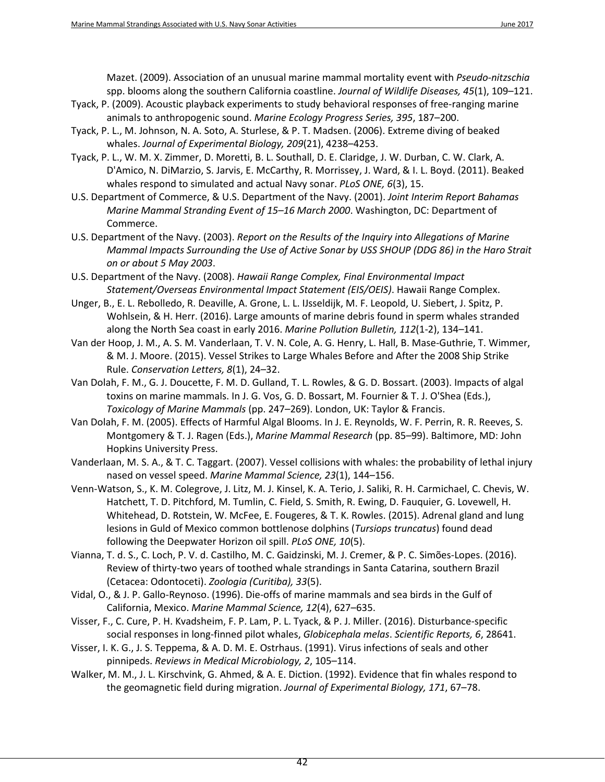Mazet. (2009). Association of an unusual marine mammal mortality event with *Pseudo-nitzschia* spp. blooms along the southern California coastline. *Journal of Wildlife Diseases, 45*(1), 109–121.

- <span id="page-45-12"></span>Tyack, P. (2009). Acoustic playback experiments to study behavioral responses of free-ranging marine animals to anthropogenic sound. *Marine Ecology Progress Series, 395*, 187–200.
- <span id="page-45-10"></span>Tyack, P. L., M. Johnson, N. A. Soto, A. Sturlese, & P. T. Madsen. (2006). Extreme diving of beaked whales. *Journal of Experimental Biology, 209*(21), 4238–4253.
- <span id="page-45-13"></span>Tyack, P. L., W. M. X. Zimmer, D. Moretti, B. L. Southall, D. E. Claridge, J. W. Durban, C. W. Clark, A. D'Amico, N. DiMarzio, S. Jarvis, E. McCarthy, R. Morrissey, J. Ward, & I. L. Boyd. (2011). Beaked whales respond to simulated and actual Navy sonar. *PLoS ONE, 6*(3), 15.
- <span id="page-45-14"></span>U.S. Department of Commerce, & U.S. Department of the Navy. (2001). *Joint Interim Report Bahamas Marine Mammal Stranding Event of 15–16 March 2000*. Washington, DC: Department of Commerce.
- <span id="page-45-15"></span>U.S. Department of the Navy. (2003). *Report on the Results of the Inquiry into Allegations of Marine Mammal Impacts Surrounding the Use of Active Sonar by USS SHOUP (DDG 86) in the Haro Strait on or about 5 May 2003*.
- <span id="page-45-11"></span>U.S. Department of the Navy. (2008). *Hawaii Range Complex, Final Environmental Impact Statement/Overseas Environmental Impact Statement (EIS/OEIS)*. Hawaii Range Complex.
- <span id="page-45-8"></span>Unger, B., E. L. Rebolledo, R. Deaville, A. Grone, L. L. IJsseldijk, M. F. Leopold, U. Siebert, J. Spitz, P. Wohlsein, & H. Herr. (2016). Large amounts of marine debris found in sperm whales stranded along the North Sea coast in early 2016. *Marine Pollution Bulletin, 112*(1-2), 134–141.
- <span id="page-45-6"></span>Van der Hoop, J. M., A. S. M. Vanderlaan, T. V. N. Cole, A. G. Henry, L. Hall, B. Mase-Guthrie, T. Wimmer, & M. J. Moore. (2015). Vessel Strikes to Large Whales Before and After the 2008 Ship Strike Rule. *Conservation Letters, 8*(1), 24–32.
- <span id="page-45-4"></span>Van Dolah, F. M., G. J. Doucette, F. M. D. Gulland, T. L. Rowles, & G. D. Bossart. (2003). Impacts of algal toxins on marine mammals. In J. G. Vos, G. D. Bossart, M. Fournier & T. J. O'Shea (Eds.), *Toxicology of Marine Mammals* (pp. 247–269). London, UK: Taylor & Francis.
- <span id="page-45-3"></span>Van Dolah, F. M. (2005). Effects of Harmful Algal Blooms. In J. E. Reynolds, W. F. Perrin, R. R. Reeves, S. Montgomery & T. J. Ragen (Eds.), *Marine Mammal Research* (pp. 85–99). Baltimore, MD: John Hopkins University Press.
- <span id="page-45-7"></span>Vanderlaan, M. S. A., & T. C. Taggart. (2007). Vessel collisions with whales: the probability of lethal injury nased on vessel speed. *Marine Mammal Science, 23*(1), 144–156.
- <span id="page-45-9"></span>Venn-Watson, S., K. M. Colegrove, J. Litz, M. J. Kinsel, K. A. Terio, J. Saliki, R. H. Carmichael, C. Chevis, W. Hatchett, T. D. Pitchford, M. Tumlin, C. Field, S. Smith, R. Ewing, D. Fauquier, G. Lovewell, H. Whitehead, D. Rotstein, W. McFee, E. Fougeres, & T. K. Rowles. (2015). Adrenal gland and lung lesions in Guld of Mexico common bottlenose dolphins (*Tursiops truncatus*) found dead following the Deepwater Horizon oil spill. *PLoS ONE, 10*(5).
- <span id="page-45-1"></span>Vianna, T. d. S., C. Loch, P. V. d. Castilho, M. C. Gaidzinski, M. J. Cremer, & P. C. Simões-Lopes. (2016). Review of thirty-two years of toothed whale strandings in Santa Catarina, southern Brazil (Cetacea: Odontoceti). *Zoologia (Curitiba), 33*(5).
- <span id="page-45-0"></span>Vidal, O., & J. P. Gallo-Reynoso. (1996). Die-offs of marine mammals and sea birds in the Gulf of California, Mexico. *Marine Mammal Science, 12*(4), 627–635.
- <span id="page-45-16"></span>Visser, F., C. Cure, P. H. Kvadsheim, F. P. Lam, P. L. Tyack, & P. J. Miller. (2016). Disturbance-specific social responses in long-finned pilot whales, *Globicephala melas*. *Scientific Reports, 6*, 28641.
- <span id="page-45-2"></span>Visser, I. K. G., J. S. Teppema, & A. D. M. E. Ostrhaus. (1991). Virus infections of seals and other pinnipeds. *Reviews in Medical Microbiology, 2*, 105–114.
- <span id="page-45-5"></span>Walker, M. M., J. L. Kirschvink, G. Ahmed, & A. E. Diction. (1992). Evidence that fin whales respond to the geomagnetic field during migration. *Journal of Experimental Biology, 171*, 67–78.